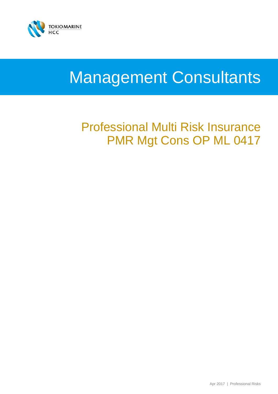

# Management Consultants

# Professional Multi Risk Insurance PMR Mgt Cons OP ML 0417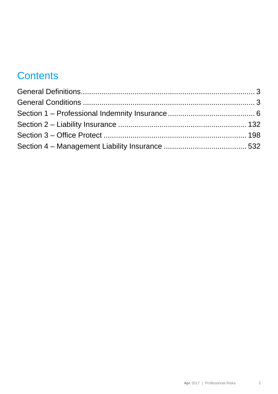# **Contents**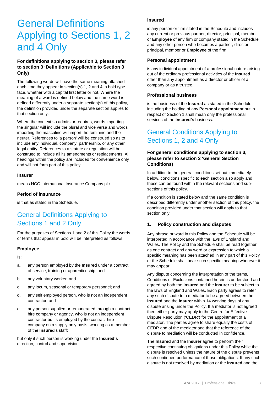# General Definitions Applying to Sections 1, 2 and 4 Only

# **For definitions applying to section 3, please refer to section 3 'Definitions (Applicable to Section 3 Only)**

The following words will have the same meaning attached each time they appear in section(s) 1, 2 and 4 in bold type face, whether with a capital first letter or not. Where the meaning of a word is defined below and the same word is defined differently under a separate section(s) of this policy, the definition provided under the separate section applies to that section only.

Where the context so admits or requires, words importing the singular will include the plural and vice versa and words importing the masculine will import the feminine and the neuter. References to 'a person' will be construed so as to include any individual, company, partnership, or any other legal entity. References to a statute or regulation will be construed to include all its amendments or replacements. All headings within the policy are included for convenience only and will not form part of this policy.

#### **Insurer**

means HCC International Insurance Company plc.

#### **Period of insurance**

is that as stated in the Schedule.

# General Definitions Applying to Sections 1 and 2 Only

For the purposes of Sections 1 and 2 of this Policy the words or terms that appear in bold will be interpreted as follows:

#### **Employee**

Is:

- a. any person employed by the **Insured** under a contract of service, training or apprenticeship; and
- b. any voluntary worker; and
- c. any locum, seasonal or temporary personnel; and
- d. any self employed person, who is not an independent contractor; and
- e. any person supplied or remunerated through a contract hire company or agency, who is not an independent contractor but is employed by the contract hire company on a supply only basis, working as a member of the **Insured**'s staff;

but only if such person is working under the **Insured's**  direction, control and supervision.

#### **Insured**

is any person or firm stated in the Schedule and includes any current or previous partner, director, principal, member or **Employee** of any firm or company stated in the Schedule and any other person who becomes a partner, director, principal, member or **Employee** of the firm.

#### **Personal appointment**

is any individual appointment of a professional nature arising out of the ordinary professional activities of the **Insured** other than any appointment as a director or officer of a company or as a trustee.

#### **Professional business**

is the business of the **Insured** as stated in the Schedule including the holding of any **Personal appointment** but in respect of Section 1 shall mean only the professional services of the **Insured's** business.

# General Conditions Applying to Sections 1, 2 and 4 Only

## **For general conditions applying to section 3, please refer to section 3 'General Section Conditions)**

In addition to the general conditions set out immediately below, conditions specific to each section also apply and these can be found within the relevant sections and subsections of this policy.

If a condition is stated below and the same condition is described differently under another section of this policy, the condition provided under that section will apply to that section only.

#### **1. Policy construction and disputes**

Any phrase or word in this Policy and the Schedule will be interpreted in accordance with the laws of England and Wales. The Policy and the Schedule shall be read together as one contract and any word or expression to which a specific meaning has been attached in any part of this Policy or the Schedule shall bear such specific meaning wherever it may appear.

Any dispute concerning the interpretation of the terms, Conditions or Exclusions contained herein is understood and agreed by both the **Insured** and the **Insurer** to be subject to the laws of England and Wales. Each party agrees to refer any such dispute to a mediator to be agreed between the **Insured** and the **Insurer** within 14 working days of any dispute arising under the Policy. If a mediator is not agreed then either party may apply to the Centre for Effective Dispute Resolution ('CEDR') for the appointment of a mediator. The parties agree to share equally the costs of CEDR and of the mediator and that the reference of the dispute to mediation will be conducted in confidence.

The **Insured** and the **Insurer** agree to perform their respective continuing obligations under this Policy while the dispute is resolved unless the nature of the dispute prevents such continued performance of those obligations. If any such dispute is not resolved by mediation or the **Insured** and the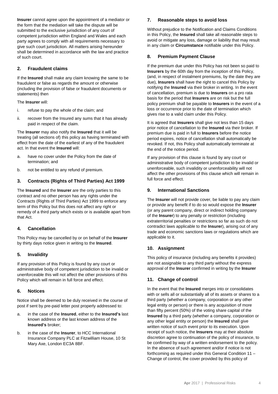**Insurer** cannot agree upon the appointment of a mediator or the form that the mediation will take the dispute will be submitted to the exclusive jurisdiction of any court of competent jurisdiction within England and Wales and each party agrees to comply with all requirements necessary to give such court jurisdiction. All matters arising hereunder shall be determined in accordance with the law and practice of such court.

# **2. Fraudulent claims**

If the **Insured** shall make any claim knowing the same to be fraudulent or false as regards the amount or otherwise (including the provision of false or fraudulent documents or statements) then

The **Insurer** will:

- i. refuse to pay the whole of the claim; and
- ii. recover from the Insured any sums that it has already paid in respect of the claim.

The **Insurer** may also notify the **Insured** that it will be treating (all sections of) this policy as having terminated with effect from the date of the earliest of any of the fraudulent act. In that event the **Insured** will:

- a. have no cover under the Policy from the date of termination; and
- b. not be entitled to any refund of premium.

## **3. Contracts (Rights of Third Parties) Act 1999**

The **Insured** and the **Insurer** are the only parties to this contract and no other person has any rights under the Contracts (Rights of Third Parties) Act 1999 to enforce any term of this Policy but this does not affect any right or remedy of a third party which exists or is available apart from that Act.

#### **4. Cancellation**

This Policy may be cancelled by or on behalf of the **Insurer** by thirty days notice given in writing to the **Insured**.

#### **5. Invalidity**

If any provision of this Policy is found by any court or administrative body of competent jurisdiction to be invalid or unenforceable this will not affect the other provisions of this Policy which will remain in full force and effect.

#### **6. Notices**

Notice shall be deemed to be duly received in the course of post if sent by pre-paid letter post properly addressed to:

- a. in the case of the **Insured**, either to the **Insured's** last known address or the last known address of the **Insured's** broker;
- b. in the case of the **Insurer**, to HCC International Insurance Company PLC at Fitzwilliam House, 10 St Mary Axe, London EC3A 8BF.

#### **7. Reasonable steps to avoid loss**

Without prejudice to the Notification and Claims Conditions in this Policy, the **Insured** shall take all reasonable steps to avoid or mitigate any loss, damage or liability that may result in any claim or **Circumstance** notifiable under this Policy.

#### **8. Premium Payment Clause**

If the premium due under this Policy has not been so paid to **Insurers** by the 60th day from the inception of this Policy, (and, in respect of instalment premiums, by the date they are due), **Insurers** shall have the right to cancel this Policy by notifying the **Insured** via their broker in writing. In the event of cancellation, premium is due to **Insurers** on a pro rata basis for the period that **Insurers** are on risk but the full policy premium shall be payable to **Insurers** in the event of a loss or occurrence prior to the date of termination which gives rise to a valid claim under this Policy.

It is agreed that **Insurers** shall give not less than 15 days prior notice of cancellation to the **Insured** via their broker. If premium due is paid in full to **Insurers** before the notice period expires, notice of cancellation shall automatically be revoked. If not, this Policy shall automatically terminate at the end of the notice period.

If any provision of this clause is found by any court or administrative body of competent jurisdiction to be invalid or unenforceable, such invalidity or unenforceability will not affect the other provisions of this clause which will remain in full force and effect.

#### **9. International Sanctions**

The **Insurer** will not provide cover, be liable to pay any claim or provide any benefit if to do so would expose the **Insurer** (or any parent company, direct or indirect holding company of the **Insurer**) to any penalty or restriction (including extraterritorial penalties or restrictions so far as such do not contradict laws applicable to the **Insurer**), arising out of any trade and economic sanctions laws or regulations which are applicable to it.

## **10. Assignment**

This policy of insurance (including any benefits it provides) are not assignable to any third party without the express approval of the **Insurer** confirmed in writing by the **Insurer**

## **11. Change of control**

In the event that the **Insured** merges into or consolidates with or sells all or substantially all of its assets or shares to a third party (whether a company, corporation or any other legal entity or person) or there is any acquisition of more than fifty percent (50%) of the voting share capital of the **Insured** by a third party (whether a company, corporation or any other legal entity or person) the **Insured** shall give written notice of such event prior to its execution. Upon receipt of such notice, the **Insurers** may at their absolute discretion agree to continuation of the policy of insurance, to be confirmed by way of a written endorsement to the policy. In the absence of such agreement and/or if notice is not forthcoming as required under this General Condition 11 – Change of control, the cover provided by this policy of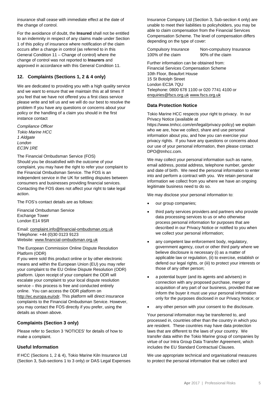insurance shall cease with immediate effect at the date of the change of control.

For the avoidance of doubt, the **Insured** shall not be entitled to an indemnity in respect of any claims made under Section 1 of this policy of insurance where notification of the claim occurs after a change in control (as referred to in this General Condition 11 – Change of control) where the change of control was not reported to **Insurers** and approved in accordance with this General Condition 11.

# **12. Complaints (Sections 1, 2 & 4 only)**

We are dedicated to providing you with a high quality service and we want to ensure that we maintain this at all times If you feel that we have not offered you a first class service please write and tell us and we will do our best to resolve the problem If you have any questions or concerns about your policy or the handling of a claim you should in the first instance contact

*Compliance Officer Tokio Marine HCC 1 Aldgate London EC3N 1RE*

The Financial Ombudsman Service (FOS) Should you be dissatisfied with the outcome of your complaint, you may have the right to refer your complaint to the Financial Ombudsman Service. The FOS is an independent service in the UK for settling disputes between consumers and businesses providing financial services. Contacting the FOS does not affect your right to take legal action.

The FOS's contact details are as follows:

Financial Ombudsman Service Exchange Tower London E14 9SR

Email: [complaint.info@financial-ombudsman.org.uk](mailto:complaint.info@financial-ombudsman.org.uk) Telephone: +44 (0)30 0123 9123 Website: [www.financial-ombudsman.org.uk](http://www.financial-ombudsman.org.uk/)

The European Commission Online Dispute Resolution Platform (ODR)

If you were sold this product online or by other electronic means and within the European Union (EU) you may refer your complaint to the EU Online Dispute Resolution (ODR) platform. Upon receipt of your complaint the ODR will escalate your complaint to your local dispute resolution service – this process is free and conducted entirely online. You can access the ODR platform on [http://ec.europa.eu/odr.](http://ec.europa.eu/odr) This platform will direct insurance complaints to the Financial Ombudsman Service. However, you may contact the FOS directly if you prefer, using the details as shown above.

# **Complaints (Section 3 only)**

Please refer to Section 3 'NOTICES' for details of how to make a complaint.

# **Useful Information**

If HCC (Sections 1, 2 & 4), Tokio Marine Kiln Insurance Ltd (Section 3, Sub-sections 1 to 3 only) or DAS Legal Expenses Insurance Company Ltd (Section 3, Sub-section 4 only) are unable to meet their liabilities to policyholders, you may be able to claim compensation from the Financial Services Compensation Scheme. The level of compensation differs depending on the type of cover:

100% of the claim 90% of the claim

Compulsory Insurance Non-compulsory Insurance

Further information can be obtained from: Financial Services Compensation Scheme 10th Floor, Beaufort House 15 St Botolph Street London EC3A 7QU Telephone: 0800 678 1100 or 020 7741 4100 or [enquiries@fscs.org.uk](mailto:enquiries@fscs.org.uk) [www.fscs.org.uk](http://www.fscs.org.uk/)

## **Data Protection Notice**

Tokio Marine HCC respects your right to privacy. In our Privacy Notice (available at

https://www.tmhcc.com/en/legal/privacy-policy) we explain who we are, how we collect, share and use personal information about you, and how you can exercise your privacy rights. If you have any questions or concerns about our use of your personal information, then please contact DPO@tmhcc.com.

We may collect your personal information such as name, email address, postal address, telephone number, gender and date of birth. We need the personal information to enter into and perform a contract with you. We retain personal information we collect from you where we have an ongoing legitimate business need to do so.

We may disclose your personal information to:

- our group companies:
- third party services providers and partners who provide data processing services to us or who otherwise process personal information for purposes that are described in our Privacy Notice or notified to you when we collect your personal information;
- any competent law enforcement body, regulatory, government agency, court or other third party where we believe disclosure is necessary (i) as a matter of applicable law or regulation, (ii) to exercise, establish or defend our legal rights, or (iii) to protect your interests or those of any other person;
- a potential buyer (and its agents and advisers) in connection with any proposed purchase, merger or acquisition of any part of our business, provided that we inform the buyer it must use your personal information only for the purposes disclosed in our Privacy Notice; or
- any other person with your consent to the disclosure.

Your personal information may be transferred to, and processed in, countries other than the country in which you are resident. These countries may have data protection laws that are different to the laws of your country. We transfer data within the Tokio Marine group of companies by virtue of our Intra Group Data Transfer Agreement, which includes the EU Standard Contractual Clauses.

We use appropriate technical and organisational measures to protect the personal information that we collect and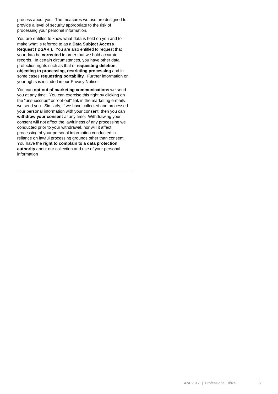process about you. The measures we use are designed to provide a level of security appropriate to the risk of processing your personal information.

You are entitled to know what data is held on you and to make what is referred to as a **Data Subject Access Request ('DSAR')**. You are also entitled to request that your data be **corrected** in order that we hold accurate records. In certain circumstances, you have other data protection rights such as that of **requesting deletion, objecting to processing, restricting processing** and in some cases **requesting portability**. Further information on your rights is included in our Privacy Notice.

You can **opt-out of marketing communications** we send you at any time. You can exercise this right by clicking on the "unsubscribe" or "opt-out" link in the marketing e-mails we send you. Similarly, if we have collected and processed your personal information with your consent, then you can **withdraw your consent** at any time. Withdrawing your consent will not affect the lawfulness of any processing we conducted prior to your withdrawal, nor will it affect processing of your personal information conducted in reliance on lawful processing grounds other than consent. You have the **right to complain to a data protection authority** about our collection and use of your personal information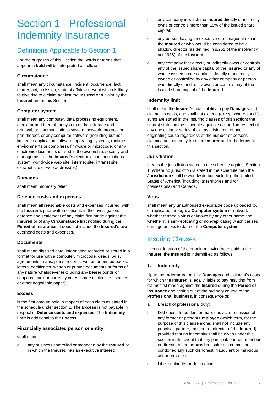# Section 1 - Professional Indemnity Insurance

# Definitions Applicable to Section 1

For the purposes of this Section the words or terms that appear in **bold** will be interpreted as follows:

# **Circumstance**

shall mean any circumstance, incident, occurrence, fact, matter, act, omission, state of affairs or event which is likely to give rise to a claim against the **Insured** or a claim by the **Insured** under this Section.

# **Computer system**

shall mean any computer, data processing equipment, media or part thereof, or system of data storage and retrieval, or communications system, network, protocol or part thereof, or any computer software (including but not limited to application software, operating systems, runtime environments or compilers), firmware or microcode, or any electronic documents utilised in the ownership, security and management of the **Insured's** electronic communications system, world-wide web site, internet site, intranet site, extranet site or web address(es).

## **Damages**

shall mean monetary relief.

## **Defence costs and expenses**

shall mean all reasonable costs and expenses incurred, with the **Insurer's** prior written consent, in the investigation, defence and settlement of any claim first made against the **Insured** or of any **Circumstance** first notified during the **Period of insurance**. it does not include the **Insured's** own overhead costs and expenses.

# **Documents**

shall mean digitised data, information recorded or stored in a format for use with a computer, microcode, deeds, wills, agreements, maps, plans, records, written or printed books, letters, certificates, written or printed documents or forms of any nature whatsoever (excluding any bearer bonds or coupons, bank or currency notes, share certificates, stamps or other negotiable paper).

## **Excess**

is the first amount paid in respect of each claim as stated in the schedule under section 1. The **Excess** is not payable in respect of **Defence costs and expenses**. The **Indemnity limit** is additional to the **Excess**.

## **Financially associated person or entity**

shall mean:

a. any business controlled or managed by the **Insured** or in which the **Insured** has an executive interest;

- b. any company in which the **Insured** directly or indirectly owns or controls more than 15% of the issued share capital;
- c. any person having an executive or managerial role in the **Insured** or who would be considered to be a shadow director (as defined in s.251 of the insolvency act 1986) of the **Insured**;
- d. any company that directly or indirectly owns or controls any of the issued share capital of the **Insured** or any of whose issued share capital is directly or indirectly owned or controlled by any other company or person who directly or indirectly owns or controls any of the issued share capital of the **insured**.

# **Indemnity limit**

shall mean the **Insurer's** total liability to pay **Damages** and claimant's costs, and shall not exceed (except where specific sums are stated in the insuring clauses of this section) the sum(s) stated in the schedule against section 1 in respect of any one claim or series of claims arising out of one originating cause regardless of the number of persons claiming an indemnity from the **Insurer** under the terms of this section.

# **Jurisdiction**

means the jurisdiction stated in the schedule against Section 1. Where no jurisdiction is stated in the schedule then the **Jurisdiction** shall be worldwide but excluding the United States of America (including its territories and /or possessions) and Canada.

## **Virus**

shall mean any unauthorised executable code uploaded to, or replicated through, a **Computer system** or network whether termed a virus or known by any other name and whether it is self-replicating or non-replicating which causes damage or loss to data or the **Computer system**.

# Insuring Clauses

In consideration of the premium having been paid to the **Insurer**, the **Insured** is indemnified as follows:

## **1. Indemnity**

Up to the **Indemnity limit** for **Damages** and claimant's costs for which the **Insured** is legally liable to pay resulting from claims first made against the **Insured** during the **Period of insurance** and arising out of the ordinary course of the **Professional business**, in consequence of:

- a. Breach of professional duty;
- b. Dishonest, fraudulent or malicious act or omission of any former or present **Employee** (which term, for the purpose of this clause alone, shall not include any principal, partner, member or director of the **Insured**) provided that no indemnity shall be given under this section in the event that any principal, partner, member or director of the **Insured** conspired to commit or condoned any such dishonest, fraudulent or malicious act or omission;
- c. Libel or slander or defamation;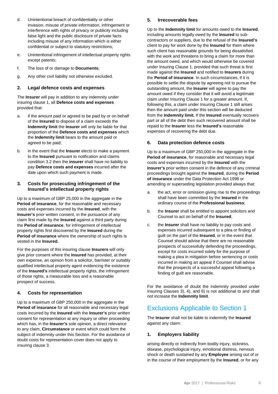- d. Unintentional breach of confidentiality or other invasion, misuse of private information, infringement or interference with rights of privacy or publicity including false light and the public disclosure of private facts including misuse of any information which is either confidential or subject to statutory restrictions;
- e. Unintentional infringement of intellectual property rights except patents;
- f. The loss of or damage to **Documents**;
- g. Any other civil liability not otherwise excluded.

## **2. Legal defence costs and expenses**

The **Insurer** will pay in addition to any indemnity under insuring clause 1, all **Defence costs and expenses** provided that:

- a. if the amount paid or agreed to be paid by or on behalf of the **Insured** to dispose of a claim exceeds the **Indemnity limit** the **Insurer** will only be liable for that proportion of the **Defence costs and expenses** which the **Indemnity limit** bears to the amount paid or agreed to be paid;
- b. in the event that the **Insurer** elects to make a payment to the **Insured** pursuant to notification and claims condition 3.2 then the **insurer** shall have no liability to pay **Defence costs and expenses** incurred after the date upon which such payment is made.

#### **3. Costs for prosecuting infringement of the Insured's intellectual property rights**

Up to a maximum of GBP 25,000 in the aggregate in the **Period of insurance**, for the reasonable and necessary costs and expenses incurred by the **Insured**, with the **Insurer's** prior written consent, in the pursuance of any claim first made by the **Insured** against a third party during the **Period of insurance**, for infringement of intellectual property rights first discovered by the **Insured** during the **Period of insurance** where the ownership of such rights is vested in the **Insured.**

For the purposes of this insuring clause **Insurers** will only give prior consent where the **Insured** has provided, at their own expense, an opinion from a solicitor, barrister or suitably qualified intellectual property agent evidencing the existence of the **Insured's** intellectual property rights, the infringement of those rights, a measurable loss and a reasonable prospect of success.

## **4. Costs for representation**

Up to a maximum of GBP 250,000 in the aggregate in the **Period of insurance** for all reasonable and necessary legal costs incurred by the **Insured** with the **Insurer's** prior written consent for representation at any inquiry or other proceeding which has, in the **Insurer's** sole opinion, a direct relevance to any claim, **Circumstance** or event which could form the subject of indemnity under this Section. For the avoidance of doubt costs for representation cover does not apply to insuring clause 3.

#### **5. Irrecoverable fees**

Up to the **Indemnity limit** for amounts owed to the **Insured**, including amounts legally owed by the **Insured** to subcontractors or suppliers, due to the refusal of the **Insured's** client to pay for work done by the **Insured** for them where such client has reasonable grounds for being dissatisfied with the work and threatens to bring a claim for more than the amount owed, and which would otherwise be covered under Insuring Clause 1, provided that such threat is first made against the **Insured** and notified to **Insurers** during the **Period of insurance**. In such circumstances, if it is possible to settle the dispute by agreeing not to pursue the outstanding amount, the **Insurer** will agree to pay the amount owed if they consider that it will avoid a legitimate claim under Insuring Clause 1 for a greater amount. If, following this, a claim under Insuring Clause 1 still arises then the amount paid under this section will be deducted from the **Indemnity limit.** If the **Insured** eventually recovers part or all of the debt then such recovered amount shall be repaid to the **Insurer** less the **Insured's** reasonable expenses of recovering the debt due.

#### **6. Data protection defence costs**

Up to a maximum of GBP 250,000 in the aggregate in the **Period of insurance**, for reasonable and necessary legal costs and expenses incurred by the **Insured** with the **Insurer's** prior written consent in the defence of any criminal proceedings brought against the **Insured**, during the **Period of insurance** under the Data Protection Act 1998 or amending or superseding legislation provided always that:

- a. the act, error or omission giving rise to the proceedings shall have been committed by the **Insured** in the ordinary course of the **Professional business**;
- b. the **Insurer** shall be entitled to appoint solicitors and Counsel to act on behalf of the **Insured**;
- c. the **Insurer** shall have no liability to pay costs and expenses incurred subsequent to a plea or finding of guilt on the part of the **Insured**, or in the event that Counsel should advise that there are no reasonable prospects of successfully defending the proceedings, except for costs incurred solely for the purpose of making a plea in mitigation before sentencing or costs incurred in making an appeal if Counsel shall advise that the prospects of a successful appeal following a finding of guilt are reasonable.

For the avoidance of doubt the indemnity provided under Insuring Clauses 3), 4), and 6) is not additional to and shall not increase the **Indemnity limit**.

# Exclusions Applicable to Section 1

The **Insurer** shall not be liable to indemnify the **Insured**  against any claim:

## **1. Employers liability**

arising directly or indirectly from bodily injury, sickness, disease, psychological injury, emotional distress, nervous shock or death sustained by any **Employee** arising out of or in the course of their employment by the **Insured**, or for any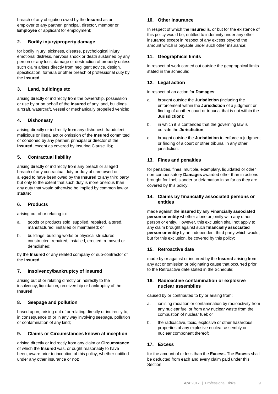breach of any obligation owed by the **Insured** as an employer to any partner, principal, director, member or **Employee** or applicant for employment;

# **2. Bodily injury/property damage**

for bodily injury, sickness, disease, psychological injury, emotional distress, nervous shock or death sustained by any person or any loss, damage or destruction of property unless such claim arises directly from negligent advice, design, specification, formula or other breach of professional duty by the **Insured**;

# **3. Land, buildings etc**

arising directly or indirectly from the ownership, possession or use by or on behalf of the **Insured** of any land, buildings, aircraft, watercraft, vessel or mechanically propelled vehicle;

# **4. Dishonesty**

arising directly or indirectly from any dishonest, fraudulent, malicious or illegal act or omission of the **Insured** committed or condoned by any partner, principal or director of the **Insured,** except as covered by Insuring Clause 1b);

# **5. Contractual liability**

arising directly or indirectly from any breach or alleged breach of any contractual duty or duty of care owed or alleged to have been owed by the **Insured** to any third party but only to the extent that such duty is more onerous than any duty that would otherwise be implied by common law or statute;

## **6. Products**

arising out of or relating to:

- a. goods or products sold, supplied, repaired, altered, manufactured, installed or maintained; or
- b. buildings, building works or physical structures constructed, repaired, installed, erected, removed or demolished;

by the **Insured** or any related company or sub-contractor of the **Insured**;

## **7. Insolvency/bankruptcy of Insured**

arising out of or relating directly or indirectly to the insolvency, liquidation, receivership or bankruptcy of the **Insured**;

## **8. Seepage and pollution**

based upon, arising out of or relating directly or indirectly to, in consequence of or in any way involving seepage, pollution or contamination of any kind;

## **9. Claims or Circumstances known at inception**

arising directly or indirectly from any claim or **Circumstance** of which the **Insured** was, or ought reasonably to have been, aware prior to inception of this policy, whether notified under any other insurance or not;

## **10. Other insurance**

In respect of which the **Insured** is, or but for the existence of this policy would be, entitled to indemnity under any other insurance except in respect of any excess beyond the amount which is payable under such other insurance;

# **11. Geographical limits**

in respect of work carried out outside the geographical limits stated in the schedule;

# **12. Legal action**

in respect of an action for **Damages**:

- a. brought outside the **Jurisdiction** (including the enforcement within the **Jurisdiction** of a judgment or finding of another court or tribunal that is not within the **Jurisdiction**);
- b. in which it is contended that the governing law is outside the **Jurisdiction**;
- c. brought outside the **Jurisdiction** to enforce a judgment or finding of a court or other tribunal in any other jurisdiction.

## **13. Fines and penalties**

for penalties, fines, multiple, exemplary, liquidated or other non-compensatory **Damages** awarded other than in actions brought for libel, slander or defamation in so far as they are covered by this policy;

#### **14. Claims by financially associated persons or entities**

made against the **insured** by any **Financially associated person or entity** whether alone or jointly with any other person or entity. However, this exclusion shall not apply to any claim brought against such **financially associated person or entity** by an independent third party which would, but for this exclusion, be covered by this policy;

## **15. Retroactive date**

made by or against or incurred by the **Insured** arising from any act or omission or originating cause that occurred prior to the Retroactive date stated in the Schedule;

#### **16. Radioactive contamination or explosive nuclear assemblies**

caused by or contributed to by or arising from:

- a. ionising radiation or contamination by radioactivity from any nuclear fuel or from any nuclear waste from the combustion of nuclear fuel; or
- b. the radioactive, toxic, explosive or other hazardous properties of any explosive nuclear assembly or nuclear component thereof;

## **17. Excess**

for the amount of or less than the **Excess.** The **Excess** shall be deducted from each and every claim paid under this Section;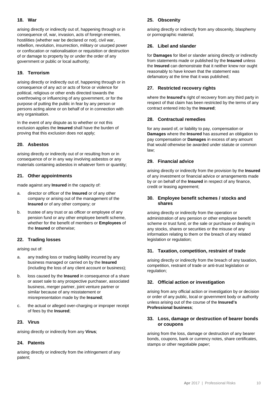#### **18. War**

arising directly or indirectly out of, happening through or in consequence of, war, invasion, acts of foreign enemies, hostilities (whether war be declared or not), civil war, rebellion, revolution, insurrection, military or usurped power or confiscation or nationalisation or requisition or destruction of or damage to property by or under the order of any government or public or local authority;

#### **19. Terrorism**

arising directly or indirectly out of, happening through or in consequence of any act or acts of force or violence for political, religious or other ends directed towards the overthrowing or influencing of any government, or for the purpose of putting the public in fear by any person or persons acting alone or on behalf of or in connection with any organisation.

In the event of any dispute as to whether or not this exclusion applies the **Insured** shall have the burden of proving that this exclusion does not apply;

#### **20. Asbestos**

arising directly or indirectly out of or resulting from or in consequence of or in any way involving asbestos or any materials containing asbestos in whatever form or quantity;

#### **21. Other appointments**

made against any **Insured** in the capacity of:

- a. director or officer of the **Insured** or of any other company or arising out of the management of the **Insured** or of any other company; or
- b. trustee of any trust or as officer or employee of any pension fund or any other employee benefit scheme, whether for the benefit of members or **Employees** of the **Insured** or otherwise;

## **22. Trading losses**

arising out of:

- a. any trading loss or trading liability incurred by any business managed or carried on by the **Insured** (including the loss of any client account or business);
- b. loss caused by the **Insured** in consequence of a share or asset sale to any prospective purchaser, associated business, merger partner, joint venture partner or similar because of any misstatement or misrepresentation made by the **Insured**;
- c. the actual or alleged over-charging or improper receipt of fees by the **Insured**;

#### **23. Virus**

arising directly or indirectly from any **Virus**;

#### **24. Patents**

arising directly or indirectly from the infringement of any patent;

#### **25. Obscenity**

arising directly or indirectly from any obscenity, blasphemy or pornographic material;

#### **26. Libel and slander**

for **Damages** for libel or slander arising directly or indirectly from statements made or published by the **Insured** unless the **Insured** can demonstrate that it neither knew nor ought reasonably to have known that the statement was defamatory at the time that it was published;

## **27. Restricted recovery rights**

where the **Insured's** right of recovery from any third party in respect of that claim has been restricted by the terms of any contract entered into by the **Insured**;

#### **28. Contractual remedies**

for any award of, or liability to pay, compensation or **Damages** where the **Insured** has assumed an obligation to pay compensation or **Damages** in excess of any amount that would otherwise be awarded under statute or common law;

#### **29. Financial advice**

arising directly or indirectly from the provision by the **Insured** of any investment or financial advice or arrangements made by or on behalf of the **Insured** in respect of any finance, credit or leasing agreement;

#### **30. Employee benefit schemes / stocks and shares**

arising directly or indirectly from the operation or administration of any pension or other employee benefit scheme or trust fund, or the sale or purchase or dealing in any stocks, shares or securities or the misuse of any information relating to them or the breach of any related legislation or regulation;

#### **31. Taxation, competition, restraint of trade**

arising directly or indirectly from the breach of any taxation, competition, restraint of trade or anti-trust legislation or regulation;

#### **32. Official action or investigation**

arising from any official action or investigation by or decision or order of any public, local or government body or authority unless arising out of the course of the **Insured's Professional business**;

#### **33. Loss, damage or destruction of bearer bonds or coupons**

arising from the loss, damage or destruction of any bearer bonds, coupons, bank or currency notes, share certificates, stamps or other negotiable paper;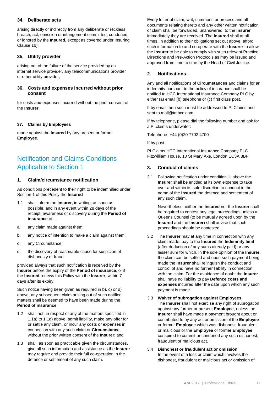#### **34. Deliberate acts**

arising directly or indirectly from any deliberate or reckless breach, act, omission or infringement committed, condoned or ignored by the **Insured**, except as covered under Insuring Clause 1b);

#### **35. Utility provider**

arising out of the failure of the service provided by an internet service provider, any telecommunications provider or other utility provider;

#### **36. Costs and expenses incurred without prior consent**

for costs and expenses incurred without the prior consent of the **Insurer**;

#### **37. Claims by Employees**

made against the **Insured** by any present or former **Employee**.

# Notification and Claims Conditions Applicable to Section 1

#### **1. Claim/circumstance notification**

As conditions precedent to their right to be indemnified under Section 1 of this Policy the **Insured**

- 1.1 shall inform the **Insurer**, in writing, as soon as possible, and in any event within 28 days of the receipt, awareness or discovery during the **Period of insurance** of:-
- a. any claim made against them;
- b. any notice of intention to make a claim against them;
- c. any Circumstance;
- d. the discovery of reasonable cause for suspicion of dishonesty or fraud.

provided always that such notification is received by the **Insurer** before the expiry of the **Period of insurance**, or if the **Insured** renews this Policy with the **Insurer**, within 7 days after its expiry.

Such notice having been given as required in b), c) or d) above, any subsequent claim arising out of such notified matters shall be deemed to have been made during the **Period of insurance**;

- 1.2 shall not, in respect of any of the matters specified in 1.1a) to 1.1d) above, admit liability, make any offer for or settle any claim, or incur any costs or expenses in connection with any such claim or **Circumstance**, without the prior written consent of the **Insurer**; and
- 1.3 shall, as soon as practicable given the circumstances, give all such information and assistance as the **Insurer** may require and provide their full co-operation in the defence or settlement of any such claim.

Every letter of claim, writ, summons or process and all documents relating thereto and any other written notification of claim shall be forwarded, unanswered, to the **Insurer**  immediately they are received. The **Insured** shall at all times, in addition to their obligations set out above, afford such information to and co-operate with the **Insurer** to allow the **Insurer** to be able to comply with such relevant Practice Directions and Pre-Action Protocols as may be issued and approved from time to time by the Head of Civil Justice.

#### **2. Notifications**

Any and all notifications of **Circumstances** and claims for an indemnity pursuant to the policy of insurance shall be notified to HCC International Insurance Company PLC by either (a) email (b) telephone or (c) first class post.

If by email then such must be addressed to PI Claims and sent to [mail@tmhcc.com](mailto:mail@tmhcc.com)

If by telephone, please dial the following number and ask for a PI claims underwriter:

Telephone- +44 (0)20 7702 4700

If by post:

PI Claims HCC International Insurance Company PLC Fitzwilliam House, 10 St Mary Axe, London EC3A 8BF.

#### **3. Conduct of claims**

3.1 Following notification under condition 1. above the **Insurer** shall be entitled at its own expense to take over and within its sole discretion to conduct in the name of the **Insured** the defence and settlement of any such claim.

Nevertheless neither the **Insured** nor the **Insurer** shall be required to contest any legal proceedings unless a Queens Counsel (to be mutually agreed upon by the **Insured** and the **Insurer**) shall advise that such proceedings should be contested.

- 3.2 The **Insurer** may at any time in connection with any claim made, pay to the **Insured** the **Indemnity limit** (after deduction of any sums already paid) or any lesser sum for which, in the sole opinion of the **Insurer**, the claim can be settled and upon such payment being made the **Insurer** shall relinquish the conduct and control of and have no further liability in connection with the claim. For the avoidance of doubt the **Insurer** shall have no liability to pay **Defence costs and expenses** incurred after the date upon which any such payment is made.
- 3.3 **Waiver of subrogation against Employees** The **Insurer** shall not exercise any right of subrogation against any former or present **Employee**, unless the **Insurer** shall have made a payment brought about or contributed to by any act or omission of the **Employee** or former **Employee** which was dishonest, fraudulent or malicious or the **Employee** or former **Employee** conspired to commit or condoned any such dishonest, fraudulent or malicious act.
- 3.4 **Dishonest or fraudulent act or omission** In the event of a loss or claim which involves the dishonest, fraudulent or malicious act or omission of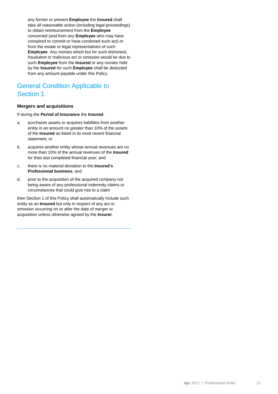any former or present **Employee** the **Insured** shall take all reasonable action (including legal proceedings) to obtain reimbursement from the **Employee**  concerned (and from any **Employee** who may have conspired to commit or have condoned such act) or from the estate or legal representatives of such **Employee**. Any monies which but for such dishonest, fraudulent or malicious act or omission would be due to such **Employee** from the **Insured** or any monies held by the **Insured** for such **Employee** shall be deducted from any amount payable under this Policy.

# General Condition Applicable to Section 1

#### **Mergers and acquisitions**

If during the **Period of Insurance** the **Insured**:

- a. purchases assets or acquires liabilities from another entity in an amount no greater than 10% of the assets of the **Insured** as listed in its most recent financial statement; or
- b. acquires another entity whose annual revenues are no more than 10% of the annual revenues of the **Insured** for their last completed financial year; and
- c. there is no material deviation to the **Insured's Professional business**; and
- d. prior to the acquisition of the acquired company not being aware of any professional indemnity claims or circumstances that could give rise to a claim

then Section 1 of this Policy shall automatically include such entity as an **Insured** but only in respect of any act or omission occurring on or after the date of merger or acquisition unless otherwise agreed by the **Insurer**.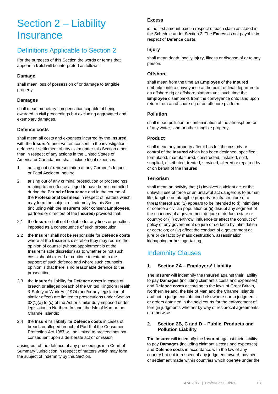# Section 2 – Liability **Insurance**

# Definitions Applicable to Section 2

For the purposes of this Section the words or terms that appear in **bold** will be interpreted as follows:

# **Damage**

shall mean loss of possession of or damage to tangible property.

## **Damages**

shall mean monetary compensation capable of being awarded in civil proceedings but excluding aggravated and exemplary damages.

# **Defence costs**

shall mean all costs and expenses incurred by the **Insured** with the **Insurer's** prior written consent in the investigation, defence or settlement of any claim under this Section other than in respect of any actions in the United States of America or Canada and shall include legal expenses:

- 1. arising out of representation at any Coroner's Inquest or Fatal Accident Inquiry;
- 2. arising out of any criminal prosecution or proceedings relating to an offence alleged to have been committed during the **Period of insurance** and in the course of the **Professional business** in respect of matters which may form the subject of indemnity by this Section (including with the **Insurer's** prior consent **Employees,** partners or directors of the **Insured**) provided that:
- 2.1 the **Insurer** shall not be liable for any fines or penalties imposed as a consequence of such prosecution;
- 2.2 the **Insurer** shall not be responsible for **Defence costs** where at the **Insurer's** discretion they may require the opinion of counsel (whose appointment is at the **Insurer's** sole discretion) as to whether or not such costs should extend or continue to extend to the support of such defence and where such counsel's opinion is that there is no reasonable defence to the prosecution;
- 2.3 the **Insurer's** liability for **Defence costs** in cases of breach or alleged breach of the United Kingdom Health & Safety at Work Act 1974 (and/or any legislation of similar effect) are limited to prosecutions under Section 33(1)(a) to (c) of the Act or similar duty imposed under legislation in Northern Ireland, the Isle of Man or the Channel Islands;
- 2.4 the **Insurer's** liability for **Defence costs** in cases of breach or alleged breach of Part II of the Consumer Protection Act 1987 will be limited to proceedings not consequent upon a deliberate act or omission

arising out of the defence of any proceedings in a Court of Summary Jurisdiction in respect of matters which may form the subject of Indemnity by this Section.

# **Excess**

is the first amount paid in respect of each claim as stated in the Schedule under Section 2. The **Excess** is not payable in respect of **Defence costs.**

# **Injury**

shall mean death, bodily injury, illness or disease of or to any person.

## **Offshore**

shall mean from the time an **Employee** of the **Insured** embarks onto a conveyance at the point of final departure to an offshore rig or offshore platform until such time the **Employee** disembarks from the conveyance onto land upon return from an offshore rig or an offshore platform.

## **Pollution**

shall mean pollution or contamination of the atmosphere or of any water, land or other tangible property.

# **Product**

shall mean any property after it has left the custody or control of the **Insured** which has been designed, specified, formulated, manufactured, constructed, installed, sold, supplied, distributed, treated, serviced, altered or repaired by or on behalf of the **Insured**.

# **Terrorism**

shall mean an activity that (1) involves a violent act or the unlawful use of force or an unlawful act dangerous to human life, tangible or intangible property or infrastructure or a threat thereof and (2) appears to be intended to (i) intimidate or coerce a civilian population or (ii) disrupt any segment of the economy of a government de jure or de facto state or country; or (iii) overthrow, influence or affect the conduct of policy of any government de jure or de facto by intimidation or coercion; or (iv) affect the conduct of a government de jure or de facto by mass destruction, assassination, kidnapping or hostage-taking.

# Indemnity Clauses

# **1. Section 2A – Employers' Liability**

The **Insurer** will indemnify the **Insured** against their liability to pay **Damages** (including claimant's costs and expenses) and **Defence costs** according to the laws of Great Britain, Northern Ireland, the Isle of Man and the Channel Islands and not to judgments obtained elsewhere nor to judgments or orders obtained in the said courts for the enforcement of foreign judgments whether by way of reciprocal agreements or otherwise.

## **2. Section 2B, C and D – Public, Products and Pollution Liability**

The **Insurer** will indemnify the **Insured** against their liability to pay **Damages** (including claimant's costs and expenses) and **Defence costs** in accordance with the law of any country but not in respect of any judgment, award, payment or settlement made within countries which operate under the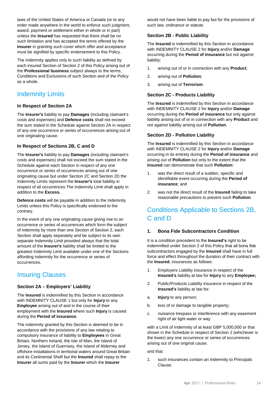laws of the United States of America or Canada (or to any order made anywhere in the world to enforce such judgment, award, payment or settlement either in whole or in part) unless the **Insured** has requested that there shall be no such limitation and has accepted the terms offered by the **Insurer** in granting such cover which offer and acceptance must be signified by specific endorsement to this Policy.

The indemnity applies only to such liability as defined by each insured Section of Section 2 of this Policy arising out of the **Professional business** subject always to the terms, Conditions and Exclusions of such Section and of the Policy as a whole.

# Indemnity Limits

# **In Respect of Section 2A**

The **Insurer's** liability to pay **Damages** (including claimant's costs and expenses) and **Defence costs** shall not exceed the sum stated in the Schedule against Section 2A in respect of any one occurrence or series of occurrences arising out of one originating cause.

# **In Respect of Sections 2B, C and D**

The **Insurer's** liability to pay **Damages** (including claimant's costs and expenses) shall not exceed the sum stated in the Schedule against each Section in respect of any one occurrence or series of occurrences arising out of one originating cause but under Section 2C and Section 2D the Indemnity Limits represent the **Insurer's** total liability in respect of all occurrences.The Indemnity Limit shall apply in addition to the **Excess.**

**Defence costs** will be payable in addition to the Indemnity Limits unless this Policy is specifically endorsed to the contrary.

In the event of any one originating cause giving rise to an occurrence or series of occurrences which form the subject of indemnity by more than one Section of Section 2, each Section shall apply separately and be subject to its own separate Indemnity Limit provided always that the total amount of the **Insurer's** liability shall be limited to the greatest Indemnity Limit available under one of the Sections affording indemnity for the occurrence or series of occurrences.

# Insuring Clauses

## **Section 2A – Employers' Liability**

The **Insured** is indemnified by this Section in accordance with INDEMNITY CLAUSE 1 but only for **Injury** to any **Employee** arising out of and in the course of their employment with the **Insured** where such **Injury** is caused during the **Period of insurance**.

The indemnity granted by this Section is deemed to be in accordance with the provisions of any law relating to compulsory insurance of liability to **Employees** in Great Britain, Northern Ireland, the Isle of Man, the Island of Jersey, the Island of Guernsey, the Island of Alderney and offshore installations in territorial waters around Great Britain and its Continental Shelf but the **Insured** shall repay to the **Insurer** all sums paid by the **Insurer** which the **Insurer**

would not have been liable to pay but for the provisions of such law, ordinance or statute.

# **Section 2B - Public Liability**

The **Insured** is indemnified by this Section in accordance with INDEMNITY CLAUSE 2 for **Injury** and/or **Damage** occurring during the **Period of insurance** but not against liability:

- 1. arising out of or in connection with any **Product**;
- 2. arising out of **Pollution**;
- 3. arising out of **Terrorism**.

## **Section 2C - Products Liability**

The **Insured** is indemnified by this Section in accordance with INDEMNITY CLAUSE 2 for **Injury** and/or **Damage** occurring during the **Period of insurance** but only against liability arising out of or in connection with any **Product** and not against liability arising out of **Pollution**.

## **Section 2D - Pollution Liability**

The **Insured** is indemnified by this Section in accordance with INDEMNITY CLAUSE 2 for **Injury** and/or **Damage** occurring in its entirety during the **Period of insurance** and arising out of **Pollution** but only to the extent that the **Insured** can demonstrate that such **Pollution:**

- was the direct result of a sudden, specific and identifiable event occurring during the **Period of insurance**; and
- 2. was not the direct result of the **Insured** failing to take reasonable precautions to prevent such **Pollution**.

# Conditions Applicable to Sections 2B, C and D

## **1. Bona Fide Subcontractors Condition**

It is a condition precedent to the **Insured's** right to be indemnified under Section 2 of this Policy that all bona fide subcontractors engaged by the **Insured** shall have in full force and effect throughout the duration of their contract with the **Insured**, insurances as follows:

- 1. Employers Liability insurance in respect of the **Insured's** liability at law for **Injury** to any **Employee;**
- 2. Public/Products Liability insurance in respect of the **Insured's** liability at law for:
- a. **Injury** to any person;
- b. loss of or damage to tangible property;
- c. nuisance trespass or interference with any easement right of air light water or way

with a Limit of Indemnity of at least GBP 5,000,000 or that shown in the Schedule in respect of Section 2 (whichever is the lower) any one occurrence or series of occurrences arising out of one original cause.

and that:

1. such insurances contain an Indemnity to Principals Clause;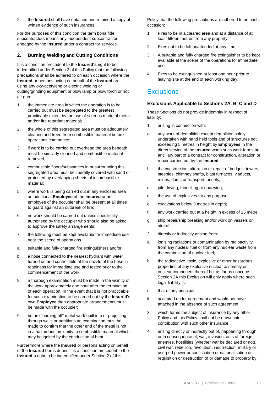2. the **Insured** shall have obtained and retained a copy of written evidence of such insurances.

For the purposes of this condition the term bona fide subcontractors means any independent subcontractor engaged by the **Insured** under a contract for services.

# **2. Burning Welding and Cutting Conditions**

It is a condition precedent to the **Insured's** right to be indemnified under Section 2 of this Policy that the following precautions shall be adhered to on each occasion where the **Insured** or persons acting on behalf of the **Insured** are using any oxy-acetylene or electric welding or cutting/grinding equipment or blow lamp or blow torch or hot air gun:

- 1. the immediate area in which the operation is to be carried out must be segregated to the greatest practicable extent by the use of screens made of metal and/or fire retardant material;
- 2. the whole of this segregated area must be adequately cleaned and freed from combustible material before operations commence;
- 3. if work is to be carried out overhead the area beneath must be similarly cleaned and combustible material removed;
- 4. combustible floors/substances in or surrounding this segregated area must be liberally covered with sand or protected by overlapping sheets of incombustible material;
- 5. where work is being carried out in any enclosed area an additional **Employee** of the **Insured** or an employee of the occupier shall be present at all times to guard against an outbreak of fire;
- 6. no work should be carried out unless specifically authorised by the occupier who should also be asked to approve the safety arrangements;
- 7. the following must be kept available for immediate use near the scene of operations
- a. suitable and fully charged fire extinguishers and/or
- b. a hose connected to the nearest hydrant with water turned on and controllable at the nozzle of the hose in readiness for immediate use and tested prior to the commencement of the work;
- 8. a thorough examination must be made in the vicinity of the work approximately one hour after the termination of each operation. In the event that it is not practicable for such examination to be carried out by the **Insured's** own **Employee** then appropriate arrangements must be made with the occupier;
- 9. before "burning off" metal work built into or projecting through walls or partitions an examination must be made to confirm that the other end of the metal is not in a hazardous proximity to combustible material which may be ignited by the conduction of heat.

Furthermore where the **Insured** or persons acting on behalf of the **Insured** burns debris it is a condition precedent to the **Insured's** right to be indemnified under Section 2 of this

Policy that the following precautions are adhered to on each occasion:

- 1. Fires to be in a cleared area and at a distance of at least fifteen metres from any property;
- 2. Fires not to be left unattended at any time;
- 3. A suitable and fully charged fire extinguisher to be kept available at the scene of the operations for immediate use;
- 4. Fires to be extinguished at least one hour prior to leaving site at the end of each working day.

# **Exclusions**

#### **Exclusions Applicable to Sections 2A, B, C and D**

These Sections do not provide indemnity in respect of liability:

- 1. arising in connection with:
- a. any work of demolition except demolition solely undertaken with hand held tools and of structures not exceeding 5 metres in height by **Employees** in the direct service of the **Insured** when such work forms an ancillary part of a contract for construction, alteration or repair carried out by the **Insured**;
- b. the construction, alteration or repair of bridges, towers, steeples, chimney shafts, blast furnaces, viaducts, mines, dams or transport tunnels;
- c. pile driving, tunnelling or quarrying;
- d. the use of explosives for any purpose;
- e. excavations below 3 metres in depth;
- f. any work carried out at a height in excess of 15 metre;
- g. ship repair/ship breaking and/or work on vessels or aircraft;
- 2. directly or indirectly arising from:
- a. ionising radiations or contamination by radioactivity from any nuclear fuel or from any nuclear waste from the combustion of nuclear fuel;
- b. the radioactive, toxic, explosive or other hazardous properties of any explosive nuclear assembly or nuclear component thereof but as far as concerns Section 2A this Exclusion will only apply where such legal liability is:
- i. that of any principal;
- ii. accepted under agreement and would not have attached in the absence of such agreement;
- 3. which forms the subject of insurance by any other Policy and this Policy shall not be drawn into contribution with such other insurance;
- 4. arising directly or indirectly out of, happening through or in consequence of, war, invasion, acts of foreign enemies, hostilities (whether war be declared or not), civil war, rebellion, revolution, insurrection, military or usurped power or confiscation or nationalisation or requisition or destruction of or damage to property by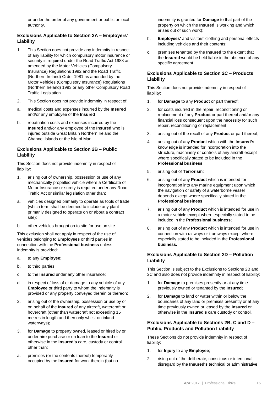or under the order of any government or public or local authority.

# **Exclusions Applicable to Section 2A – Employers' Liability**

- 1. This Section does not provide any indemnity in respect of any liability for which compulsory motor insurance or security is required under the Road Traffic Act 1988 as amended by the Motor Vehicles (Compulsory Insurance) Regulations 1992 and the Road Traffic (Northern Ireland) Order 1981 as amended by the Motor Vehicles (Compulsory Insurance) Regulations (Northern Ireland) 1993 or any other Compulsory Road Traffic Legislation.
- 2. This Section does not provide indemnity in respect of:
- a. medical costs and expenses incurred by the **Insured** and/or any employee of the **Insured**
- b. repatriation costs and expenses incurred by the **Insured** and/or any employee of the **Insured** who is injured outside Great Britain Northern Ireland the Channel Islands or the Isle of Man.

# **Exclusions Applicable to Section 2B – Public Liability**

This Section does not provide indemnity in respect of liability:

- 1. arising out of ownership, possession or use of any mechanically propelled vehicle where a Certificate of Motor Insurance or surety is required under any Road Traffic Act or similar legislation other than:
- a. vehicles designed primarily to operate as tools of trade (which term shall be deemed to include any plant primarily designed to operate on or about a contract site);
- b. other vehicles brought on to site for use on site.

This exclusion shall not apply in respect of the use of vehicles belonging to **Employees** or third parties in connection with the **Professional business** unless indemnity is provided:

- a. to any **Employee**;
- b. to third parties;
- c. to the **Insured** under any other insurance;
- d. in respect of loss of or damage to any vehicle of any **Employee** or third party to whom the indemnity is provided or any property conveyed therein or thereon;
- 2. arising out of the ownership, possession or use by or on behalf of the **Insured** of any aircraft, watercraft or hovercraft (other than watercraft not exceeding 15 metres in length and then only whilst on inland waterways);
- 3. for **Damage** to property owned, leased or hired by or under hire purchase or on loan to the **Insured** or otherwise in the **Insured's** care, custody or control other than:
- a. premises (or the contents thereof) temporarily occupied by the **Insured** for work therein (but no

indemnity is granted for **Damage** to that part of the property on which the **Insured** is working and which arises out of such work);

- b. **Employees'** and visitors' clothing and personal effects including vehicles and their contents;
- c. premises tenanted by the **Insured** to the extent that the **Insured** would be held liable in the absence of any specific agreement.

# **Exclusions Applicable to Section 2C – Products Liability**

This Section does not provide indemnity in respect of liability:

- 1. for **Damage** to any **Product** or part thereof;
- 2. for costs incurred in the repair, reconditioning or replacement of any **Product** or part thereof and/or any financial loss consequent upon the necessity for such repair, reconditioning or replacement;
- 3. arising out of the recall of any **Product** or part thereof;
- 4. arising out of any **Product** which with the **Insured's** knowledge is intended for incorporation into the structure, machinery or controls of any aircraft except where specifically stated to be included in the **Professional business**;
- 5. arising out of **Terrorism**;
- 6. arising out of any **Product** which is intended for incorporation into any marine equipment upon which the navigation or safety of a waterborne vessel depends except where specifically stated in the **Professional business**;
- 7. arising out of any **Product** which is intended for use in a motor vehicle except where especially stated to be included in the **Professional business**;
- 8. arising out of any **Product** which is intended for use in connection with railways or tramways except where especially stated to be included in the **Professional business.**

## **Exclusions Applicable to Section 2D – Pollution Liability**

This Section is subject to the Exclusions to Sections 2B and 2C and also does not provide indemnity in respect of liability:

- 1. for **Damage** to premises presently or at any time previously owned or tenanted by the **Insured**;
- 2. for **Damage** to land or water within or below the boundaries of any land or premises presently or at any time previously owned or leased by the **Insured** or otherwise in the **Insured's** care custody or control.

## **Exclusions Applicable to Sections 2B, C and D – Public, Products and Pollution Liability**

These Sections do not provide indemnity in respect of liability:

- 1. for **Injury** to any **Employee**;
- 2. rising out of the deliberate, conscious or intentional disregard by the **Insured's** technical or administrative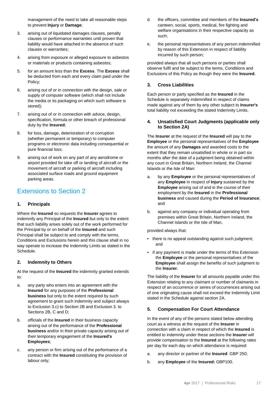management of the need to take all reasonable steps to prevent **Injury** or **Damage**;

- 3. arising out of liquidated damages clauses, penalty clauses or performance warranties until proven that liability would have attached in the absence of such clauses or warranties;
- 4. arising from exposure or alleged exposure to asbestos or materials or products containing asbestos;
- 5. for an amount less than the **Excess**. The **Excess** shall be deducted from each and every claim paid under the Policy;
- 6. arising out of or in connection with the design, sale or supply of computer software (which shall not include the media or its packaging on which such software is stored);
- 7. arising out of or in connection with advice, design, specification, formula or other breach of professional duty by the **Insured**;
- 8. for loss, damage, deterioration of or corruption (whether permanent or temporary) to computer programs or electronic data including consequential or pure financial loss;
- 9. arising out of work on any part of any aerodrome or airport provided for take off or landing of aircraft or the movement of aircraft or parking of aircraft including associated surface roads and ground equipment parking areas.

# Extensions to Section 2

## **1. Principals**

Where the **Insured** so requests the **Insurer** agrees to indemnify any Principal of the **Insured** but only to the extent that such liability arises solely out of the work performed for the Principal by or on behalf of the **Insured** and such Principal shall be subject to and comply with the terms, Conditions and Exclusions herein and this clause shall in no way operate to increase the Indemnity Limits as stated in the Schedule.

## **2. Indemnity to Others**

At the request of the **Insured** the indemnity granted extends to:

- a. any party who enters into an agreement with the **Insured** for any purposes of the **Professional business** but only to the extent required by such agreement to grant such indemnity and subject always to Exclusion 3.c) to Section 2B and Exclusion 3. to Sections 2B, C and D;
- b. officials of the **Insured** in their business capacity arising out of the performance of the **Professional business** and/or in their private capacity arising out of their temporary engagement of the **Insured's Employees**;
- c. any person or firm arising out of the performance of a contract with the **Insured** constituting the provision of labour only;
- d. the officers, committee and members of the **Insured's** canteen, social, sports, medical, fire fighting and welfare organisations in their respective capacity as such;
- e. the personal representatives of any person indemnified by reason of this Extension in respect of liability incurred by such person;

provided always that all such persons or parties shall observe fulfil and be subject to the terms, Conditions and Exclusions of this Policy as though they were the **Insured**.

# **3. Cross Liabilities**

Each person or party specified as the **Insured** in the Schedule is separately indemnified in respect of claims made against any of them by any other subject to **Insurer's** total liability not exceeding the stated Indemnity Limits.

#### **4. Unsatisfied Court Judgments (applicable only to Section 2A)**

The **Insurer** at the request of the **Insured** will pay to the **Employee** or the personal representatives of the **Employee** the amount of any **Damages** and awarded costs to the extent that they remain unsatisfied in whole or in part six months after the date of a judgment being obtained within any court in Great Britain, Northern Ireland, the Channel Islands or the Isle of Man:

- a. by any **Employee** or the personal representatives of any **Employee** in respect of **Injury** sustained by the **Employee** arising out of and in the course of their employment by the **Insured** in the **Professional business** and caused during the **Period of Insurance**; and
- b. against any company or individual operating from premises within Great Britain, Northern Ireland, the Channel Islands or the Isle of Man,

provided always that:

- there is no appeal outstanding against such judgment; and
- if any payment is made under the terms of this Extension the **Employee** or the personal representatives of the **Employee** shall assign the benefits of such judgment to the **Insurer.**

The liability of the **Insurer** for all amounts payable under this Extension relating to any claimant or number of claimants in respect of an occurrence or series of occurrences arising out of one originating cause shall not exceed the Indemnity Limit stated in the Schedule against section 2A.

# **5. Compensation For Court Attendance**

In the event of any of the persons stated below attending court as a witness at the request of the **Insurer** in connection with a claim in respect of which the **Insured** is entitled to indemnity under these sections the **Insurer** will provide compensation to the **Insured** at the following rates per day for each day on which attendance is required:

- a. any director or partner of the **Insured**: GBP 250;
- b. any **Employee** of the **Insured:** GBP100.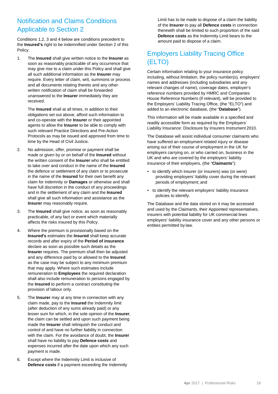# Notification and Claims Conditions Applicable to Section 2

Conditions 1,2, 3 and 4 below are conditions precedent to the **Insured's** right to be indemnified under Section 2 of this Policy.

1. The **Insured** shall give written notice to the **Insurer** as soon as reasonably practicable of any occurrence that may give rise to a claim under this Policy and shall give all such additional information as the **Insurer** may require. Every letter of claim, writ, summons or process and all documents relating thereto and any other written notification of claim shall be forwarded unanswered to the **Insurer** immediately they are received.

The **Insured** shall at all times, in addition to their obligations set out above, afford such information to and co-operate with the **Insurer** or their appointed agents to allow the **Insurer** to be able to comply with such relevant Practice Directions and Pre-Action Protocols as may be issued and approved from time to time by the Head of Civil Justice*.*

- 2. No admission, offer, promise or payment shall be made or given by or on behalf of the **Insured** without the written consent of the **Insurer** who shall be entitled to take over and conduct in the name of the **Insured** the defence or settlement of any claim or to prosecute in the name of the **Insured** for their own benefit any claim for indemnity or **Damages** or otherwise and shall have full discretion in the conduct of any proceedings and in the settlement of any claim and the **Insured** shall give all such information and assistance as the **Insurer** may reasonably require.
- 3. The **Insured** shall give notice, as soon as reasonably practicable, of any fact or event which materially affects the risks insured by this Policy.
- 4. Where the premium is provisionally based on the **Insured's** estimates the **Insured** shall keep accurate records and after expiry of the **Period of insurance** declare as soon as possible such details as the **Insurer** requires. The premium shall then be adjusted and any difference paid by or allowed to the **Insured** as the case may be subject to any minimum premium that may apply. Where such estimates include remuneration to **Employees** the required declaration shall also include remuneration to persons engaged by the **Insured** to perform a contract constituting the provision of labour only.
- 5. The **Insurer** may at any time in connection with any claim made, pay to the **Insured** the Indemnity limit (after deduction of any sums already paid) or any lesser sum for which, in the sole opinion of the **Insurer**, the claim can be settled and upon such payment being made the **Insurer** shall relinquish the conduct and control of and have no further liability in connection with the claim. For the avoidance of doubt, the **Insurer** shall have no liability to pay **Defence costs** and expenses incurred after the date upon which any such payment is made.
- 6. Except where the Indemnity Limit is inclusive of **Defence costs** if a payment exceeding the Indemnity

Limit has to be made to dispose of a claim the liability of the **Insurer** to pay all **Defence costs** in connection therewith shall be limited to such proportion of the said **Defence costs** as the Indemnity Limit bears to the amount paid to dispose of a claim.

# Employers Liability Tracing Office (ELTO)

Certain information relating to your insurance policy including, without limitation, the policy number(s), employers' names and addresses (including subsidiaries and any relevant changes of name), coverage dates, employer's reference numbers provided by HMRC and Companies House Reference Numbers (if relevant), will be provided to the Employers' Liability Tracing Office, (the "ELTO") and added to an electronic database, (the "**Database**").

This information will be made available in a specified and readily accessible form as required by the Employers' Liability Insurance: Disclosure by Insurers Instrument 2010.

The Database will assist individual consumer claimants who have suffered an employment related injury or disease arising out of their course of employment in the UK for employers carrying on, or who carried on, business in the UK and who are covered by the employers' liability insurance of their employers, (the "**Claimants**"):

- to identify which insurer (or insurers) was (or were) providing employers' liability cover during the relevant periods of employment; and
- to identify the relevant employers' liability insurance policies to identify.

The Database and the data stored on it may be accessed and used by the Claimants, their Appointed representatives, insurers with potential liability for UK commercial lines employers' liability insurance cover and any other persons or entities permitted by law.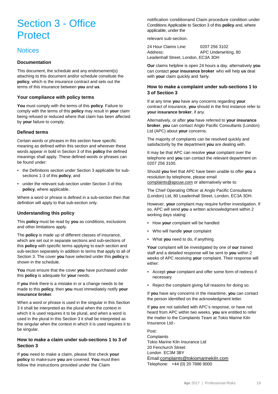# Section 3 - Office **Protect**

# **Notices**

#### **Documentation**

This document, the schedule and any endorsement(s) attaching to this document and/or schedule constitute the **policy**, which is the insurance contract and sets out the terms of this insurance between **you** and **us**.

#### **Your compliance with policy terms**

**You** must comply with the terms of this **policy**. Failure to comply with the terms of this **policy** may result in **your** claim being refused or reduced where that claim has been affected by **your** failure to comply.

#### **Defined terms**

Certain words or phrases in this section have specific meaning as defined within this section and wherever these words appear in bold in Section 3 of this **policy** the defined meanings shall apply. These defined words or phrases can be found under:

- the Definitions section under Section 3 applicable for subsections 1-3 of this **policy**, and
- under the relevant sub-section under Section 3 of this **policy**, where applicable.

Where a word or phrase is defined in a sub-section then that definition will apply to that sub-section only.

## **Understanding this policy**

This **policy** must be read by **you** as conditions, exclusions and other limitations apply.

The **policy** is made up of different classes of insurance, which are set out in separate sections and sub-sections of this **policy** with specific terms applying to each section and sub-section separately in addition to terms that apply to all of Section 3. The cover **you** have selected under this **policy** is shown in the schedule.

**You** must ensure that the cover **you** have purchased under this **policy** is adequate for **your** needs.

If **you** think there is a mistake in or a change needs to be made to this **policy**, then **you** must immediately notify **your insurance broker**.

When a word or phrase is used in the singular in this Section 3 it shall be interpreted as the plural when the context in which it is used requires it to be plural, and when a word is used in the plural in this Section 3 it shall be interpreted as the singular when the context in which it is used requires it to be singular.

#### **How to make a claim under sub-sections 1 to 3 of Section 3**

If **you** need to make a claim, please first check **your policy** to makesure **you** are covered. **You** must then follow the instructions provided under the Claim

notification conditionand Claim procedure condition under Conditions Applicable to Section 3 of this **policy** and, where applicable, under the

relevant sub-section.

24 Hour Claims Line: 0207 256 3102 Address: APC Underwriting, 80 Leadenhall Street, London, EC3A 3DH

**Our** claims helpline is open 24 hours a day, alternatively **you** can contact **your insurance broker** who will help **us** deal with **your** claim quickly and fairly.

## **How to make a complaint under sub-sections 1 to 3 of Section 3**

If at any time **you** have any concerns regarding **your**  contract of insurance, **you** should in the first instance refer to **your insurance broker**, if any.

Alternatively, or after **you** have referred to **your insurance broker**, **you** can contact Anglo Pacific Consultants (London) Ltd (APC) about **your** concerns.

The majority of complaints can be resolved quickly and satisfactorily by the department **you** are dealing with.

It may be that APC can resolve **your** complaint over the telephone and **you** can contact the relevant department on 0207 256 3100.

Should **you** feel that APC have been unable to offer **you** a resolution by telephone, please email [complaints@apcuw.com](mailto:complaints@apcuw.com) or alternatively write to:

The Chief Operating Officer at Anglo Pacific Consultants (London) Ltd, 80 Leadenhall Street, London, EC3A 3DH.

However, **your** complaint may require further investigation. If so, APC will send **you** a written acknowledgment within 2 working days stating:

- How **your** complaint will be handled
- Who will handle **your** complaint
- What **you** need to do, if anything.

**Your** complaint will be investigated by one of **our** trained staff and a detailed response will be sent to **you** within 2 weeks of APC receiving **your** complaint. Their response will either:

- Accept **your** complaint and offer some form of redress if necessary
- Reject the complaint giving full reasons for doing so.

If **you** have any concerns in the meantime, **you** can contact the person identified on the acknowledgment letter.

If **you** are not satisfied with APC's response, or have not heard from APC within two weeks, **you** are entitled to refer the matter to the Complaints Team at Tokio Marine Kiln Insurance Ltd:-

Post: **Complaints** Tokio Marine Kiln Insurance Ltd 20 Fenchurch Street London EC3M 3BY Email[:complaints@tokiomarinekiln.com](mailto:complaints@tokiomarinekiln.com) Telephone: +44 (0) 20 7886 9000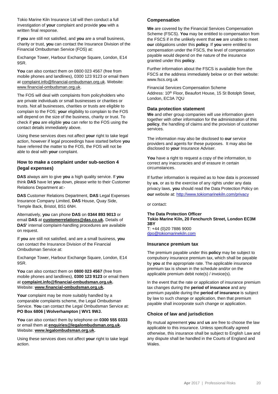Tokio Marine Kiln Insurance Ltd will then conduct a full investigation of **your** complaint and provide **you** with a written final response.

If **you** are still not satisfied, and **you** are a small business, charity or trust, **you** can contact the Insurance Division of the Financial Ombudsman Service (FOS) at:

Exchange Tower, Harbour Exchange Square, London, E14 9SR.

**You** can also contact them on 0800 023 4567 (free from mobile phones and landlines), 0300 123 9123 or email them at [complaint.info@financial-ombudsman.org.uk.](mailto:complaint.info@financial-ombudsman.org.uk) Website: [www.financial-ombudsman.org.uk.](http://www.financial-ombudsman.org.uk/)

The FOS will deal with complaints from policyholders who are private individuals or small businesses or charities or trusts. Not all businesses, charities or trusts are eligible to complain to the FOS; **your** eligibility to complain to the FOS will depend on the size of the business, charity or trust. To check if **you** are eligible **you** can refer to the FOS using the contact details immediately above.

Using these services does not affect **your** right to take legal action, however if legal proceedings have started before **you** have referred the matter to the FOS, the FOS will not be able to deal with **your** complaint.

#### **How to make a complaint under sub-section 4 (legal expenses)**

**DAS** always aim to give **you** a high quality service. If **you**  think **DAS** have let **you** down, please write to their Customer Relations Department at:-

**DAS** Customer Relations Department, **DAS** Legal Expenses Insurance Company Limited, **DAS** House, Quay Side, Temple Back, Bristol, BS1 6NH.

Alternatively, **you** can phone **DAS** on **0344 893 9013** or email **DAS** at **[customerrelations@das.co.uk.](mailto:customerrelations@das.co.uk)** Details of **DAS'** internal complaint-handling procedures are available on request.

If **you** are still not satisfied, and are a small business, **you**  can contact the Insurance Division of the Financial Ombudsman Service at:

Exchange Tower, Harbour Exchange Square, London, E14 9SR.

**You** can also contact them on **0800 023 4567** (free from mobile phones and landlines), **0300 123 9123** or email them at **[complaint.info@financial-ombudsman.org.uk.](mailto:complaint.info@financial-ombudsman.org.uk)**  Website: **[www.financial-ombudsman.org.uk.](http://www.financial-ombudsman.org.uk/)**

Your complaint may be more suitably handled by a comparable complaints scheme, the Legal Ombudsman Service. **You** can contact the Legal Ombudsman Service at: **PO Box 6806 | Wolverhampton | WV1 9WJ.**

**You** can also contact them by telephone on **0300 555 0333**  or email them at **[enquiries@legalombudsman.org.uk.](mailto:enquiries@legalombudsman.org.uk)**  Website: **[www.legalombudsman.org.uk.](http://www.legalombudsman.org.uk/)**

Using these services does not affect **your** right to take legal action.

## **Compensation**

**We** are covered by the Financial Services Compensation Scheme (FSCS). **You** may be entitled to compensation from the FSCS if in the unlikely event that **we** are unable to meet **our** obligations under this **policy**. If **you** were entitled to compensation under the FSCS, the level of compensation payable would depend on the nature of the insurance granted under this **policy**.

Further information about the FSCS is available from the FSCS at the address immediately below or on their website: [www.fscs.org.uk](http://www.fscs.org.uk/)

Financial Services Compensation Scheme Address: 10<sup>th</sup> Floor, Beaufort House, 15 St Botolph Street, London, EC3A 7QU

#### **Data protection statement**

**We** and other group companies will use information given together with other information for the administration of this **policy**, the handling of claims and the provision of customer services.

The information may also be disclosed to **our** service providers and agents for these purposes. It may also be disclosed to **your** Insurance Adviser.

**You** have a right to request a copy of the information, to correct any inaccuracies and of erasure in certain circumstances.

If further information is required as to how data is processed by **us**, or as to the exercise of any rights under any data privacy laws, **you** should read the Data Protection Policy on **our** website at: <http://www.tokiomarinekiln.com/privacy>

or contact:

#### **The Data Protection Officer Tokio Marine Kiln, 20 Fenchurch Street, London EC3M 3BY** T: +44 (0)20 7886 9000

[dpo@tokiomarinekiln.com](mailto:dpo@tokiomarinekiln.com)

# **Insurance premium tax**

The premium payable under this **policy** may be subject to compulsory insurance premium tax, which shall be payable by **you** at the appropriate rate. The applicable insurance premium tax is shown in the schedule and/or on the applicable premium debit note(s) / invoice(s).

In the event that the rate or application of insurance premium tax changes during the **period of insurance** and any premium payable during the **period of insurance** is subject by law to such change or application, then that premium payable shall incorporate such change or application.

## **Choice of law and jurisdiction**

By mutual agreement **you** and **us** are free to choose the law applicable to this insurance. Unless specifically agreed otherwise, this insurance shall be subject to English Law and any dispute shall be handled in the Courts of England and Wales.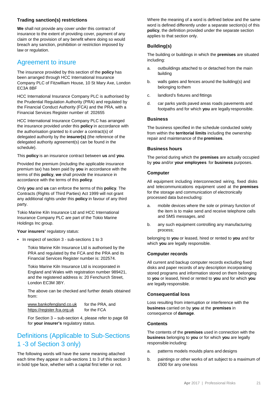# **Trading sanction(s) restrictions**

**We** shall not provide any cover under this contract of insurance to the extent of providing cover, payment of any claim or the provision of any benefit where doing so would breach any sanction, prohibition or restriction imposed by law or regulation.

# Agreement to insure

The insurance provided by this section of the **policy** has been arranged through HCC International Insurance Company PLC of Fitzwilliam House, 10 St Mary Axe, London EC3A 8BF

HCC International Insurance Company PLC is authorised by the Prudential Regulation Authority (PRA) and regulated by the Financial Conduct Authority (FCA) and the PRA, with a Financial Services Register number of: 202655

HCC International Insurance Company PLC has arranged the insurance provided under this **policy** in accordance with the authorisation granted to it under a contract(s) of delegated authority by the **insurer(s)** (the reference of the delegated authority agreement(s) can be found in the schedule).

This **policy** is an insurance contract between **us** and **you**.

Provided the premium (including the applicable insurance premium tax) has been paid by **you** in accordance with the terms of this **policy**, **we** shall provide the insurance in accordance with the terms of this **policy**.

Only **you** and **us** can enforce the terms of this **policy**. The Contracts (Rights of Third Parties) Act 1999 will not grant any additional rights under this **policy** in favour of any third party.

Tokio Marine Kiln Insurance Ltd and HCC International Insurance Company PLC are part of the Tokio Marine Holdings Inc group.

Your insurers' regulatory status:

• In respect of section 3 - sub-sections 1 to 3

Tokio Marine Kiln Insurance Ltd is authorised by the PRA and regulated by the FCA and the PRA and its Financial Services Register number is: 202574.

Tokio Marine Kiln Insurance Ltd is incorporated in England and Wales with registration number 989421, and the registered address is: 20 Fenchurch Street, London EC3M 3BY.

The above can be checked and further details obtained from:

[www.bankofengland.co.uk](http://www.bankofengland.co.uk/) for the PRA, and [https://register.fca.org.uk](https://register.fca.org.uk/) for the FCA

For Section 3 – sub-section 4, please refer to page 68 for **your insurer's** regulatory status.

# Definitions (Applicable to Sub-Sections 1 -3 of Section 3 only)

The following words will have the same meaning attached each time they appear in sub-sections 1 to 3 of this section 3 in bold type face, whether with a capital first letter or not.

Where the meaning of a word is defined below and the same word is defined differently under a separate section(s) of this **policy**, the definition provided under the separate section applies to that section only.

# **Building(s)**

The building or buildings in which the **premises** are situated including:

- a. outbuildings attached to or detached from the main building
- b. walls gates and fences around the building(s) and belonging to them
- c. landlord's fixtures and fittings
- d. car parks yards paved areas roads pavements and footpaths and for which **you** are legally responsible.

## **Business**

The business specified in the schedule conducted solely from within the **territorial limits** including the ownership repair and maintenance of the **premises**.

# **Business hours**

The period during which the **premises** are actually occupied by **you** and/or **your employees** for **business** purposes.

## **Computer**

All equipment including interconnected wiring, fixed disks and telecommunications equipment used at the **premises**  for the storage and communication of electronically processed data but excluding:

- a. mobile devices where the sole or primary function of the item is to make send and receive telephone calls and SMS messages, and
- b. any such equipment controlling any manufacturing process;

belonging to **you** or leased, hired or rented to **you** and for which **you** are legally responsible.

## **Computer records**

All current and backup computer records excluding fixed disks and paper records of any description incorporating stored programs and information stored on them belonging to **you** or leased, hired or rented to **you** and for which **you** are legally responsible.

## **Consequential loss**

Loss resulting from interruption or interference with the **business** carried on by **you** at the **premises** in consequence of **damage**.

## **Contents**

The contents of the **premises** used in connection with the **business** belonging to **you** or for which **you** are legally responsible including:

- a. patterns models moulds plans and designs
- b. paintings or other works of art subject to a maximum of £500 for any one loss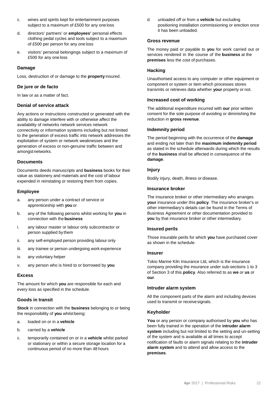- c. wines and spirits kept for entertainment purposes subject to a maximum of £500 for any oneloss
- d. directors' partners' or **employees'** personal effects clothing pedal cycles and tools subject to a maximum of £500 per person for any one loss
- e. visitors' personal belongings subject to a maximum of £500 for any one loss

#### **Damage**

Loss, destruction of or damage to the **property** insured.

#### **De jure or de facto**

In law or as a matter of fact.

#### **Denial of service attack**

Any actions or instructions constructed or generated with the ability to damage interfere with or otherwise affect the availability of networks network services network connectivity or information systems including but not limited to the generation of excess traffic into network addresses the exploitation of system or network weaknesses and the generation of excess or non-genuine traffic between and amongstnetworks.

#### **Documents**

Documents deeds manuscripts and **business** books for their value as stationery and materials and the cost of labour expended in reinstating or restoring them from copies.

#### **Employee**

- a. any person under a contract of service or apprenticeship with **you** or
- b. any of the following persons whilst working for **you** in connection with the **business**
- i. any labour master or labour only subcontractor or person supplied by them
- ii. any self-employed person providing labour only
- iii. any trainee or person undergoing work experience
- iv. any voluntary helper
- v. any person who is hired to or borrowed by **you**

#### **Excess**

The amount for which **you** are responsible for each and every loss as specified in the schedule.

## **Goods in transit**

**Stock** in connection with the **business** belonging to or being the responsibility of **you** whilst being:

- a. loaded on or in a **vehicle**
- b. carried by a **vehicle**
- c. temporarily contained on or in a **vehicle** whilst parked or stationary or within a secure storage location for a continuous period of no more than 48 hours

d. unloaded off or from a **vehicle** but excluding positioning installation commissioning or erection once it has been unloaded.

#### **Gross revenue**

The money paid or payable to **you** for work carried out or services rendered in the course of the **business** at the **premises** less the cost of purchases.

#### **Hacking**

Unauthorised access to any computer or other equipment or component or system or item which processes stores transmits or retrieves data whether **your** property or not.

#### **Increased cost of working**

The additional expenditure incurred with **our** prior written consent for the sole purpose of avoiding or diminishing the reduction in **gross revenue**.

#### **Indemnity period**

The period beginning with the occurrence of the **damage**  and ending not later than the **maximum indemnity period**  as stated in the schedule afterwards during which the results of the **business** shall be affected in consequence of the **damage**.

#### **Injury**

Bodily injury, death, illness or disease.

#### **Insurance broker**

The insurance broker or other intermediary who arranges **your** insurance under this **policy**. The insurance broker's or other intermediary's details can be found in the Terms of Business Agreement or other documentation provided to **you** by that insurance broker or other intermediary.

#### **Insured perils**

Those insurable perils for which **you** have purchased cover as shown in the schedule.

#### **Insurer**

Tokio Marine Kiln Insurance Ltd, which is the insurance company providing the insurance under sub-sections 1 to 3 of Section 3 of this **policy**. Also referred to as **we** or **us** or **our**.

#### **Intruder alarm system**

All the component parts of the alarm and including devices used to transmit or receivesignals.

#### **Keyholder**

**You** or any person or company authorised by **you** who has been fully trained in the operation of the **intruder alarm system** including but not limited to the setting and un-setting of the system and is available at all times to accept notification of faults or alarm signals relating to the **intruder alarm system** and to attend and allow access to the **premises**.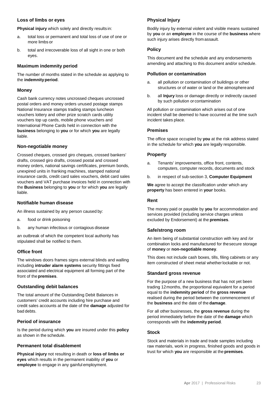## **Loss of limbs or eyes**

**Physical injury** which solely and directly results in:

- a. total loss or permanent and total loss of use of one or more limbs or
- b. total and irrecoverable loss of all sight in one or both eyes.

#### **Maximum indemnity period**

The number of months stated in the schedule as applying to the **indemnityperiod**.

#### **Money**

Cash bank currency notes uncrossed cheques uncrossed postal orders and money orders unused postage stamps National Insurance stamps trading stamps luncheon vouchers lottery and other prize scratch cards utility vouchers top up cards, mobile phone vouchers and International Phone Cards held in connection with the **business** belonging to **you** or for which **you** are legally liable.

#### **Non-negotiable money**

Crossed cheques, crossed giro cheques, crossed bankers' drafts, crossed giro drafts, crossed postal and crossed money orders, national savings certificates, premium bonds, unexpired units in franking machines, stamped national insurance cards, credit card sales vouchers, debit card sales vouchers and VAT purchase invoices held in connection with the **Business** belonging to **you** or for which **you** are legally liable.

#### **Notifiable human disease**

An illness sustained by any person caused by:

- a. food or drink poisoning
- b. any human infectious or contagious disease

an outbreak of which the competent local authority has stipulated shall be notified to them.

## **Office front**

The windows doors frames signs external blinds and walling including **intruder alarm systems** security fittings fixed associated and electrical equipment all forming part of the front of the**premises**.

#### **Outstanding debit balances**

The total amount of the Outstanding Debit Balances in customers' credit accounts including hire purchase and credit sales accounts at the date of the **damage** adjusted for bad debts.

#### **Period of insurance**

Is the period during which **you** are insured under this **policy** as shown in the schedule.

# **Permanent total disablement**

**Physical injury** not resulting in death or **loss of limbs or eyes** which results in the permanent inability of **you** or **employee** to engage in any gainful employment.

## **Physical Injury**

Bodily injury by external violent and visible means sustained by **you** or an **employee** in the course of the **business** where such injury arises directly from assault.

#### **Policy**

This document and the schedule and any endorsements amending and attaching to this document and/or schedule.

#### **Pollution or contamination**

- a. all pollution or contamination of buildings or other structures or of water or land or the atmosphereand
- b. all **Injury** loss or damage directly or indirectly caused by such pollution or contamination

All pollution or contamination which arises out of one incident shall be deemed to have occurred at the time such incident takes place.

#### **Premises**

The office space occupied by **you** at the risk address stated in the schedule for which **you** are legally responsible.

#### **Property**

- a. Tenants' improvements, office front, contents, computers, computer records, documents and stock
- b. in respect of sub-section 3, **Computer Equipment**

**We** agree to accept the classification under which any **property** has been entered in **your** books.

## **Rent**

The money paid or payable by **you** for accommodation and services provided (including service charges unless excluded by Endorsement) at the **premises**.

#### **Safe/strong room**

An item being of substantial construction with key and /or combination locks and manufactured for thesecure storage of **money** or **non-negotiable money**.

This does not include cash boxes, tills, filing cabinets or any item constructed of sheet metal whetherlockable or not.

#### **Standard gross revenue**

For the purpose of a new business that has not yet been trading 12months, the proportional equivalent for a period equal to the **indemnity period** of the **gross revenue**  realised during the period between the commencement of the **business** and the date of the **damage**.

For all other businesses, the **gross revenue** during the period immediately before the date of the **damage** which corresponds with the **indemnity period**.

#### **Stock**

Stock and materials in trade and trade samples including raw materials, work in progress, finished goods and goods in trust for which **you** are responsible at the **premises**.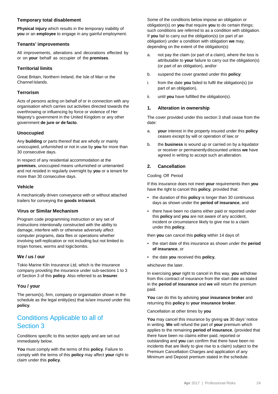#### **Temporary total disablement**

**Physical injury** which results in the temporary inability of **you** or an **employee** to engage in any gainful employment.

#### **Tenants' improvements**

All improvements, alterations and decorations effected by or on **your** behalf as occupier of the **premises**.

## **Territorial limits**

Great Britain, Northern Ireland, the Isle of Man or the Channel Islands.

# **Terrorism**

Acts of persons acting on behalf of or in connection with any organisation which carries out activities directed towards the overthrowing or influencing by force or violence of Her Majesty's government in the United Kingdom or any other government **de jure or de facto**.

# **Unoccupied**

Any **building** or parts thereof that are wholly or mainly unoccupied, unfurnished or not in use by **you** for more than 30 consecutive days.

In respect of any residential accommodation at the **premises**, unoccupied means unfurnished or untenanted and not resided in regularly overnight by **you** or a tenant for more than 30 consecutive days.

## **Vehicle**

A mechanically driven conveyance with or without attached trailers for conveying the **goods intransit**.

## **Virus or Similar Mechanism**

Program code programming instruction or any set of instructions intentionally constructed with the ability to damage, interfere with or otherwise adversely affect computer programs, data files or operations whether involving self-replication or not including but not limited to trojan horses, worms and logicbombs.

## **We / us / our**

Tokio Marine Kiln Insurance Ltd, which is the insurance company providing the insurance under sub-sections 1 to 3 of Section 3 of this **policy**. Also referred to as **Insurer**.

## **You / your**

The person(s), firm, company or organisation shown in the schedule as the legal entity(ies) that is/are insured under this **policy**.

# Conditions Applicable to all of Section 3

Conditions specific to this section apply and are set out immediately below.

**You** must comply with the terms of this **policy**. Failure to comply with the terms of this **policy** may affect **your** right to claim under this **policy**.

Some of the conditions below impose an obligation or obligation(s) on **you** that require **you** to do certain things; such conditions are referred to as a condition with obligation. If **you** fail to carry out the obligation(s) (or part of an obligation) under a condition with obligation **we** may, depending on the extent of the obligation(s):

- a. not pay the claim (or part of a claim), where the loss is attributable to **your** failure to carry out the obligation(s) (or part of an obligation), and/or
- b. suspend the cover granted under this **policy**:
- i. from the date **you** failed to fulfil the obligation(s) (or part of an obligation),
- ii. until **you** have fulfilled the obligation(s).

## **1. Alteration in ownership**

The cover provided under this section 3 shall cease from the date:

- a. **your** interest in the property insured under this **policy** ceases except by will or operation of law; or
- b. the **business** is wound up or carried on by a liquidator or receiver or permanentlydiscounted unless **we** have agreed in writing to accept such an alteration.

## **2. Cancellation**

#### Cooling Off Period

If this insurance does not meet **your** requirements then **you** have the right to cancel this **policy**, provided that:

- the duration of this **policy** is longer than 30 continuous days as shown under the **period of insurance**, and
- there have been no claims either paid or reported under this **policy** and **you** are not aware of any accident, incident or circumstance likely to give rise to a claim under this **policy**,

then **you** can cancel this **policy** within 14 days of:

- the start date of this insurance as shown under the **period of insurance**, or
- the date **you** received this **policy**,

whichever the later.

In exercising **your** right to cancel in this way, **you** withdraw from this contract of insurance from the start date as stated in the **period of insurance** and **we** will return the premium paid.

**You** can do this by advising **your insurance broker** and returning this **policy** to **your insurance broker**.

Cancellation at other times by **you**

**You** may cancel this insurance by giving **us** 30 days' notice in writing. **We** will refund the part of **your** premium which applies to the remaining **period of insurance**, (provided that there have been no claims either paid, reported or outstanding and **you** can confirm that there have been no incidents that are likely to give rise to a claim) subject to the Premium Cancellation Charges and application of any Minimum and Deposit premium stated in the schedule.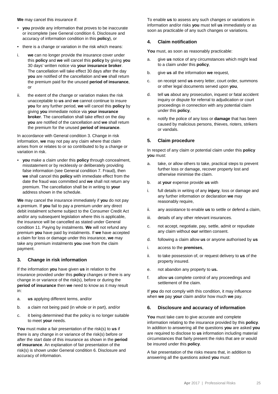**We** may cancel this insurance if:

- **you** provide any information that proves to be inaccurate or incomplete (see General condition 6. Disclosure and accuracy of information condition in this **policy**), or
- there is a change or variation in the risk which means:
- i. **we** can no longer provide the insurance cover under this **policy** and **we** will cancel this **policy** by giving **you** 30 days' written notice via **your insurance broker**. The cancellation will take effect 30 days after the day **you** are notified of the cancellation and **we** shall return the premium paid for the unused **period of insurance**, or
- ii. the extent of the change or variation makes the risk unacceptable to **us** and **we** cannot continue to insure **you** for any further period, **we** will cancel this **policy** by giving **you** immediate notice via **your insurance broker**. The cancellation shall take effect on the day **you** are notified of the cancellation and **we** shall return the premium for the unused **period of insurance**.

In accordance with General condition 3. Change in risk information, **we** may not pay any claim where that claim arises from or relates to or so contributed to by a change or variation in risk.

• **you** make a claim under this **policy** through concealment, misstatement or by recklessly or deliberately providing false information (see General condition 7. Fraud), then **we** shall cancel this **policy** with immediate effect from the date the fraud was committed and **we** shall not return any premium. The cancellation shall be in writing to **your** address shown in the schedule.

**We** may cancel the insurance immediately if **you** do not pay a premium. If **you** fail to pay a premium under any direct debit instalment scheme subject to the Consumer Credit Act and/or any subsequent legislation where this is applicable, the insurance will be cancelled as stated under General condition 11. Paying by instalments. **We** will not refund any premium **you** have paid by instalments. If **we** have accepted a claim for loss or damage under this insurance, **we** may take any premium instalments **you** owe from the claim payment.

## **3. Change in risk information**

If the information **you** have given **us** in relation to the insurance provided under this **policy** changes or there is any change in or variance of the risk(s), before or during the **period of insurance** then **we** need to know as it may result in:

- a. **us** applying different terms, and/or
- b. a claim not being paid (in whole or in part), and/or
- c. it being determined that the policy is no longer suitable to meet **your** needs.

**You** must make a fair presentation of the risk(s) to **us** if there is any change in or variance of the risk(s) before or after the start date of this insurance as shown in the **period of insurance**. An explanation of fair presentation of the risk(s) is shown under General condition 6. Disclosure and accuracy of information.

To enable **us** to assess any such changes or variations in information and/or risks **you** must tell **us** immediately or as soon as practicable of any such changes or variations.

#### **4. Claim notification**

**You** must, as soon as reasonably practicable:

- a. give **us** notice of any circumstances which might lead to a claim under this **policy**,
- b. give **us** all the information **we** request,
- c. on receipt send **us** every letter, court order, summons or other legal documents served upon **you**,
- d. tell **us** about any prosecution, inquest or fatal accident inquiry or dispute for referral to adjudication or court proceedings in connection with any potential claim under this **policy**,
- e. notify the police of any loss or **damage** that has been caused by malicious persons, thieves, rioters, strikers or vandals.

#### **5. Claim procedure**

In respect of any claim or potential claim under this **policy you** must:

- a. take, or allow others to take, practical steps to prevent further loss or damage, recover property lost and otherwise minimise the claim.
- b. at **your** expense provide **us** with
- i. full details in writing of any **injury**, loss or damage and any further information or declaration **we** may reasonably require,
- ii. any assistance to enable **us** to settle or defend a claim,
- iii. details of any other relevant insurances.
- c. not accept, negotiate, pay, settle, admit or repudiate any claim without **our** written consent.
- d. following a claim allow **us** or anyone authorised by **us**
- i. access to the **premises**,
- ii. to take possession of, or request delivery to **us** of the property insured.
- e. not abandon any property to **us.**
- f. allow **us** complete control of any proceedings and settlement of the claim.

If **you** do not comply with this condition, it may influence when **we** pay **your** claim and/or how much **we** pay.

#### **6. Disclosure and accuracy of information**

**You** must take care to give accurate and complete information relating to the insurance provided by this **policy**. In addition to answering all the questions **you** are asked **you** are required to disclose to **us** information including material circumstances that fairly present the risks that are or would be insured under this **policy**.

A fair presentation of the risks means that, in addition to answering all the questions asked **you** must: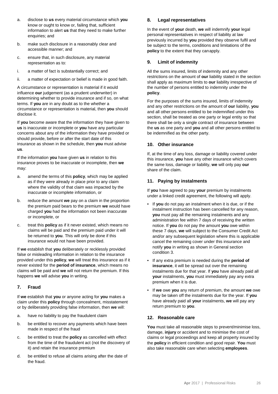- a. disclose to **us** every material circumstance which **you** know or ought to know or, failing that, sufficient information to alert **us** that they need to make further enquiries; and
- b. make such disclosure in a reasonably clear and accessible manner; and
- c. ensure that, in such disclosure, any material representation as to:
- i. a matter of fact is substantially correct; and
- ii. a matter of expectation or belief is made in good faith.

A circumstance or representation is material if it would influence **our** judgement (as a prudent underwriter) in determining whether to provide insurance and if so, on what terms. If **you** are in any doubt as to the whether a circumstance or representation is material, then **you** should disclose it.

If **you** become aware that the information they have given to **us** is inaccurate or incomplete or **you** have any particular concerns about any of the information they have provided or should provide, before or after the start date of this insurance as shown in the schedule, then **you** must advise **us**.

If the information **you** have given **us** in relation to this insurance proves to be inaccurate or incomplete, then **we** may:

- a. amend the terms of this **policy**, which may be applied as if they were already in place prior to any claim where the validity of that claim was impacted by the inaccurate or incomplete information, or
- b. reduce the amount **we** pay on a claim in the proportion the premium paid bears to the premium **we** would have charged **you** had the information not been inaccurate or incomplete, or
- c. treat this **policy** as if it never existed, which means no claims will be paid and the premium paid under it will be returned to **you**. This will only be done if this insurance would not have been provided.

If **we** establish that **you** deliberately or recklessly provided false or misleading information in relation to the insurance provided under this **policy**, **we** will treat this insurance as if it never existed for the **period of insurance**, which means no claims will be paid and **we** will not return the premium. If this happens **we** will advise **you** in writing.

## **7. Fraud**

If **we** establish that **you** or anyone acting for **you** makes a claim under this **policy** through concealment, misstatement or by deliberately providing false information, then **we** will:

- a. have no liability to pay the fraudulent claim
- b. be entitled to recover any payments which have been made in respect of the fraud
- c. be entitled to treat the **policy** as cancelled with effect from the time of the fraudulent act (not the discovery of it) and retain the insurance premium
- d. be entitled to refuse all claims arising after the date of the fraud.

#### **8. Legal representatives**

In the event of **your** death, **we** will indemnify **your** legal personal representatives in respect of liability at law previously incurred by **you** provided they observe fulfil and be subject to the terms, conditions and limitations of the **policy** to the extent that they canapply.

#### **9. Limit of indemnity**

All the sums insured, limits of indemnity and any other restrictions on the amount of **our** liability stated in the section shall apply as maximum limits to **our** liability irrespective of the number of persons entitled to indemnity under the **policy**.

For the purposes of the sums insured, limits of indemnity and any other restrictions on the amount of **our** liability, **you** and all other persons entitled to be indemnified under this section, shall be treated as one party or legal entity so that there shall be only a single contract of insurance between the **us** as one party and **you** and all other persons entitled to be indemnified as the other party.

## **10. Other insurance**

If, at the time of any loss, damage or liability covered under this insurance, **you** have any other insurance which covers the same loss, damage or liability, **we** will only pay **our** share of the claim.

## **11. Paying by instalments**

If **you** have agreed to pay **your** premium by instalments under a linked credit agreement, the following will apply.

- If **you** do not pay an instalment when it is due, or if the instalment instruction has been cancelled for any reason, **you** must pay all the remaining instalments and any administration fee within 7 days of receiving the written notice. If **you** do not pay the amount **you** owe within these 7 days, **we** will subject to the Consumer Credit Act and/or any subsequent legislation where this is applicable cancel the remaining cover under this insurance and notify **you** in writing as shown in General section condition 3.
- If any extra premium is needed during the **period of insurance**, it will be spread out over the remaining instalments due for that year. If **you** have already paid all **your** instalments, **you** must immediately pay any extra premium when it is due.
- If **we** owe **you** any return of premium, the amount **we** owe may be taken off the instalments due for the year. If **you** have already paid all **your** instalments, **we** will pay any return premium to **you**.

#### **12. Reasonable care**

**You** must take all reasonable steps to prevent/minimise loss, damage, **injury** or accident and to minimise the cost of claims or legal proceedings and keep all property insured by the **policy** in efficient condition and good repair. **You** must also take reasonable care when selecting **employees**.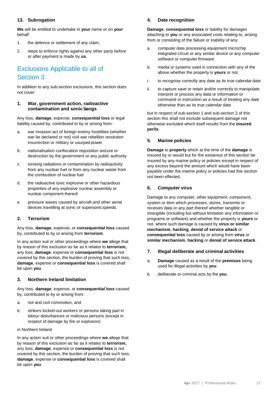# **13. Subrogation**

**We** will be entitled to undertake in **your** name or on **your**  behalf:

- 1. the defence or settlement of any claim,
- 2. steps to enforce rights against any other party before or after payment is made by **us.**

# Exclusions Applicable to all of Section 3

In addition to any sub-section exclusions, this section does not cover:

#### **1. War, government action, radioactive contamination and sonic bangs**

Any loss, **damage**, expense, **consequential loss** or legal liability caused by, contributed to by or arising from:

- a. war invasion act of foreign enemy hostilities (whether war be declared or not) civil war rebellion revolution insurrection or military or usurped power
- b. nationalisation confiscation requisition seizure or destruction by the government or any public authority
- c. ionising radiations or contamination by radioactivity from any nuclear fuel or from any nuclear waste from the combustion of nuclear fuel
- d. the radioactive toxic explosive or other hazardous properties of any explosive nuclear assembly or nuclear component thereof
- e. pressure waves caused by aircraft and other aerial devices travelling at sonic or supersonicspeeds.

## **2. Terrorism**

Any loss, **damage**, expense, or **consequential loss** caused by, contributed to by or arising from **terrorism**.

In any action suit or other proceedings where **we** allege that by reason of this exclusion as far as it relates to **terrorism,**  any loss, **damage**, expense or **consequential loss** is not covered by this section, the burden of proving that such loss, **damage**, expense or **consequential loss** is covered shall be upon **you**.

## **3. Northern Ireland limitation**

Any loss, **damage**, expense, or **consequential loss** caused by, contributed to by or arising from:

- a. riot and civil commotion, and
- b. strikers locked-out workers or persons taking part in labour disturbances or malicious persons (except in respect of damage by fire or explosion)

#### in Northern Ireland

In any action suit or other proceedings where **we** allege that by reason of this exclusion as far as it relates to **terrorism,**  any loss, **damage**, expense or **consequential loss** is not covered by this section, the burden of proving that such loss, **damage**, expense or **consequential loss** is covered shall be upon **you**.

#### **4. Date recognition**

**Damage**, **consequential loss** or liability for damages attaching to **you** or any associated costs relating to, arising from or consisting of the failure or inability of any:

- a. computer data processing equipment microchip integrated circuit or any similar device or any computer software or computer firmware
- b. media or systems used in connection with any of the above whether the property is **yours** or not
- i. to recognise correctly any date as its true calendar date
- ii. to capture save or retain and/or correctly to manipulate interpret or process any data or information or command or instruction as a result of treating any date otherwise than as its true calendar date

but in respect of sub-section 1 and sub-section 2 of this section this shall not exclude subsequent damage not otherwise excluded which itself results from the **insured perils**.

#### **5. Marine policies**

**Damage** to **property** which at the time of the **damage** is insured by or would but for the existence of this section be insured by any marine policy or policies except in respect of any excess beyond the amount which would have been payable under the marine policy or policies had this section not been effected.

## **6. Computer virus**

Damage to any computer, other equipment, component, system or item which processes, stores, transmits or receives data or any part thereof whether tangible or intangible (including but without limitation any information or programs or software) and whether the property is **yours** or not, where such damage is caused by **virus or similar mechanism**, **hacking**, **denial of service attack** or **consequential loss** caused by or arising from **virus** or **similar mechanism**, **hacking** or **denial of service attack**.

#### **7. Illegal deliberate and criminal activities**

- a. **Damage** caused as a result of the **premises** being used for illegal activities by **you**
- b. deliberate or criminal acts by the **you**.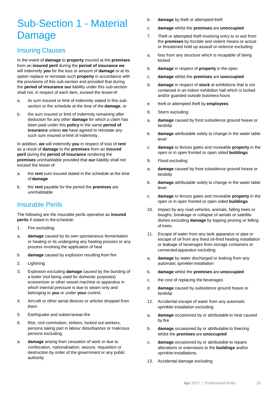# Sub-Section 1 - Material Damage

# Insuring Clauses

In the event of **damage** to **property** insured at the **premises**  from an **insured peril** during the **period of insurance we**  will indemnify **you** for the loss or amount of **damage** or at its option replace or reinstate such **property** in accordance with the provisions of this sub-section and provided that during the **period of insurance our** liability under this sub-section shall not, in respect of each item, exceed the lesserof:

- a. its sum insured or limit of indemnity stated in this subsection or the schedule at the time of the **damage**, or
- b. the sum insured or limit of indemnity remaining after deduction for any other **damage** for which a claim has been paid under this **policy** in the same **period of insurance** unless **we** have agreed to reinstate any such sum insured or limit of indemnity.

In addition, **we** will indemnify **you** in respect of loss of **rent**  as a result of **damage** to the **premises** from an **insured peril** during the **period of insurance** rendering the **premises** uninhabitable provided that **our** liability shall not exceed the lesser of:

- a. the **rent** sum insured stated in the schedule at the time of **damage**
- b. the **rent** payable for the period the **premises** are uninhabitable

# Insurable Perils

The following are the insurable perils operative as **insured perils** if stated in theschedule:

- 1. Fire excluding:
- a. **damage** caused by its own spontaneous fermentation or heating or its undergoing any heating process or any process involving the application of heat
- b. **damage** caused by explosion resulting from fire
- 2. Lightning
- 3. Explosion excluding **damage** caused by the bursting of a boiler (not being used for domestic purposes) economizer or other vessel machine or apparatus in which internal pressure is due to steam only and belonging to **you** or under **your** control.
- 4. Aircraft or other aerial devices or articles dropped from them
- 5. Earthquake and subterranean fire
- 6. Riot, civil commotion, strikers, locked out workers, persons taking part in labour disturbances or malicious persons excluding:
- a. **damage** arising from cessation of work or due to confiscation, nationalisation, seizure, requisition or destruction by order of the government or any public authority
- b. **damage** by theft or attempted theft
- c. **damage** whilst the **premises** are **unoccupied**
- 7. Theft or attempted theft involving entry to or exit from the **premises** by forcible and violent means or actual or threatened hold up assault or violence excluding:
- a. loss from any structure which is incapable of being locked
- b. **damage** in respect of **property** in the open
- c. **damage** whilst the **premises** are **unoccupied**
- d. **damage** in respect of **stock** at exhibitions that is not contained in an indoor exhibition hall which is locked and/or guarded outside business hours
- e. theft or attempted theft by **employees**
- 8. Storm excluding:
- a. **damage** caused by frost subsidence ground heave or landslip
- b. **damage** attributable solely to change in the water table level
- c. **damage** to fences gates and moveable **property** in the open or in open fronted or open sided **buildings**
- 9. Flood excluding:
- a. **damage** caused by frost subsidence ground heave or landslip
- b. **damage** attributable solely to change in the water table level
- c. **damage** to fences gates and moveable **property** in the open or in open fronted or open sided **buildings**.
- 10. Impact by any road vehicles, animals, falling trees or boughs, breakage or collapse of aerials or satellite dishes excluding **damage** by lopping pruning or felling of trees.
- 11. Escape of water from any tank apparatus or pipe or escape of oil from any fixed oil-fired heating installation or leakage of beverages from storage containers or connectedapparatus excluding:
- a. **damage** by water discharged or leaking from any automatic sprinkler installation
- b. **damage** whilst the **premises** are **unoccupied**
- c. the cost of replacing the beverages
- d. **damage** caused by subsidence ground heave or landslip.
- 12. Accidental escape of water from any automatic sprinkler installation excluding:
- a. **damage** occasioned by or attributable to heat caused by fire
- b. **damage** occasioned by or attributable to freezing whilst the **premises** are **unoccupied**
- c. **damage** occasioned by or attributable to repairs alterations or extensions to the **buildings** and/or sprinklerinstallations.
- 13. Accidental damage excluding: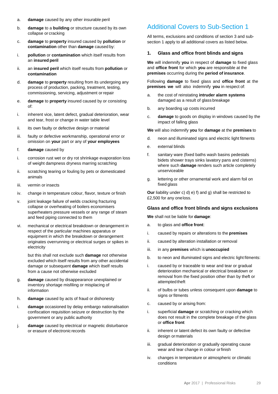- a. **damage** caused by any other insurable peril
- b. **damage** to a **building** or structure caused by its own collapse or cracking
- c. **damage** to **property** insured caused by **pollution** or **contamination** other than **damage** caused by:
- i. **pollution** or **contamination** which itself results from an **insured peril**
- ii. an **insured peril** which itself results from **pollution** or **contamination**
- d. **damage** to **property** resulting from its undergoing any process of production, packing, treatment, testing, commissioning, servicing, adjustment or repair
- e. **damage** to **property** insured caused by or consisting of:
- i. inherent vice, latent defect, gradual deterioration, wear and tear, frost or change in water table level
- ii. its own faulty or defective design or material
- iii. faulty or defective workmanship, operational error or omission on **your** part or any of **your employees**
- f. **damage** caused by
- i. corrosion rust wet or dry rot shrinkage evaporation loss of weight dampness dryness marring scratching
- ii. scratching tearing or fouling by pets or domesticated animals
- iii. vermin or insects
- iv. change in temperature colour, flavor, texture or finish
- v. joint leakage failure of welds cracking fracturing collapse or overheating of boilers economisers superheaters pressure vessels or any range of steam and feed piping connected to them
- vi. mechanical or electrical breakdown or derangement in respect of the particular machines apparatus or equipment in which the breakdown or derangement originates overrunning or electrical surges or spikes in electricity

but this shall not exclude such **damage** not otherwise excluded which itself results from any other accidental damage or subsequent **damage** which itself results from a cause not otherwise excluded

- g. **damage** caused by disappearance unexplained or inventory shortage misfiling or misplacing of information
- h. **damage** caused by acts of fraud or dishonesty
- i. **damage** occasioned by delay embargo nationalisation confiscation requisition seizure or destruction by the government or any public authority
- j. **damage** caused by electrical or magnetic disturbance or erasure of electronic records

# Additional Covers to Sub-Section 1

All terms, exclusions and conditions of section 3 and subsection 1 apply to all additional covers as listed below.

#### **1. Glass and office front blinds and signs**

**We** will indemnify **you** in respect of **damage** to fixed glass and **office front** for which **you** are responsible at the **premises** occurring during the **period of insurance**.

Following **damage** to fixed glass and **office front** at the **premises we** will also indemnify **you** in respect of:

- a. the cost of reinstating **intruder alarm systems**  damaged as a result of glass breakage
- b. any boarding up costs incurred
- c. **damage** to goods on display in windows caused by the impact of falling glass

**We** will also indemnify **you** for **damage** at the **premises** to

- d. neon and illuminated signs and electric light fitments
- e. external blinds
- f. sanitary ware (fixed baths wash basins pedestals bidets shower trays sinks lavatory pans and cisterns) where such **damage** renders such article completely unserviceable
- g. lettering or other ornamental work and alarm foil on fixed glass

**Our** liability under c) d) e) f) and g) shall be restricted to £2,500 for any oneloss.

#### **Glass and office front blinds and signs exclusions**

**We** shall not be liable for **damage**:

- a. to glass and **office front**:
- i. caused by repairs or alterations to the **premises**
- ii. caused by alteration installation or removal
- iii. in any **premises** which is **unoccupied**
- b. to neon and illuminated signs and electric light fitments:
- i. caused by or traceable to wear and tear or gradual deterioration mechanical or electrical breakdown or removal from the fixed position other than by theft or attempted theft
- ii. of bulbs or tubes unless consequent upon **damage** to signs or fitments
- c. caused by or arising from:
- i. superficial **damage** or scratching or cracking which does not result in the complete breakage of the glass or **office front**
- ii. inherent or latent defect its own faulty or defective design ormaterials
- iii. gradual deterioration or gradually operating cause wear and tear change in colour orfinish
- iv. changes in temperature or atmospheric or climatic conditions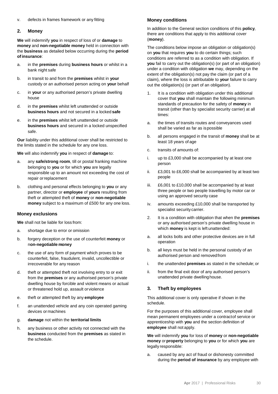#### v. defects in frames framework or any fitting

#### **2. Money**

**We** will indemnify **you** in respect of loss of or **damage** to **money** and **non-negotiable money** held in connection with the **business** as detailed below occurring during the **period ofinsurance**:

- a. in the **premises** during **business hours** or whilst in a bank night safe
- b. in transit to and from the **premises** whilst in **your** custody or an authorised person acting on **your** behalf
- c. in **your** or any authorised person's private dwelling house
- d. in the **premises** whilst left unattended or outside **business hours** and not secured in a locked **safe**
- e. in the **premises** whilst left unattended or outside **business hours** and secured in a locked unspecified safe.

**Our** liability under this additional cover shall be restricted to the limits stated in the schedule for any one loss.

**We** will also indemnify **you** in respect of **damage** to:

- a. any **safe/strong room**, till or postal franking machine belonging to **you** or for which **you** are legally responsible up to an amount not exceeding the cost of repair orreplacement
- b. clothing and personal effects belonging to **you** or any partner, director or **employee** of **yours** resulting from theft or attempted theft of **money** or **non-negotiable money** subject to a maximum of £500 for any one loss.

#### **Money exclusions**

**We** shall not be liable for loss from:

- a. shortage due to error or omission
- b. forgery deception or the use of counterfeit **money** or n**on-negotiable money**
- c. the use of any form of payment which proves to be counterfeit, false, fraudulent, invalid, uncollectible or irrecoverable for any reason
- d. theft or attempted theft not involving entry to or exit from the **premises** or any authorised person's private dwelling house by forcible and violent means or actual or threatened hold up, assault orviolence
- e. theft or attempted theft by any **employee**
- f. an unattended vehicle and any coin operated gaming devices or machines
- g. **damage** not within the **territorial limits**
- h. any business or other activity not connected with the **business** conducted from the **premises** as stated in the schedule.

#### **Money conditions**

In addition to the General section conditions of this **policy**, there are conditions that apply to this additional cover (**money**).

The conditions below impose an obligation or obligation(s) on **you** that requires **you** to do certain things; such conditions are referred to as a condition with obligation. If **you** fail to carry out the obligation(s) (or part of an obligation) under a condition with obligation **we** may, depending on the extent of the obligation(s) not pay the claim (or part of a claim), where the loss is attributable to **your** failure to carry out the obligation(s) (or part of an obligation).

- It is a condition with obligation under this additional cover that **you** shall maintain the following minimum standards of precaution for the safety of **money** in transit (other than by specialist security carrier) at all times:
- a. the times of transits routes and conveyances used shall be varied as far as ispossible
- b. all persons engaged in the transit of **money** shall be at least 18 years of age
- c. transits of amounts of:
- i. up to £3,000 shall be accompanied by at least one person
- ii. £3,001 to £6,000 shall be accompanied by at least two people
- iii. £6,001 to £10,000 shall be accompanied by at least three people or two people travelling by motor car or using an approved security case
- iv. amounts exceeding £10,000 shall be transported by specialist security carrier.
- 2. It is a condition with obligation that when the **premises**  or any authorised person's private dwelling house in which **money** is kept is left unattended:
- a. all locks bolts and other protective devices are in full operation
- b. all keys must be held in the personal custody of an authorised person and removedfrom
- i. the unattended **premises** as stated in the schedule; or
- ii. from the final exit door of any authorised person's unattended private dwellinghouse.

## **3. Theft by employees**

This additional cover is only operative if shown in the schedule.

For the purposes of this additional cover, employee shall mean permanent employees under a contractof service or apprenticeship with **you** and the section definition of **employee** shall not apply.

**We** will indemnify **you** for loss of **money** or **non-negotiable money** or**property** belonging to **you** or for which **you** are legally responsible:

a. caused by any act of fraud or dishonesty committed during the **period of insurance** by any employee with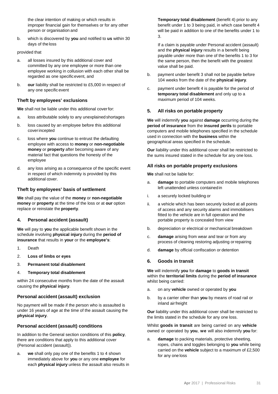the clear intention of making or which results in improper financial gain for themselves or for any other person or organisation and

b. which is discovered by **you** and notified to **us** within 30 days of the loss

#### provided that

- a. all losses insured by this additional cover and committed by any one employee or more than one employee working in collusion with each other shall be regarded as one specificevent, and
- b. **our** liability shall be restricted to £5,000 in respect of any one specific event

#### **Theft by employees' exclusions**

**We** shall not be liable under this additional coverfor:

- a. loss attributable solely to any unexplainedshortages
- b. loss caused by an employee before this additional coverincepted
- c. loss where **you** continue to entrust the defaulting employee with access to **money** or **non-negotiable money** or **property** after becoming aware of any material fact that questions the honesty of the employee
- d. any loss arising as a consequence of the specific event in respect of which indemnity is provided by this additional cover.

#### **Theft by employees' basis of settlement**

**We** shall pay the value of the **money** or **non-negotiable money** or **property** at the time of the loss or at **our** option replace or reinstate the **property**.

#### **4. Personal accident (assault)**

**We** will pay to **you** the applicable benefit shown in the schedule involving **physical injury** during the **period of insurance** that results in **your** or the **employee's**:

- 1. Death
- 2. **Loss of limbs or eyes**
- 3. **Permanent total disablement**
- 4. **Temporary total disablement**

within 24 consecutive months from the date of the assault causing the **physical injury**.

#### **Personal accident (assault) exclusion**

No payment will be made if the person who is assaulted is under 16 years of age at the time of the assault causing the **physical injury**.

## **Personal accident (assault) conditions**

In addition to the General section conditions of this **policy**, there are conditions that apply to this additional cover (Personal accident (assault)).

a. **we** shall only pay one of the benefits 1 to 4 shown immediately above for **you** or any one **employee** for each **physical injury** unless the assault also results in **Temporary total disablement** (benefit 4) prior to any benefit under 1 to 3 being paid, in which case benefit 4 will be paid in addition to one of the benefits under 1 to 3.

If a claim is payable under Personal accident (assault) and the **physical injury** results in a benefit being payable under more than one of the benefits 1 to 3 for the same person, then the benefit with the greatest value shall be paid.

- b. payment under benefit 3 shall not be payable before 104 weeks from the date of the **physical injury**.
- c. payment under benefit 4 is payable for the period of **temporary total disablement** and only up to a maximum period of 104 weeks.

#### **5. All risks on portable property**

**We** will indemnify **you** against **damage** occurring during the **period of insurance** from the **insured perils** to portable computers and mobile telephones specified in the schedule used in connection with the **business** within the geographical areas specified in the schedule.

**Our** liability under this additional cover shall be restricted to the sums insured stated in the schedule for any one loss.

#### **All risks on portable property exclusions**

**We** shall not be liable for:

- a. **damage** to portable computers and mobile telephones left unattended unless containedin
- i. a securely locked building or
- ii. a vehicle which has been securely locked at all points of access and any security alarms and immobilisers fitted to the vehicle are in full operation and the portable property is concealed from view
- b. depreciation or electrical or mechanical breakdown
- c. **damage** arising from wear and tear or from any process of cleaning restoring adjusting orrepairing
- d. **damage** by official confiscation or detention

#### **6. Goods in transit**

**We** will indemnify **you** for **damage** to **goods in transit** within the **territorial limits** during the **period of insurance** whilst being carried:

- a. on any **vehicle** owned or operated by **you**
- b. by a carrier other than **you** by means of road rail or inland airfreight

**Our** liability under this additional cover shall be restricted to the limits stated in the schedule for any one loss.

Whilst **goods in transit** are being carried on any **vehicle** owned or operated by **you**, **we** will also indemnify **you** for:

a. **damage** to packing materials, protective sheeting, ropes, chains and toggles belonging to **you** while being carried on the **vehicle** subject to a maximum of £2,500 for any one loss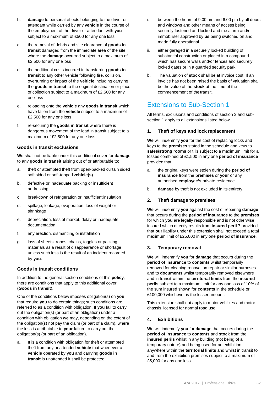- b. **damage** to personal effects belonging to the driver or attendant while carried by any **vehicle** in the course of the employment of the driver or attendant with **you**  subject to a maximum of £500 for any one loss
- c. the removal of debris and site clearance of **goods in transit** damaged from the immediate area of the site where the **damage** occurred subject to a maximum of £2,500 for any one loss
- d. the additional costs incurred in transferring **goods in transit** to any other vehicle following fire, collision, overturning or impact of the **vehicle** including carrying the **goods in transit** to the original destination or place of collection subject to a maximum of £2,500 for any one loss
- e. reloading onto the **vehicle** any **goods in transit** which have fallen from the **vehicle** subject to a maximum of £2,500 for any one loss
- f. re-securing the **goods in transit** where there is dangerous movement of the load in transit subject to a maximum of £2,500 for any one loss.

#### **Goods in transit exclusions**

**We** shall not be liable under this additional cover for **damage**  to any **goods in transit** arising out of or attributable to:

- a. theft or attempted theft from open-backed curtain sided soft sided or soft-topped **vehicle(s)**
- b. defective or inadequate packing or insufficient addressing
- c. breakdown of refrigeration or insufficient insulation
- d. spillage, leakage, evaporation, loss of weight or shrinkage
- e. depreciation, loss of market, delay or inadequate documentation
- f. any erection, dismantling or installation
- g. loss of sheets, ropes, chains, toggles or packing materials as a result of disappearance or shortage unless such loss is the result of an incident recorded by **you**.

#### **Goods in transit conditions**

In addition to the general section conditions of this **policy**, there are conditions that apply to this additional cover (**Goods in transit**).

One of the conditions below imposes obligation(s) on **you**  that require **you** to do certain things; such conditions are referred to as a condition with obligation. If **you** fail to carry out the obligation(s) (or part of an obligation) under a condition with obligation **we** may, depending on the extent of the obligation(s) not pay the claim (or part of a claim), where the loss is attributable to **your** failure to carry out the obligation(s) (or part of an obligation).

a. It is a condition with obligation for theft or attempted theft from any unattended **vehicle** that whenever a **vehicle** operated by **you** and carrying **goods in transit** is unattended it shall be protected:

- i. between the hours of 9.00 am and 6.00 pm by all doors and windows and other means of access being securely fastened and locked and the alarm and/or immobiliser approved by **us** being switched on and made fully operational
- ii. either garaged in a securely locked building of substantial construction or placed in a compound which has secure walls and/or fences and securely locked gates or in a guarded security park.
- b. The valuation of **stock** shall be at invoice cost. If an invoice has not been raised the basis of valuation shall be the value of the **stock** at the time of the commencement of the transit.

# Extensions to Sub-Section 1

All terms, exclusions and conditions of section 3 and subsection 1 apply to all extensions listed below.

#### **1. Theft of keys and lock replacement**

**We** will indemnify **you** for the cost of replacing locks and keys to the **premises** stated in the schedule and keys to **safes/strong rooms** or tills subject to a maximum limit for all losses combined of £1,500 in any one **period of insurance**  provided that:

- a. the original keys were stolen during the **period of insurance** from the **premises** or **your** or any authorised **employee's** private residence.
- b. **damage** by theft is not excluded in its entirety.

## **2. Theft damage to premises**

**We** will indemnify **you** against the cost of repairing **damage** that occurs during the **period of insurance** to the **premises**  for which **you** are legally responsible and is not otherwise insured which directly results from **insured peril** 7 provided that **our** liability under this extension shall not exceed a total maximum limit of £25,000 in any one **period of insurance**.

## **3. Temporary removal**

**We** will indemnify **you** for **damage** that occurs during the **period of insurance** to **contents** whilst temporarily removed for cleaning renovation repair or similar purposes and to **documents** whilst temporarily removed elsewhere and in transit within the **territorial limits** from the **insured perils** subject to a maximum limit for any one loss of 10% of the sum insured shown for **contents** in the schedule or £100,000 whichever is the lesser amount.

This extension shall not apply to motor vehicles and motor chassis licensed for normal road use.

## **4. Exhibitions**

**We** will indemnify **you** for **damage** that occurs during the **period of insurance** to **contents** and **stock** from the **insured perils** whilst in any building (not being of a temporary nature) and being used for an exhibition anywhere within the **territorial limits** and whilst in transit to and from the exhibition premises subject to a maximum of £5,000 for any one loss.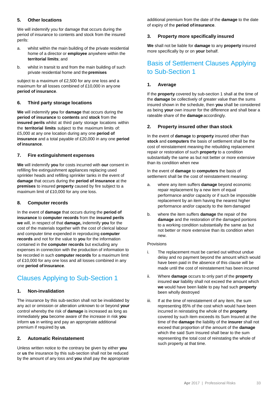# **5. Other locations**

We will indemnify you for damage that occurs during the period of insurance to contents and stock from the insured perils:

- a. whilst within the main building of the private residential home of a director or **employee** anywhere within the **territorial limits**; and
- b. whilst in transit to and from the main building of such private residential home and the **premises**

subject to a maximum of £2,500 for any one loss and a maximum for all losses combined of £10,000 in anyone **period of insurance**.

## **6. Third party storage locations**

**We** will indemnify **you** for **damage** that occurs during the **period of insurance** to **contents** and **stock** from the **insured perils** whilst at third party storage locations within the **territorial limits** subject to the maximum limits of: £5,000 at any one location during any one **period of insurance** and a total payable of £20,000 in any one **period of insurance**.

#### **7. Fire extinguishment expenses**

**We** will indemnify **you** for costs incurred with **our** consent in refilling fire extinguishment appliances replacing used sprinkler heads and refilling sprinkler tanks in the event of **damage** that occurs during the **period of insurance** at the **premises** to insured **property** caused by fire subject to a maximum limit of £10,000 for any one loss.

#### **8. Computer records**

In the event of **damage** that occurs during the **period of insurance** to **computer records** from the **insured perils we** will, in respect of that **damage,** indemnify **you** for the cost of the materials together with the cost of clerical labour and computer time expended in reproducing **computer records** and not for the value to **you** for the information contained in the **computer records** but excluding any expenses in connection with the production of information to be recorded in such **computer records** for a maximum limit of £10,000 for any one loss and all losses combined in any one **period of insurance**.

# Clauses Applying to Sub-Section 1

## **1. Non-invalidation**

The insurance by this sub-section shall not be invalidated by any act or omission or alteration unknown to or beyond **your** control whereby the risk of **damage** is increased as long as immediately **you** become aware of the increase in risk **you** inform **us** in writing and pay an appropriate additional premium if required by **us**.

## **2. Automatic Reinstatement**

Unless written notice to the contrary be given by either **you**  or **us** the insurance by this sub-section shall not be reduced by the amount of any loss and **you** shall pay the appropriate

additional premium from the date of the **damage** to the date of expiry of the **period ofinsurance**.

#### **3. Property more specifically insured**

**We** shall not be liable for **damage** to any **property** insured more specifically by or on **your** behalf.

# Basis of Settlement Clauses Applying to Sub-Section 1

#### **1. Average**

If the **property** covered by sub-section 1 shall at the time of the **damage** be collectively of greater value than the sums insured shown in the schedule, then **you** shall be considered as being **your** own insurer for the difference and shall bear a rateable share of the **damage** accordingly.

#### **2. Property insured other than stock**

In the event of **damage** to **property** insured other than **stock** and **computers** the basis of settlement shall be the cost of reinstatement meaning the rebuilding replacement repair or restoration of such **property** to a condition substantially the same as but not better or more extensive than its condition when new

In the event of **damage** to **computers** the basis of settlement shall be the cost of reinstatement meaning:

- a. where any item suffers **damage** beyond economic repair replacement by a new item of equal performance and/or capacity or if such be impossible replacement by an item having the nearest higher performance and/or capacity to the item damaged
- b. where the item suffers **damage** the repair of the **damage** and the restoration of the damaged portions to a working condition substantially the same as but not better or more extensive than its condition when new.

#### Provisions

- i. The replacement must be carried out without undue delay and no payment beyond the amount which would have been paid in the absence of this clause will be made until the cost of reinstatement has been incurred
- ii. Where **damage** occurs to only part of the **property** insured **our** liability shall not exceed the amount which **we** would have been liable to pay had such **property**  been wholly destroyed
- iii. If at the time of reinstatement of any item, the sum representing 85% of the cost which would have been incurred in reinstating the whole of the **property** covered by such item exceeds its Sum Insured at the time of the **damage** the liability of the **insurer** shall not exceed that proportion of the amount of the **damage**  which the said Sum Insured shall bear to the sum representing the total cost of reinstating the whole of such property at that time.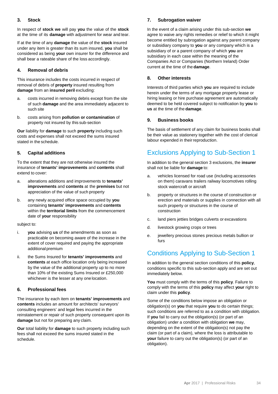# **3. Stock**

In respect of **stock we** will pay **you** the value of the **stock** at the time of its **damage** with adjustment for wear and tear.

If at the time of any **damage** the value of the **stock** insured under any item is greater than its sum insured, **you** shall be considered as being **your** own insurer for the difference and shall bear a rateable share of the loss accordingly.

## **4. Removal of debris**

This insurance includes the costs incurred in respect of removal of debris of **property** insured resulting from **damage** from an **insured peril** excluding:

- a. costs incurred in removing debris except from the site of such **damage** and the area immediately adjacent to such site
- b. costs arising from **pollution or contamination** of property not insured by this sub-section

**Our** liability for **damage** to such **property** including such costs and expenses shall not exceed the sums insured stated in the schedule.

# **5. Capital additions**

To the extent that they are not otherwise insured the insurance of **tenants' improvements** and **contents** shall extend to cover:

- a. alterations additions and improvements to **tenants' improvements** and **contents** at the **premises** but not appreciation of the value of such property
- b. any newly acquired office space occupied by **you** containing **tenants' improvements** and **contents**  within the **territorial limits** from the commencement date of **your** responsibility

#### subject to:

- i. **you** advising **us** of the amendments as soon as practicable on becoming aware of the increase in the extent of cover required and paying the appropriate additional premium
- ii. the Sums Insured for **tenants' improvements** and **contents** at each office location only being increased by the value of the additional property up to no more than 10% of the existing Sums Insured or £250,000 whichever is the lesser at any one location.

## **6. Professional fees**

The insurance by each item on **tenants' improvements** and **contents** includes an amount for architects' surveyors' consulting engineers' and legal fees incurred in the reinstatement or repair of such property consequent upon its **damage** but not for preparing any claim.

**Our** total liability for **damage** to such property including such fees shall not exceed the sums insured stated in the schedule.

# **7. Subrogation waiver**

In the event of a claim arising under this sub-section **we**  agree to waive any rights remedies or relief to which it might become entitled by subrogation against any parent company or subsidiary company to **you** or any company which is a subsidiary of or a parent company of which **you** are subsidiary in each case within the meaning of the Companies Act or Companies (Northern Ireland) Order current at the time of the **damage**.

#### **8. Other interests**

Interests of third parties which **you** are required to include herein under the terms of any mortgage property lease or hiring leasing or hire purchase agreement are automatically deemed to be held covered subject to notification by **you** to **us** at the time of the **damage**.

## **9. Business books**

The basis of settlement of any claim for business books shall be their value as stationery together with the cost of clerical labour expended in their reproduction.

# Exclusions Applying to Sub-Section 1

In addition to the general section 3 exclusions, the **insurer**  shall not be liable for **damage** to:

- a. vehicles licensed for road use (including accessories on them) caravans trailers railway locomotives rolling stock watercraft or aircraft
- b. property or structures in the course of construction or erection and materials or supplies in connection with all such property or structures in the course of construction
- c. land piers jetties bridges culverts or excavations
- d. livestock growing crops or trees
- e. jewellery precious stones precious metals bullion or furs

# Conditions Applying to Sub-Section 1

In addition to the general section conditions of this **policy**, conditions specific to this sub-section apply and are set out immediately below.

**You** must comply with the terms of this **policy**. Failure to comply with the terms of this **policy** may affect **your** right to claim under this **policy**.

Some of the conditions below impose an obligation or obligation(s) on **you** that require **you** to do certain things; such conditions are referred to as a condition with obligation. If **you** fail to carry out the obligation(s) (or part of an obligation) under a condition with obligation **we** may, depending on the extent of the obligation(s) not pay the claim (or part of a claim), where the loss is attributable to **your** failure to carry out the obligation(s) (or part of an obligation).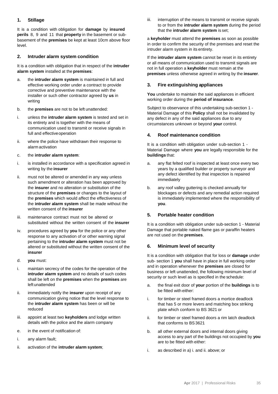# **1. Stillage**

It is a condition with obligation for **damage** by **insured perils** 8, 9 and 11 that **property** in the basement or subbasement of the **premises** be kept at least 10cm above floor level.

## **2. Intruder alarm system condition**

It is a condition with obligation that in respect of the **intruder alarm system** installed at the **premises**:

- a. the **intruder alarm system** is maintained in full and effective working order under a contract to provide corrective and preventive maintenance with the installer or such other contractor agreed by **us** in writing
- b. the **premises** are not to be left unattended:
- i. unless the **intruder alarm system** is tested and set in its entirety and is together with the means of communication used to transmit or receive signals in full and effectiveoperation
- ii. where the police have withdrawn their response to alarm activation
- c. the **intruder alarm system**:
- i. is installed in accordance with a specification agreed in writing by the **insurer**
- ii. must not be altered or amended in any way unless such amendment or alteration has been approved by the **insurer** and no alteration or substitution of the structure of the **premises** or changes to the layout of the **premises** which would affect the effectiveness of the **intruder alarm system** shall be made without the written consent of the **insurer**
- iii. maintenance contract must not be altered or substituted without the written consent of the **insurer**
- iv. procedures agreed by **you** for the police or any other response to any activation of or other warning signal pertaining to the **intruder alarm system** must not be altered or substituted without the written consent of the **insurer**
- d. **you** must:
- i. maintain secrecy of the codes for the operation of the **intruder alarm system** and no details of such codes shall be left on the **premises** when the **premises** are leftunattended
- ii. immediately notify the **insurer** upon receipt of any communication giving notice that the level response to the **intruder alarm system** has been or will be reduced
- iii. appoint at least two **keyholders** and lodge written details with the police and the alarm company
- e. in the event of notification of:
- i. any alarm fault;
- ii. activation of the **intruder alarm system**;

iii. interruption of the means to transmit or receive signals to or from the **intruder alarm system** during the period that the **intruder alarm system** is set;

a **keyholder** must attend the **premises** as soon as possible in order to confirm the security of the premises and reset the intruder alarm system in its entirety.

If the **intruder alarm system** cannot be reset in its entirety or all means of communication used to transmit signals are not in full operation a **keyholder** must remain at the **premises** unless otherwise agreed in writing by the **insurer**.

#### **3. Fire extinguishing appliances**

**You** undertake to maintain the said appliances in efficient working order during the **period of insurance**.

Subject to observance of this undertaking sub-section 1 - Material Damage of this **Policy** shall not be invalidated by any defect in any of the said appliances due to any circumstances unknown or beyond **your** control.

#### **4. Roof maintenance condition**

It is a condition with obligation under sub-section 1 - Material Damage where **you** are legally responsible for the **buildings** that:

- a. any flat felted roof is inspected at least once every two years by a qualified builder or property surveyor and any defect identified by that inspection is repaired immediately
- b. any roof valley guttering is checked annually for blockages or defects and any remedial action required is immediately implemented where the responsibility of **you**.

#### **5. Portable heater condition**

It is a condition with obligation under sub-section 1 - Material Damage that portable naked flame gas or paraffin heaters are not used on the **premises**.

#### **6. Minimum level of security**

It is a condition with obligation that for loss or **damage** under sub- section 1 **you** shall have in place in full working order and in operation whenever the **premises** are closed for business or left unattended, the following minimum level of security or such level as is specified in the schedule:

- a. the final exit door of **your** portion of the **buildings** is to be fitted with either:
- i. for timber or steel framed doors a mortice deadlock that has 5 or more levers and matching box striking plate which conform to BS 3621 or
- ii. for timber or steel framed doors a rim latch deadlock that conforms to BS3621
- b. all other external doors and internal doors giving access to any part of the buildings not occupied by **you**  are to be fitted with either:
- i. as described in a) i. and ii. above; or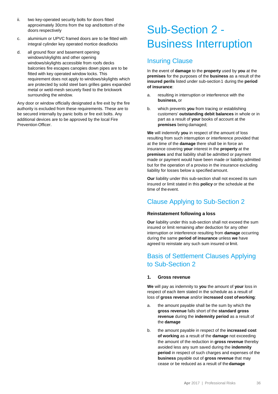- ii. two key-operated security bolts for doors fitted approximately 30cms from the top andbottom of the doors respectively
- c. aluminium or UPVC framed doors are to be fitted with integral cylinder key operated mortice deadlocks
- d. all ground floor and basement opening windows/skylights and other opening windows/skylights accessible from roofs decks balconies fire escapes canopies down pipes are to be fitted with key operated window locks. This requirement does not apply to windows/skylights which are protected by solid steel bars grilles gates expanded metal or weld-mesh securely fixed to the brickwork surrounding the window.

Any door or window officially designated a fire exit by the fire authority is excluded from these requirements. These are to be secured internally by panic bolts or fire exit bolts. Any additional devices are to be approved by the local Fire Prevention Officer.

# Sub-Section 2 - Business Interruption

# Insuring Clause

In the event of **damage** to the **property** used by **you** at the **premises** for the purposes of the **business** as a result of the **insured perils** listed under sub-section 1 during the **period of insurance**:

- a. resulting in interruption or interference with the **business,** or
- b. which prevents **you** from tracing or establishing customers' **outstanding debit balances** in whole or in part as a result of **your** books of account at the **premises** being damaged;

**We** will indemnify **you** in respect of the amount of loss resulting from such interruption or interference provided that at the time of the **damage** there shall be in force an insurance covering **your** interest in the **property** at the **premises** and that liability shall be admitted or payment made or payment would have been made or liability admitted but for the operation of a proviso in the insurance excluding liability for losses below a specified amount.

**Our** liability under this sub-section shall not exceed its sum insured or limit stated in this **policy** or the schedule at the time of the event.

# Clause Applying to Sub-Section 2

## **Reinstatement following a loss**

**Our** liability under this sub-section shall not exceed the sum insured or limit remaining after deduction for any other interruption or interference resulting from **damage** occurring during the same **period of insurance** unless **we** have agreed to reinstate any such sum insured or limit.

# Basis of Settlement Clauses Applying to Sub-Section 2

## **1. Gross revenue**

**We** will pay as indemnity to **you** the amount of **your** loss in respect of each item stated in the schedule as a result of loss of **gross revenue** and/or **increased cost ofworking**:

- a. the amount payable shall be the sum by which the **gross revenue** falls short of the **standard gross revenue** during the **indemnity period** as a result of the **damage**
- b. the amount payable in respect of the **increased cost of working** as a result of the **damage** not exceeding the amount of the reduction in **gross revenue** thereby avoided less any sum saved during the **indemnity period** in respect of such charges and expenses of the **business** payable out of **gross revenue** that may cease or be reduced as a result of the **damage**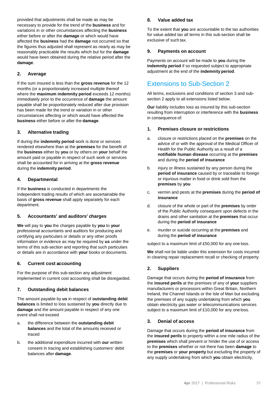provided that adjustments shall be made as may be necessary to provide for the trend of the **business** and for variations in or other circumstances affecting the **business**  either before or after the **damage** or which would have affected the **business** had the **damage** not occurred so that the figures thus adjusted shall represent as nearly as may be reasonably practicable the results which but for the **damage**  would have been obtained during the relative period after the **damage**.

# **2. Average**

If the sum insured is less than the **gross revenue** for the 12 months (or a proportionately increased multiple thereof where the **maximum indemnity period** exceeds 12 months) immediately prior to the occurrence of **damage** the amount payable shall be proportionately reduced after due provision has been made for the trend or variation in or other circumstances affecting or which would have affected the **business** either before or after the **damage**.

# **3. Alternative trading**

If during the **indemnity period** work is done or services rendered elsewhere than at the **premises** for the benefit of the **business** either by **you** or by others on **your** behalf the amount paid or payable in respect of such work or services shall be accounted for in arriving at the **gross revenue**  during the **indemnity period**.

# **4. Departmental**

If the **business** is conducted in departments the independent trading results of which are ascertainable the basis of **gross revenue** shall apply separately for each department.

## **5. Accountants' and auditors' charges**

**We** will pay to **you** the charges payable by **you** to **your** professional accountants and auditors for producing and certifying any particulars or details or any other proofs information or evidence as may be required by **us** under the terms of this sub-section and reporting that such particulars or details are in accordance with **your** books or documents.

## **6. Current cost accounting**

For the purpose of this sub-section any adjustment implemented in current cost accounting shall be disregarded.

# **7. Outstanding debit balances**

The amount payable by **us** in respect of **outstanding debit balances** is limited to loss sustained by **you** directly due to **damage** and the amount payable in respect of any one event shall not exceed

- a. the difference between the **outstanding debit balances** and the total of the amounts received or traced
- b. the additional expenditure incurred with **our** written consent in tracing and establishing customers' debit balances after **damage**.

## **8. Value added tax**

To the extent that **you** are accountable to the tax authorities for value added tax all terms in this sub-section shall be exclusive of such tax.

## **9. Payments on account**

Payments on account will be made to **you** during the **indemnity period** if so requested subject to appropriate adjustment at the end of the **indemnity period**.

# Extensions to Sub-Section 2

All terms, exclusions and conditions of section 3 and subsection 2 apply to all extensions listed below.

**Our** liability includes loss as insured by this sub-section resulting from interruption or interference with the **business**  in consequence of:

## **1. Premises closure or restrictions**

- a. closure or restrictions placed on the **premises** on the advice of or with the approval of the Medical Officer of Health for the Public Authority as a result of a **notifiable human disease** occurring at the **premises** and during the **period of insurance**
- b. injury or illness sustained by any person during the **period of insurance** caused by or traceable to foreign or injurious matter in food or drink sold from the **premises** by **you**
- c. vermin and pests at the **premises** during the **period of insurance**
- d. closure of the whole or part of the **premises** by order of the Public Authority consequent upon defects in the drains and other sanitation at the **premises** that occur during the **period of insurance**
- e. murder or suicide occurring at the **premises** and during the **period of insurance**

subject to a maximum limit of £50,000 for any one loss.

**We** shall not be liable under this extension for costs incurred in cleaning repair replacement recall or checking of property.

# **2. Suppliers**

Damage that occurs during the **period of insurance** from the **insured perils** at the premises of any of **your** suppliers manufacturers or processors within Great Britain, Northern Ireland, the Channel Islands or the Isle of Man but excluding the premises of any supply undertaking from which **you** obtain electricity gas water or telecommunications services subject to a maximum limit of £10,000 for any one loss.

## **3. Denial of access**

Damage that occurs during the **period of insurance** from the **insured perils** to property within a one mile radius of the **premises** which shall prevent or hinder the use of or access to the **premises** whether or not there has been **damage** to the **premises** or **your property** but excluding the property of any supply undertaking from which **you** obtain electricity,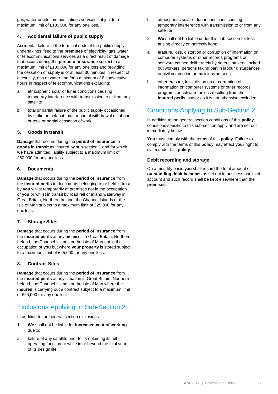gas, water or telecommunications services subject to a maximum limit of £100,000 for any one loss.

# **4. Accidental failure of public supply**

Accidental failure at the terminal ends of the public supply undertakings' feed to the **premises** of electricity, gas, water or telecommunications services as a direct result of damage that occurs during the **period of insurance** subject to a maximum limit of £100,000 for any one loss and providing the cessation of supply is of at least 30 minutes in respect of electricity, gas or water and for a minimum of 8 consecutive hours in respect of telecommunications excluding:

- a. atmospheric solar or lunar conditions causing temporary interference with transmission to or from any satellite
- b. total or partial failure of the public supply occasioned by strike or lock-out total or partial withdrawal of labour or total or partial cessation of work.

## **5. Goods in transit**

**Damage** that occurs during the **period of insurance** to **goods in transit** as insured by sub-section 1 and for which **we** have admitted liability subject to a maximum limit of £50,000 for any one loss.

#### **6. Documents**

**Damage** that occurs during the **period of insurance** from the **insured perils** to documents belonging to or held in trust by **you** whilst temporarily at premises not in the occupation of **you** or whilst in transit by road rail or inland waterway in Great Britain, Northern Ireland, the Channel Islands or the Isle of Man subject to a maximum limit of £25,000 for any one loss.

## **7. Storage Sites**

**Damage** that occurs during the **period of insurance** from the **insured perils** at any premises in Great Britain, Northern Ireland, the Channel Islands or the Isle of Man not in the occupation of **you** but where **your property** is stored subject to a maximum limit of £25,000 for any one loss.

## **8. Contract Sites**

**Damage** that occurs during the **period of insurance** from the **insured perils** at any situation in Great Britain, Northern Ireland, the Channel Islands or the Isle of Man where the **insured** is carrying out a contract subject to a maximum limit of £25,000 for any one loss.

# Exclusions Applying to Sub-Section 2

In addition to the general section exclusions:

- 1. **We** shall not be liable for **increased cost of working**  due to:
- a. failure of any satellite prior to its obtaining its full operating function or while in or beyond the final year of its design life
- b. atmospheric solar or lunar conditions causing temporary interference with transmission to or from any satellite
- 2. **We** shall not be liable under this sub-section for loss arising directly or indirectlyfrom:
- a. erasure, loss, distortion or corruption of information on computer systems or other records programs or software caused deliberately by rioters, strikers, locked out workers, persons taking part in labour disturbances or civil commotion or malicious persons
- b. other erasure, loss, distortion or corruption of information on computer systems or other records programs or software unless resulting from the **insured perils** insofar as it is not otherwise excluded.

# Conditions Applying to Sub-Section 2

In addition to the general section conditions of this **policy**, conditions specific to this sub-section apply and are set out immediately below.

**You** must comply with the terms of this **policy**. Failure to comply with the terms of this **policy** may affect **your** right to claim under this **policy**.

#### **Debit recording and storage**

On a monthly basis **you** shall record the total amount of **outstanding debit balances** as set out in business books of account and such record shall be kept elsewhere than the **premises**.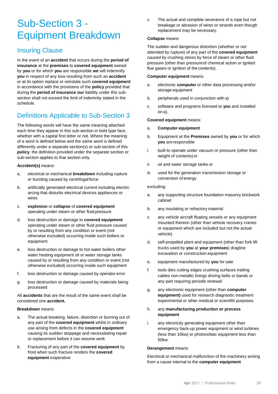# Sub-Section 3 - Equipment Breakdown

# Insuring Clause

In the event of an **accident** that occurs during the **period of insurance** at the **premises** to **covered equipment** owned by **you** or for which **you** are responsible **we** will indemnify **you** in respect of any loss resulting from such an **accident** or at its option replace or reinstate such **covered equipment** in accordance with the provisions of the **policy** provided that during the **period of insurance our** liability under this subsection shall not exceed the limit of indemnity stated in the schedule.

# Definitions Applicable to Sub-Section 3

The following words will have the same meaning attached each time they appear in this sub-section in bold type face, whether with a capital first letter or not. Where the meaning of a word is defined below and the same word is defined differently under a separate section(s) or sub-section of this **policy**, the definition provided under the separate section or sub-section applies to that section only.

#### **Accident(s)** means:

- a. electrical or mechanical **breakdown** including rupture or bursting caused by centrifugalforce
- b. artificially generated electrical current including electric arcing that disturbs electrical devices appliances or wires
- c. **explosion** or **collapse** of **covered equipment** operating under steam or other fluid pressure
- d. loss destruction or damage to **covered equipment** operating under steam or other fluid pressure caused by or resulting from any condition or event (not otherwise excluded) occurring inside such boilers or equipment
- e. loss destruction or damage to hot water boilers other water heating equipment oil or water storage tanks caused by or resulting from any condition or event (not otherwise excluded) occurring inside such equipment
- f. loss destruction or damage caused by operator error
- g. loss destruction or damage caused by materials being processed

All **accidents** that are the result of the same event shall be considered one **accident.**

#### **Breakdown** means:

- a. The actual breaking, failure, distortion or burning out of any part of the **covered equipment** whilst in ordinary use arising from defects in the **covered equipment** causing its sudden stoppage and necessitating repair or replacement before it can resume work
- b. Fracturing of any part of the **covered equipment** by frost when such fracture renders the **covered equipment** inoperative

c. The actual and complete severance of a rope but not breakage or abrasion of wires or strands even though replacement may be necessary.

#### **Collapse** means:

The sudden and dangerous distortion (whether or not attended by rupture) of any part of the **covered equipment** caused by crushing stress by force of steam or other fluid pressure (other than pressureof chemical action or ignited flue gases or ignition of the contents).

#### **Computer equipment** means:

- a. electronic **computer** or other data processing and/or storage equipment
- b. peripherals used in conjunction with a)
- c. software and programs licensed to **you** and installed on a).

#### **Covered equipment** means:

- a. **Computer equipment**
- b. Equipment at the **Premises** owned by **you** or for which **you** are responsible
- i. built to operate under vacuum or pressure (other than weight of contents)or
- ii. oil and water storage tanks or
- iii. used for the generation transmission storage or conversion of energy

#### excluding:

- a. any supporting structure foundation masonry brickwork cabinet
- b. any insulating or refractory material
- c. any vehicle aircraft floating vessels or any equipment mounted thereon (other than vehicle recovery cranes or equipment which are included but not the actual vehicle)
- d. self-propelled plant and equipment (other than fork lift trucks used by **you** at **your premises**) dragline excavation or construction equipment
- e. equipment manufactured by **you** for sale
- f. tools dies cutting edges crushing surfaces trailing cables non-metallic linings driving belts or bands or any part requiring periodic renewal
- g. any electronic equipment (other than **computer equipment)** used for research diagnostic treatment experimental or other medical or scientific purposes
- h. any **manufacturing production or process equipment**
- i. any electricity generating equipment other than emergency back-up power equipment or wind turbines (less than 10kw) or photovoltaic equipment less than 50kw.

#### **Derangement** means:

Electrical or mechanical malfunction of the machinery arising from a cause internal to the **computer equipment**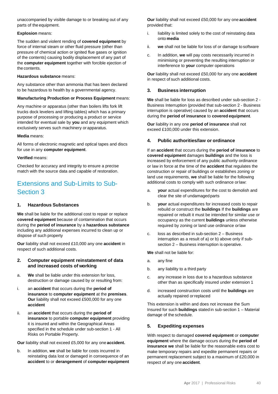unaccompanied by visible damage to or breaking out of any parts of the equipment.

#### **Explosion** means:

The sudden and violent rending of **covered equipment** by force of internal steam or other fluid pressure (other than pressure of chemical action or ignited flue gases or ignition of the contents) causing bodily displacement of any part of the **computer equipment** together with forcible ejection of the contents.

#### **Hazardous substance** means:

Any substance other than ammonia that has been declared to be hazardous to health by a governmental agency.

#### **Manufacturing Production or Process Equipment** means:

Any machine or apparatus (other than boilers lifts fork lift trucks dock levelers and lifting tables) which has a primary purpose of processing or producing a product or service intended for eventual sale by **you** and any equipment which exclusively serves such machinery or apparatus.

#### **Media** means:

All forms of electronic magnetic and optical tapes and discs for use in any **computer equipment**.

#### **Verified** means:

Checked for accuracy and integrity to ensure a precise match with the source data and capable of restoration.

# Extensions and Sub-Limits to Sub-Section 3

## **1. Hazardous Substances**

**We** shall be liable for the additional cost to repair or replace **covered equipment** because of contamination that occurs during the **period of insurance** by a **hazardous substance**  including any additional expenses incurred to clean up or dispose of such property

**Our** liability shall not exceed £10,000 any one **accident** in respect of such additional costs.

#### **2. Computer equipment reinstatement of data and increased costs of working**

- a. **We** shall be liable under this extension for loss, destruction or damage caused by or resulting from:
- i. an **accident** that occurs during the **period of insurance** to **computer equipment** at the **premises**. **Our** liability shall not exceed £500,000 for any one **accident**
- ii. an **accident** that occurs during the **period of insurance** to portable **computer equipment** providing it is insured and within the Geographical Areas specified in the schedule under sub-section 1 - All Risks on Portable Property.

**Our** liability shall not exceed £5,000 for any one **accident.**

b. In addition, **we** shall be liable for costs incurred in reinstating data lost or damaged in consequence of an **accident** to or **derangement** of **computer equipment**

**Our** liability shall not exceed £50,000 for any one **accident** provided that:

- i. liability is limited solely to the cost of reinstating data onto **media**
- ii. **we** shall not be liable for loss of or damage to software
- c. In addition, **we** will pay costs necessarily incurred in minimising or preventing the resulting interruption or interference to **your** computer operations

**Our** liability shall not exceed £50,000 for any one **accident** in respect of such additional costs.

# **3. Business interruption**

**We** shall be liable for loss as described under sub-section 2 - Business Interruption (provided that sub-section 2 - Business interruption is operative) caused by an **accident** that occurs during the **period of insurance** to **covered equipment**.

**Our** liability in any one **period of insurance** shall not exceed £100,000 under this extension.

# **4. Public authorities/law or ordinance**

If an **accident** that occurs during the **period of insurance** to **covered equipment** damages **buildings** and the loss is increased by enforcement of any public authority ordinance or law in force at the time of the **accident** that regulates the construction or repair of buildings or establishes zoning or land use requirements, **we** shall be liable for the following additional costs to comply with such ordinance orlaw:

- a. **your** actual expenditures for the cost to demolish and clear the site of undamagedparts
- b. **your** actual expenditures for increased costs to repair rebuild or construct the **buildings** If the **buildings** are repaired or rebuilt it must be intended for similar use or occupancy as the current **buildings** unless otherwise required by zoning or land use ordinance orlaw
- c. loss as described in sub-section 2 Business interruption as a result of a) or b) above only if subsection 2 – Business interruption is operative.

**We** shall not be liable for:

- a. any fine
- b. any liability to a third party
- c. any increase in loss due to a hazardous substance other than as specifically insured under extension 1
- d. increased construction costs until the **buildings** are actually repaired orreplaced

This extension is within and does not increase the Sum Insured for such **buildings** stated in sub-section 1 – Material damage of the schedule.

## **5. Expediting expenses**

With respect to damaged **covered equipment** or **computer equipment** where the damage occurs during the **period of insurance we** shall be liable for the reasonable extra cost to make temporary repairs and expedite permanent repairs or permanent replacement subject to a maximum of £20,000 in respect of any one **accident**.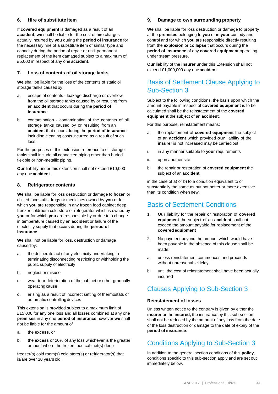## **6. Hire of substitute item**

If **covered equipment** is damaged as a result of an **accident, we** shall be liable for the cost of hire charges actually incurred by **you** during the **period of insurance** for the necessary hire of a substitute item of similar type and capacity during the period of repair or until permanent replacement of the item damaged subject to a maximum of £5,000 in respect of any one **accident**.

#### **7. Loss of contents of oil storage tanks**

**We** shall be liable for the loss of the contents of static oil storage tanks caused by:

- a. escape of contents leakage discharge or overflow from the oil storage tanks caused by or resulting from an **accident** that occurs during the **period of insurance**
- b. contamination contamination of the contents of oil storage tanks caused by or resulting from an **accident** that occurs during the **period of insurance**  including cleaning costs incurred as a result of such loss.

For the purposes of this extension reference to oil storage tanks shall include all connected piping other than buried flexible or non-metallic piping.

**Our** liability under this extension shall not exceed £10,000 any one **accident**.

#### **8. Refrigerator contents**

**We** shall be liable for loss destruction or damage to frozen or chilled foodstuffs drugs or medicines owned by **you** or for which **you** are responsible in any frozen food cabinet deep freezer coldroom cold store or refrigerator which is owned by **you** or for which **you** are responsible by or due to a change in temperature caused by an **accident** or failure of the electricity supply that occurs during the **period of insurance**.

**We** shall not be liable for loss, destruction or damage caused by:

- a. the deliberate act of any electricity undertaking in terminating disconnecting restricting or withholding the public supply of electricity
- b. neglect or misuse
- c. wear tear deterioration of the cabinet or other gradually operating cause
- d. arising as a result of incorrect setting of thermostats or automatic controllingdevices

This extension is provided subject to a maximum limit of £15,000 for any one loss and all losses combined at any one **premises** in any one **period of insurance** however **we** shall not be liable for the amount of

- a. the **excess**, or
- b. the **excess** or 20% of any loss whichever is the greater amount where the frozen food cabinet(s) deep

freezer(s) cold room(s) cold store(s) or refrigerator(s) that is/are over 10 years old,

#### **9. Damage to own surrounding property**

**We** shall be liable for loss destruction or damage to property at the **premises** belonging to **you** or in **your** custody and control and for which **you** are responsible directly resulting from the **explosion** or **collapse** that occurs during the **period of insurance** of any **covered equipment** operating under steam pressure.

**Our** liability of the **insurer** under this Extension shall not exceed £1,000,000 any one**accident**.

# Basis of Settlement Clause Applying to Sub-Section 3

Subject to the following conditions, the basis upon which the amount payable in respect of **covered equipment** is to be calculated shall be the reinstatement of the **covered equipment** the subject of an **accident**.

For this purpose, reinstatement means:

- a. the replacement of **covered equipment** the subject of an **accident** which provided **our** liability of the **insurer** is not increased may be carried out:
- i. in any manner suitable to **your** requirements
- ii. upon another site
- b. the repair or restoration of **covered equipment** the subject of an **accident**

in the case of a) or b) to a condition equivalent to or substantially the same as but not better or more extensive than its condition when new.

# Basis of Settlement Conditions

- 1. **Our** liability for the repair or restoration of **covered equipment** the subject of an **accident** shall not exceed the amount payable for replacement of the **covered equipment**
- 2. No payment beyond the amount which would have been payable in the absence of this clause shall be made:
- a. unless reinstatement commences and proceeds without unreasonable delay
- b. until the cost of reinstatement shall have been actually incurred

# Clauses Applying to Sub-Section 3

#### **Reinstatement of losses**

Unless written notice to the contrary is given by either the **insurer** or the **insured,** the insurance by this sub-section shall not be reduced by the amount of any loss from the date of the loss destruction or damage to the date of expiry of the **period of insurance**.

# Conditions Applying to Sub-Section 3

In addition to the general section conditions of this **policy**, conditions specific to this sub-section apply and are set out immediately below.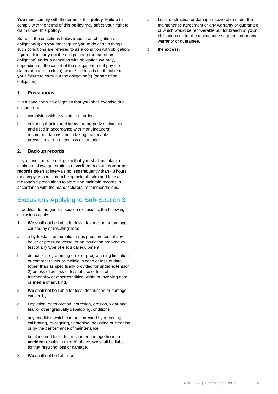**You** must comply with the terms of this **policy**. Failure to comply with the terms of this **policy** may affect **your** right to claim under this **policy**.

Some of the conditions below impose an obligation or obligation(s) on **you** that require **you** to do certain things; such conditions are referred to as a condition with obligation. If **you** fail to carry out the obligation(s) (or part of an obligation) under a condition with obligation **we** may, depending on the extent of the obligation(s) not pay the claim (or part of a claim), where the loss is attributable to **your** failure to carry out the obligation(s) (or part of an obligation).

#### **1. Precautions**

It is a condition with obligation that **you** shall exercise due diligence in:

- a. complying with any statute or order
- b. ensuring that insured items are properly maintained and used in accordance with manufacturers' recommendations and in taking reasonable precautions to prevent loss ordamage

#### **2. Back-up records**

It is a condition with obligation that **you** shall maintain a minimum of two generations of **verified** back-up **computer records** taken at intervals no less frequently than 48 hours (one copy as a minimum being held off-site) and take all reasonable precautions to store and maintain records in accordance with the manufacturers' recommendations.

# Exclusions Applying to Sub-Section 3

In addition to the general section exclusions, the following exclusions apply:

- 1. **We** shall not be liable for loss, destruction or damage caused by or resultingfrom:
- a. a hydrostatic pneumatic or gas pressure test of any boiler or pressure vessel or an insulation breakdown test of any type of electrical equipment
- b. defect or programming error or programming limitation or computer virus or malicious code or loss of data (other than as specifically provided for under extension 2) or loss of access or loss of use or loss of functionality or other condition within or involving data or **media** of any kind.
- 2. **We** shall not be liable for loss, destruction or damage caused by:
- a. Depletion, deterioration, corrosion, erosion, wear and tear or other gradually developing conditions
- b. any condition which can be corrected by re-setting, calibrating, re-aligning, tightening, adjusting or cleaning or by the performance of maintenance

but if insured loss, destruction or damage from an **accident** results in a) or b) above, **we** shall be liable forthat resulting loss or damage.

3. **We** shall not be liable for:

- a. Loss, destruction or damage recoverable under the maintenance agreement or any warranty or guarantee or which would be recoverable but for breach of **your** obligations under the maintenance agreement or any warranty or guarantee.
- b. the **excess**.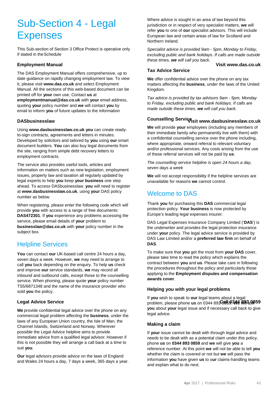# Sub-Section 4 - Legal Expenses

This Sub-section of Section 3 Office Protect is operative only if stated in theSchedule

# **Employment Manual Visit www.das.co.uk**

The DAS Employment Manual offers comprehensive, up to date guidance on rapidly changing employment law. To view it, please visit **www.das.co.uk** and select Employment Manual. All the sections of this web-based document can be printed off for **your** own use. Contact **us** at **employmentmanual@das.co.uk** with **your** email address, quoting **your** policy number and **we** will contact **you** by email to inform **you** of future updates to the information

Using **www.dasbusinesslaw.co.uk you** can create readyto-sign contracts, agreements and letters in minutes. Developed by solicitors and tailored by **you** using **our** smart document builders. **You** can also buy legal documents from the site, ranging from simple debt recovery letters to employment contracts.

The service also provides useful tools, articles and information on matters such as new legislation, employment issues, property law and taxation all regularly updated by legal experts to help **you** keep **your business** one step ahead. To access DASbusinesslaw, **you** will need to register at **www.dasbusinesslaw.co.uk**, using **your** DAS policy number as below.

When registering, please enter the following code which will provide **you** with access to a range of free documents: **DAS472301**. If **you** experience any problems accessing the service, please email details of **your** problem to **businesslaw@das.co.uk** with **your** policy number in the subject box.

# Helpline Services

**You** can contact **our** UK-based call centre 24 hours a day, seven days a week. However, **we** may need to arrange to call **you** back depending on the enquiry. To help **us** check and improve **our** service standards, **we** may record all inbound and outbound calls, except those to the counselling service. When phoning, please quote **your** policy number TS5/6871348 and the name of the insurance provider who sold **you** the policy.

**We** provide confidential legal advice over the phone on any commercial legal problem affecting the **business**, under the laws of any European Union country, the Isle of Man, the Channel Islands, Switzerland and Norway. Wherever possible the Legal Advice helpline aims to provide immediate advice from a qualified legal advisor. However if this is not possible they will arrange a call back at a time to suit **you**.

**Our** legal advisors provide advice on the laws of England and Wales 24 hours a day, 7 days a week, 365 days a year.

Where advice is sought in an area of law beyond this jurisdiction or in respect of very specialist matters, **we** will refer **you** to one of **our** specialist advisors. This will include European law and certain areas of law for Scotland and Northern Ireland.

*Specialist advice is provided 9am - 5pm, Monday to Friday, excluding public and bank holidays. If calls are made outside these times, we will call you back.*

# **Tax Advice Service**

**We** offer confidential advice over the phone on any tax matters affecting the **business**, under the laws of the United Kingdom.

*Tax advice is provided by tax advisors 9am - 5pm, Monday to Friday, excluding public and bank holidays. If calls are made outside these times, we will call you back.*

# **DASbusinesslaw Visit www.dasbusinesslaw.co.uk Counselling Service**

**We** will provide **your** employees (including any members of their immediate family who permanently live with them) with a confidential counselling service over the phone including, where appropriate, onward referral to relevant voluntary and/or professional services. Any costs arising from the use of these referral services will not be paid by **us**.

*The counselling service helpline is open 24 hours a day, seven days a week*

**We** will not accept responsibility if the helpline services are unavailable for reasons **we** cannot control.

# Welcome to DAS

Thank **you** for purchasing this **DAS** commercial legal protection policy. **Your business** is now protected by Europe's leading legal expenses insurer.

DAS Legal Expenses Insurance Company Limited ('**DAS**') is the underwriter and provides the legal protection insurance under **your** policy. The legal advice service is provided by DAS Law Limited and/or a **preferred law firm** on behalf of **DAS**.

To make sure that **you** get the most from **your DAS** cover, please take time to read the policy which explains the contract between **you** and **us**. Please take care in following the procedures throughout the policy and particularly those applying to the **Employment disputes and compensation awards cover**.

#### **Helping you with your legal problems**

 $\blacksquare$  Legal Advice Service  $\blacksquare$ If **you** wish to speak to **our** legal teams about a legal **you** about **your** legal issue and if necessary call back to give legal advice.

#### **Making a claim**

If **your** issue cannot be dealt with through legal advice and needs to be dealt with as a potential claim under this policy, phone **us** on **0344 893 0859** and **we** will give **you** a reference number. At this point **we** will not be able to tell **you** whether the claim is covered or not but **we** will pass the information **you** have given **us** to o**ur** claims-handling teams and explain what to do next.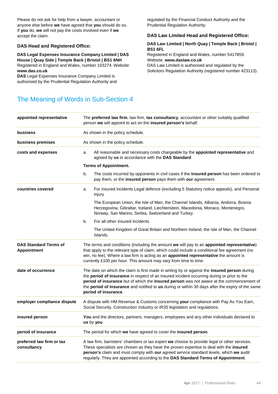Please do not ask for help from a lawyer, accountant or anyone else before **we** have agreed that **you** should do so. If **you** do, **we** will not pay the costs involved even if **we** accept the claim.

#### **DAS Head and Registered Office:**

**DAS Legal Expenses Insurance Company Limited | DAS House | Quay Side | Temple Back | Bristol | BS1 6NH** Registered in England and Wales, number 103274. Website: **www.das.co.uk**

**DAS** Legal Expenses Insurance Company Limited is authorised by the Prudential Regulation Authority and regulated by the Financial Conduct Authority and the Prudential Regulation Authority.

#### **DAS Law Limited Head and Registered Office:**

#### **DAS Law Limited | North Quay | Temple Back | Bristol | BS1 6FL**

Registered in England and Wales, number 5417859. Website: **www.daslaw.co.uk**

DAS Law Limited is authorised and regulated by the Solicitors Regulation Authority (registered number 423113).

# The Meaning of Words in Sub-Section 4

| appointed representative                           | The preferred law firm, law firm, tax consultancy, accountant or other suitably qualified<br>person we will appoint to act on the insured person's behalf. |                                                                                                                                                                                                                                                                                                                                                                                                                    |  |  |  |  |  |
|----------------------------------------------------|------------------------------------------------------------------------------------------------------------------------------------------------------------|--------------------------------------------------------------------------------------------------------------------------------------------------------------------------------------------------------------------------------------------------------------------------------------------------------------------------------------------------------------------------------------------------------------------|--|--|--|--|--|
| business                                           | As shown in the policy schedule.<br>As shown in the policy schedule.                                                                                       |                                                                                                                                                                                                                                                                                                                                                                                                                    |  |  |  |  |  |
| business premises                                  |                                                                                                                                                            |                                                                                                                                                                                                                                                                                                                                                                                                                    |  |  |  |  |  |
| costs and expenses                                 | a.                                                                                                                                                         | All reasonable and necessary costs chargeable by the appointed representative and<br>agreed by us in accordance with the DAS Standard                                                                                                                                                                                                                                                                              |  |  |  |  |  |
|                                                    | <b>Terms of Appointment.</b>                                                                                                                               |                                                                                                                                                                                                                                                                                                                                                                                                                    |  |  |  |  |  |
|                                                    | b.                                                                                                                                                         | The costs incurred by opponents in civil cases if the insured person has been ordered to<br>pay them, or the insured person pays them with our agreement.                                                                                                                                                                                                                                                          |  |  |  |  |  |
| countries covered                                  | a.                                                                                                                                                         | For insured incidents Legal defence (excluding 5 Statutory notice appeals), and Personal<br>injury                                                                                                                                                                                                                                                                                                                 |  |  |  |  |  |
|                                                    |                                                                                                                                                            | The European Union, the Isle of Man, the Channel Islands, Albania, Andorra, Bosnia<br>Herzegovina, Gibraltar, Iceland, Liechtenstein, Macedonia, Monaco, Montenegro,<br>Norway, San Marino, Serbia, Switzerland and Turkey.                                                                                                                                                                                        |  |  |  |  |  |
|                                                    | b.                                                                                                                                                         | For all other insured incidents                                                                                                                                                                                                                                                                                                                                                                                    |  |  |  |  |  |
|                                                    |                                                                                                                                                            | The United Kingdom of Great Britain and Northern Ireland, the Isle of Man, the Channel<br>Islands.                                                                                                                                                                                                                                                                                                                 |  |  |  |  |  |
| <b>DAS Standard Terms of</b><br><b>Appointment</b> |                                                                                                                                                            | The terms and conditions (including the amount we will pay to an appointed representative)<br>that apply to the relevant type of claim, which could include a conditional fee agreement (no<br>win, no fee). Where a law firm is acting as an appointed representative the amount is<br>currently £100 per hour. This amount may vary from time to time.                                                           |  |  |  |  |  |
| date of occurrence                                 |                                                                                                                                                            | The date on which the claim is first made in writing by or against the insured person during<br>the period of insurance in respect of an insured incident occurring during or prior to the<br>period of insurance but of which the insured person was not aware at the commencement of<br>the period of insurance and notified to us during or within 30 days after the expiry of the same<br>period of insurance. |  |  |  |  |  |
| employer compliance dispute                        |                                                                                                                                                            | A dispute with HM Revenue & Customs concerning your compliance with Pay As You Earn,<br>Social Security, Construction Industry or IR35 legislation and regulations.                                                                                                                                                                                                                                                |  |  |  |  |  |
| insured person                                     |                                                                                                                                                            | You and the directors, partners, managers, employees and any other individuals declared to<br>us by you.                                                                                                                                                                                                                                                                                                           |  |  |  |  |  |
| period of insurance                                |                                                                                                                                                            | The period for which we have agreed to cover the insured person.                                                                                                                                                                                                                                                                                                                                                   |  |  |  |  |  |
| preferred law firm or tax<br>consultancy           |                                                                                                                                                            | A law firm, barristers' chambers or tax expert we choose to provide legal or other services.<br>These specialists are chosen as they have the proven expertise to deal with the insured<br>person's claim and must comply with our agreed service standard levels, which we audit<br>regularly. They are appointed according to the DAS Standard Terms of Appointment.                                             |  |  |  |  |  |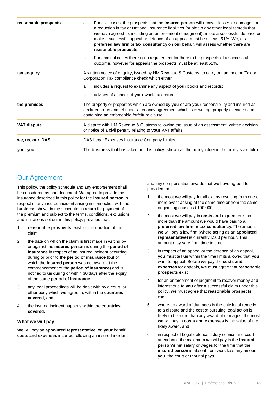| reasonable prospects | For civil cases, the prospects that the <b>insured person</b> will recover losses or damages or<br>a.<br>a reduction in tax or National Insurance liabilities (or obtain any other legal remedy that<br>we have agreed to, including an enforcement of judgment), make a successful defence or<br>make a successful appeal or defence of an appeal, must be at least 51%. We, or a<br>preferred law firm or tax consultancy on our behalf, will assess whether there are<br>reasonable prospects. |  |  |  |  |  |
|----------------------|---------------------------------------------------------------------------------------------------------------------------------------------------------------------------------------------------------------------------------------------------------------------------------------------------------------------------------------------------------------------------------------------------------------------------------------------------------------------------------------------------|--|--|--|--|--|
|                      | For criminal cases there is no requirement for there to be prospects of a successful<br>b.<br>outcome, however for appeals the prospects must be at least 51%.                                                                                                                                                                                                                                                                                                                                    |  |  |  |  |  |
| tax enquiry          | A written notice of enquiry, issued by HM Revenue & Customs, to carry out an Income Tax or<br>Corporation Tax compliance check which either:                                                                                                                                                                                                                                                                                                                                                      |  |  |  |  |  |
|                      | includes a request to examine any aspect of your books and records;<br>a.<br>advises of a check of your whole tax return<br>b.                                                                                                                                                                                                                                                                                                                                                                    |  |  |  |  |  |
| the premises         | The property or properties which are owned by you or are your responsibility and insured as<br>declared to us and let under a tenancy agreement which is in writing, properly executed and<br>containing an enforceable forfeiture clause.                                                                                                                                                                                                                                                        |  |  |  |  |  |
| <b>VAT dispute</b>   | A dispute with HM Revenue & Customs following the issue of an assessment, written decision<br>or notice of a civil penalty relating to your VAT affairs.                                                                                                                                                                                                                                                                                                                                          |  |  |  |  |  |
| we, us, our, DAS     | DAS Legal Expenses Insurance Company Limited.                                                                                                                                                                                                                                                                                                                                                                                                                                                     |  |  |  |  |  |
| you, your            | The business that has taken out this policy (shown as the policyholder in the policy schedule).                                                                                                                                                                                                                                                                                                                                                                                                   |  |  |  |  |  |

# Our Agreement

This policy, the policy schedule and any endorsement shall be considered as one document. **We** agree to provide the insurance described in this policy for the **insured person** in respect of any insured incident arising in connection with the **business** shown in the schedule, in return for payment of the premium and subject to the terms, conditions, exclusions and limitations set out in this policy, provided that:

- 1. **reasonable prospects** exist for the duration of the claim
- 2. the date on which the claim is first made in writing by or against the **insured person** is during the **period of insurance** in respect of an insured incident occurring during or prior to the **period of insurance** (but of which the **insured person** was not aware at the commencement of the **period of insurance**) and is notified to **us** during or within 30 days after the expiry of the same **period of insurance**
- 3. any legal proceedings will be dealt with by a court, or other body which **we** agree to, within the **countries covered**, and
- 4. the insured incident happens within the **countries covered.**

## **What we will pay**

**We** will pay an **appointed representative**, on **your** behalf, **costs and expenses** incurred following an insured incident, and any compensation awards that **we** have agreed to, provided that:

- 1. the most **we** will pay for all claims resulting from one or more event arising at the same time or from the same originating cause is £100,000
- 2. the most **we** will pay in **costs and expenses** is no more than the amount **we** would have paid to a **preferred law firm** or **tax consultancy**. The amount **we** will pay a law firm (where acting as an **appointed representative)** is currently £100 per hour. This amount may vary from time to time
- 3. in respect of an appeal or the defence of an appeal, **you** must tell **us** within the time limits allowed that **you** want to appeal. Before **we** pay the **costs and expenses** for appeals, **we** must agree that **reasonable prospects** exist
- 4. for an enforcement of judgment to recover money and interest due to **you** after a successful claim under this policy, **we** must agree that **reasonable prospects** exist
- 5. where an award of damages is the only legal remedy to a dispute and the cost of pursuing legal action is likely to be more than any award of damages, the most **we** will pay in **costs and expenses** is the value of the likely award, and
- 6. in respect of Legal defence 6 Jury service and court attendance the maximum **we** will pay is the **insured person's** net salary or wages for the time that the **insured person** is absent from work less any amount **you**, the court or tribunal pays.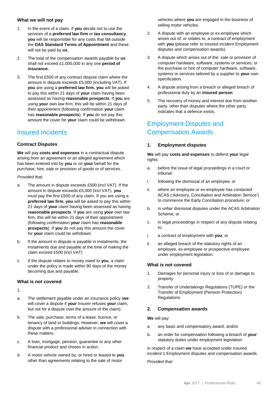#### **What we will not pay**

- 1. In the event of a claim, if **you** decide not to use the services of a **preferred law firm** or **tax consultancy**, **you** will be responsible for any costs that fall outside the **DAS Standard Terms of Appointment** and these will not be paid by **us.**
- 2. The total of the compensation awards payable by **us** shall not exceed £1,000,000 in any one **period of insurance.**
- 3. The first £500 of any contract dispute claim where the amount in dispute exceeds £5,000 (including VAT). If **you** are using a **preferred law firm**, **you** will be asked to pay this within 21 days of **your** claim having been assessed as having **reasonable prospects**. If **you** are using **your** own law firm, this will be within 21 days of their appointment (following confirmation **your** claim has **reasonable prospects**). If **you** do not pay this amount the cover for **your** claim could be withdrawn.

# Insured Incidents

## **Contract Disputes**

**We** will pay **costs and expenses** in a contractual dispute arising from an agreement or an alleged agreement which has been entered into by **you** or on **your** behalf for the purchase, hire, sale or provision of goods or of services.

#### *Provided that:*

- a. The amount in dispute exceeds £500 (incl VAT). If the amount in dispute exceeds £5,000 (incl VAT), **you**  must pay the first £500 of any claim. If you are using a **preferred law firm**, **you** will be asked to pay this within 21 days of **your** claim having been assessed as having **reasonable prospects**. If **you** are using **your** own law firm, this will be within 21 days of their appointment (following confirmation **your** claim has **reasonable prospects**). If **you** do not pay this amount the cover for **your** claim could be withdrawn
- b. If the amount in dispute is payable in instalments, the instalments due and payable at the time of making the claim exceed £500 (incl VAT)
- c. If the dispute relates to money owed to **you**, a claim under the policy is made within 90 days of the money becoming due and payable.

## **What is not covered**

1.

- a. The settlement payable under an insurance policy (**we**  will cover a dispute if **your** insurer refuses **your** claim, but not for a dispute over the amount of the claim).
- b. The sale, purchase, terms of a lease, licence, or tenancy of land or buildings. However, **we** will cover a dispute with a professional adviser in connection with these matters.
- c. A loan, mortgage, pension, guarantee or any other financial product and choses in action.
- d. A motor vehicle owned by, or hired or leased to **you**  other than agreements relating to the sale of motor

vehicles where **you** are engaged in the business of selling motor vehicles.

- 2. A dispute with an employee or ex-employee which arises out of, or relates to, a contract of employment with **you** (please refer to insured incident Employment disputes and compensation awards).
- 3. A dispute which arises out of the: sale or provision of computer hardware, software, systems or services; or the purchase or hire of computer hardware, software, systems or services tailored by a supplier to **your** own specification.
- 4. A dispute arising from a breach or alleged breach of professional duty by an **insured person**
- 5. The recovery of money and interest due from another party, other than disputes where the other party indicates that a defence exists.

# Employment Disputes and Compensation Awards

#### **1. Employment disputes**

**We** will pay **costs and expenses** to defend **your** legal rights:

- a. before the issue of legal proceedings in a court or tribunal:
- i. following the dismissal of an employee; or
- ii. where an employee or ex-employee has contacted ACAS ('Advisory, Conciliation and Arbitration Service') to commence the Early Conciliation procedure; or
- b. in unfair dismissal disputes under the ACAS Arbitration Scheme; or
- c. in legal proceedings in respect of any dispute relating to:
- i. a contract of employment with **you**; or
- ii. an alleged breach of the statutory rights of an employee, ex-employee or prospective employee under employment legislation.

#### **What is not covered**

- 1. Damages for personal injury or loss of or damage to property
- 2. Transfer of Undertakings Regulations (TUPE) or the Transfer of Employment (Pension Protection) Regulations.

#### **2. Compensation awards**

**We** will pay:

- a. any basic and compensatory award; and/or
- b. an order for compensation following a breach of **your**  statutory duties under employment legislation

in respect of a claim **we** have accepted under insured incident 1 Employment disputes and compensation awards.

*Provided that:*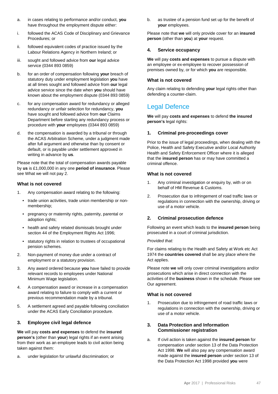- a. in cases relating to performance and/or conduct, **you** have throughout the employment dispute either:
- i. followed the ACAS Code of Disciplinary and Grievance Procedures; or
- ii. followed equivalent codes of practice issued by the Labour Relations Agency in Northern Ireland; or
- iii. sought and followed advice from **our** legal advice service (0344 893 0859)
- b. for an order of compensation following **your** breach of statutory duty under employment legislation **you** have at all times sought and followed advice from **our** legal advice service since the date when **you** should have known about the employment dispute (0344 893 0859)
- c. for any compensation award for redundancy or alleged redundancy or unfair selection for redundancy, **you** have sought and followed advice from **our** Claims Department before starting any redundancy process or procedure with **your** employees (0344 893 0859)
- d. the compensation is awarded by a tribunal or through the ACAS Arbitration Scheme, under a judgment made after full argument and otherwise than by consent or default, or is payable under settlement approved in writing in advance by **us**.

Please note that the total of compensation awards payable by **us** is £1,000,000 in any one **period of insurance**. Please see What we will not pay 2.

#### **What is not covered**

- 1. Any compensation award relating to the following:
	- trade union activities, trade union membership or nonmembership;
	- pregnancy or maternity rights, paternity, parental or adoption rights;
	- health and safety related dismissals brought under section 44 of the Employment Rights Act 1996;
	- statutory rights in relation to trustees of occupational pension schemes.
- 2. Non-payment of money due under a contract of employment or a statutory provision.
- 3. Any award ordered because **you** have failed to provide relevant records to employees under National Minimum Wage legislation.
- 4. A compensation award or increase in a compensation award relating to failure to comply with a current or previous recommendation made by a tribunal.
- 5. A settlement agreed and payable following conciliation under the ACAS Early Conciliation procedure.

#### **3. Employee civil legal defence**

**We** will pay **costs and expenses** to defend the **insured person's** (other than **your**) legal rights if an event arising from their work as an employee leads to civil action being taken against them:

a. under legislation for unlawful discrimination; or

b. as trustee of a pension fund set up for the benefit of **your** employees.

Please note that **we** will only provide cover for an **insured person** (other than **you**) at **your** request.

#### **4. Service occupancy**

**We** will pay **costs and expenses** to pursue a dispute with an employee or ex-employee to recover possession of premises owned by, or for which **you** are responsible.

#### **What is not covered**

Any claim relating to defending **your** legal rights other than defending a counter-claim.

# Legal Defence

**We** will pay **costs and expenses** to defend **the insured person's** legal rights:

#### **1. Criminal pre-proceedings cover**

Prior to the issue of legal proceedings, when dealing with the Police, Health and Safety Executive and/or Local Authority Health and Safety Enforcement Officer where it is alleged that the **insured person** has or may have committed a criminal offence.

#### **What is not covered**

- 1. Any criminal investigation or enquiry by, with or on behalf of HM Revenue & Customs.
- 2. Prosecution due to infringement of road traffic laws or regulations in connection with the ownership, driving or use of a motor vehicle.

## **2. Criminal prosecution defence**

Following an event which leads to the **insured person** being prosecuted in a court of criminal jurisdiction.

#### *Provided that:*

For claims relating to the Health and Safety at Work etc Act 1974 the **countries covered** shall be any place where the Act applies.

Please note **we** will only cover criminal investigations and/or prosecutions which arise in direct connection with the activities of the **business** shown in the schedule. Please see Our agreement.

#### **What is not covered**

1. Prosecution due to infringement of road traffic laws or regulations in connection with the ownership, driving or use of a motor vehicle.

## **3. Data Protection and Information Commissioner registration**

a. If civil action is taken against the **insured person** for compensation under section 13 of the Data Protection Act 1998. **We** will also pay any compensation award made against the **insured person** under section 13 of the Data Protection Act 1998 provided **you** were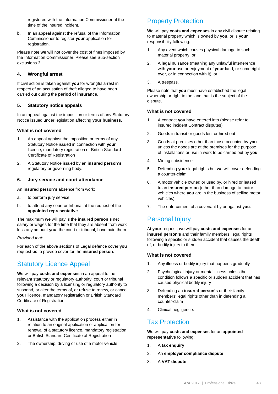registered with the Information Commissioner at the time of the insured incident.

b. In an appeal against the refusal of the Information Commissioner to register **your** application for registration.

Please note **we** will not cover the cost of fines imposed by the Information Commissioner. Please see Sub-section exclusions 3.

# **4. Wrongful arrest**

If civil action is taken against **you** for wrongful arrest in respect of an accusation of theft alleged to have been carried out during the **period of insurance**.

#### **5. Statutory notice appeals**

In an appeal against the imposition or terms of any Statutory Notice issued under legislation affecting **your business.**

## **What is not covered**

- 1. An appeal against the imposition or terms of any Statutory Notice issued in connection with **your** licence, mandatory registration or British Standard Certificate of Registration
- 2. A Statutory Notice issued by an **insured person's** regulatory or governing body.

#### **6. Jury service and court attendance**

An **insured person's** absence from work:

- a. to perform jury service
- b. to attend any court or tribunal at the request of the **appointed representative**.

The maximum **we** will pay is the **insured person's** net salary or wages for the time that they are absent from work less any amount **you**, the court or tribunal, have paid them.

#### *Provided that:*

For each of the above sections of Legal defence cover **you** request **us** to provide cover for the **insured person**.

# Statutory Licence Appeal

**We** will pay **costs and expenses** in an appeal to the relevant statutory or regulatory authority, court or tribunal following a decision by a licensing or regulatory authority to suspend, or alter the terms of, or refuse to renew, or cancel **your** licence, mandatory registration or British Standard Certificate of Registration.

#### **What is not covered**

- 1. Assistance with the application process either in relation to an original application or application for renewal of a statutory licence, mandatory registration or British Standard Certificate of Registration
- 2. The ownership, driving or use of a motor vehicle.

# Property Protection

**We** will pay **costs and expenses** in any civil dispute relating to material property which is owned by **you**, or is **your** responsibility following:

- 1. Any event which causes physical damage to such material property; or
- 2. A legal nuisance (meaning any unlawful interference with **your** use or enjoyment of **your** land, or some right over, or in connection with it); or
- 3. A trespass.

Please note that **you** must have established the legal ownership or right to the land that is the subject of the dispute.

#### **What is not covered**

- 1. A contract **you** have entered into (please refer to insured incident Contract disputes)
- 2. Goods in transit or goods lent or hired out
- 3. Goods at premises other than those occupied by **you**  unless the goods are at the premises for the purpose of installations or use in work to be carried out by **you**
- 4. Mining subsidence
- 5. Defending **your** legal rights but **we** will cover defending a counter-claim
- 6. A motor vehicle owned or used by, or hired or leased to an **insured person** (other than damage to motor vehicles where **you** are in the business of selling motor vehicles)
- 7. The enforcement of a covenant by or against **you**.

# Personal Injury

At **your** request, **we** will pay **costs and expenses** for an **insured person's** and their family members' legal rights following a specific or sudden accident that causes the death of, or bodily injury to them.

#### **What is not covered**

- 1. Any illness or bodily injury that happens gradually
- 2. Psychological injury or mental illness unless the condition follows a specific or sudden accident that has caused physical bodily injury
- 3. Defending an **insured person's** or their family members' legal rights other than in defending a counter-claim
- 4. Clinical negligence.

# Tax Protection

**We** will pay **costs and expenses** for an **appointed representative** following:

- 1. A **tax enquiry**
- 2. An **employer compliance dispute**
- 3. A **VAT dispute**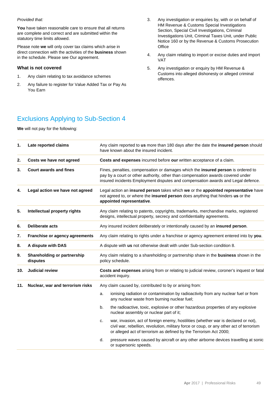#### *Provided that:*

**You** have taken reasonable care to ensure that all returns are complete and correct and are submitted within the statutory time limits allowed.

Please note **we** will only cover tax claims which arise in direct connection with the activities of the **business** shown in the schedule. Please see Our agreement.

#### **What is not covered**

- 1. Any claim relating to tax avoidance schemes
- 2. Any failure to register for Value Added Tax or Pay As You Earn
- 3. Any investigation or enquiries by, with or on behalf of HM Revenue & Customs Special Investigations Section, Special Civil Investigations, Criminal Investigations Unit, Criminal Taxes Unit, under Public Notice 160 or by the Revenue & Customs Prosecution **Office**
- 4. Any claim relating to import or excise duties and import VAT
- 5. Any investigation or enquiry by HM Revenue & Customs into alleged dishonesty or alleged criminal offences.

# Exclusions Applying to Sub-Section 4

**We** will not pay for the following:

| 1.  | Late reported claims                    | Any claim reported to us more than 180 days after the date the insured person should<br>have known about the insured incident.                                                                                                                           |  |  |  |  |
|-----|-----------------------------------------|----------------------------------------------------------------------------------------------------------------------------------------------------------------------------------------------------------------------------------------------------------|--|--|--|--|
| 2.  | Costs we have not agreed                | Costs and expenses incurred before our written acceptance of a claim.                                                                                                                                                                                    |  |  |  |  |
| 3.  | <b>Court awards and fines</b>           | Fines, penalties, compensation or damages which the insured person is ordered to<br>pay by a court or other authority, other than compensation awards covered under<br>insured incidents Employment disputes and compensation awards and Legal defence.  |  |  |  |  |
| 4.  | Legal action we have not agreed         | Legal action an insured person takes which we or the appointed representative have<br>not agreed to, or where the insured person does anything that hinders us or the<br>appointed representative.                                                       |  |  |  |  |
| 5.  | Intellectual property rights            | Any claim relating to patents, copyrights, trademarks, merchandise marks, registered<br>designs, intellectual property, secrecy and confidentiality agreements.                                                                                          |  |  |  |  |
| 6.  | <b>Deliberate acts</b>                  | Any insured incident deliberately or intentionally caused by an insured person.                                                                                                                                                                          |  |  |  |  |
| 7.  | Franchise or agency agreements          | Any claim relating to rights under a franchise or agency agreement entered into by you.                                                                                                                                                                  |  |  |  |  |
| 8.  | A dispute with DAS                      | A dispute with us not otherwise dealt with under Sub-section condition 8.                                                                                                                                                                                |  |  |  |  |
| 9.  | Shareholding or partnership<br>disputes | Any claim relating to a shareholding or partnership share in the business shown in the<br>policy schedule.                                                                                                                                               |  |  |  |  |
| 10. | <b>Judicial review</b>                  | Costs and expenses arising from or relating to judicial review, coroner's inquest or fatal<br>accident inquiry.                                                                                                                                          |  |  |  |  |
| 11. | Nuclear, war and terrorism risks        | Any claim caused by, contributed to by or arising from:                                                                                                                                                                                                  |  |  |  |  |
|     |                                         | ionising radiation or contamination by radioactivity from any nuclear fuel or from<br>a.<br>any nuclear waste from burning nuclear fuel;                                                                                                                 |  |  |  |  |
|     |                                         | b.<br>the radioactive, toxic, explosive or other hazardous properties of any explosive<br>nuclear assembly or nuclear part of it;                                                                                                                        |  |  |  |  |
|     |                                         | war, invasion, act of foreign enemy, hostilities (whether war is declared or not),<br>c.<br>civil war, rebellion, revolution, military force or coup, or any other act of terrorism<br>or alleged act of terrorism as defined by the Terrorism Act 2000; |  |  |  |  |
|     |                                         | pressure waves caused by aircraft or any other airborne devices travelling at sonic<br>d.<br>or supersonic speeds.                                                                                                                                       |  |  |  |  |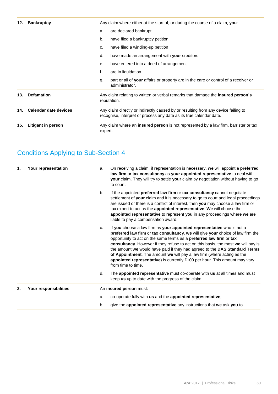| 12. | <b>Bankruptcy</b>     |                                                                                                                                                           | Any claim where either at the start of, or during the course of a claim, you:                          |
|-----|-----------------------|-----------------------------------------------------------------------------------------------------------------------------------------------------------|--------------------------------------------------------------------------------------------------------|
|     |                       | a.                                                                                                                                                        | are declared bankrupt                                                                                  |
|     |                       | b.                                                                                                                                                        | have filed a bankruptcy petition                                                                       |
|     |                       | C.                                                                                                                                                        | have filed a winding-up petition                                                                       |
|     |                       | d.                                                                                                                                                        | have made an arrangement with your creditors                                                           |
|     |                       | е.                                                                                                                                                        | have entered into a deed of arrangement                                                                |
|     |                       | f.                                                                                                                                                        | are in liquidation                                                                                     |
|     |                       | g.                                                                                                                                                        | part or all of your affairs or property are in the care or control of a receiver or<br>administrator.  |
| 13. | <b>Defamation</b>     |                                                                                                                                                           | Any claim relating to written or verbal remarks that damage the <b>insured person's</b><br>reputation. |
| 14. | Calendar date devices | Any claim directly or indirectly caused by or resulting from any device failing to<br>recognise, interpret or process any date as its true calendar date. |                                                                                                        |
| 15. | Litigant in person    | expert.                                                                                                                                                   | Any claim where an <b>insured person</b> is not represented by a law firm, barrister or tax            |
|     |                       |                                                                                                                                                           |                                                                                                        |

# Conditions Applying to Sub-Section 4

| 1. | Your representation   | a. | On receiving a claim, if representation is necessary, we will appoint a preferred<br>law firm or tax consultancy as your appointed representative to deal with<br>your claim. They will try to settle your claim by negotiation without having to go<br>to court.                                                                                                                                                                                                                                                                                                                 |
|----|-----------------------|----|-----------------------------------------------------------------------------------------------------------------------------------------------------------------------------------------------------------------------------------------------------------------------------------------------------------------------------------------------------------------------------------------------------------------------------------------------------------------------------------------------------------------------------------------------------------------------------------|
|    |                       | b. | If the appointed preferred law firm or tax consultancy cannot negotiate<br>settlement of your claim and it is necessary to go to court and legal proceedings<br>are issued or there is a conflict of interest, then you may choose a law firm or<br>tax expert to act as the appointed representative. We will choose the<br>appointed representative to represent you in any proceedings where we are<br>liable to pay a compensation award.                                                                                                                                     |
|    |                       | C. | If you choose a law firm as your appointed representative who is not a<br>preferred law firm or tax consultancy, we will give your choice of law firm the<br>opportunity to act on the same terms as a preferred law firm or tax<br>consultancy. However if they refuse to act on this basis, the most we will pay is<br>the amount we would have paid if they had agreed to the DAS Standard Terms<br>of Appointment. The amount we will pay a law firm (where acting as the<br>appointed representative) is currently £100 per hour. This amount may vary<br>from time to time. |
|    |                       | d. | The appointed representative must co-operate with us at all times and must<br>keep us up to date with the progress of the claim.                                                                                                                                                                                                                                                                                                                                                                                                                                                  |
| 2. | Your responsibilities |    | An insured person must:                                                                                                                                                                                                                                                                                                                                                                                                                                                                                                                                                           |
|    |                       | a. | co-operate fully with us and the appointed representative;                                                                                                                                                                                                                                                                                                                                                                                                                                                                                                                        |
|    |                       | b. | give the appointed representative any instructions that we ask you to.                                                                                                                                                                                                                                                                                                                                                                                                                                                                                                            |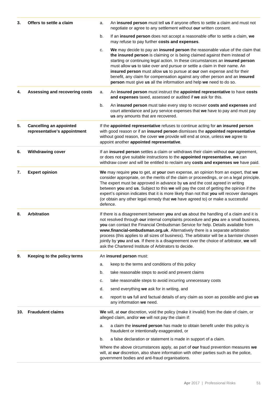| 3.  | Offers to settle a claim                                       | a.                                                                                                                                                                                                                                                                                                                                                                                                                                                                                                                                                 | An insured person must tell us if anyone offers to settle a claim and must not<br>negotiate or agree to any settlement without our written consent.                                                                                                                                                                                                                                                                                                                                                                                                                                                   |  |
|-----|----------------------------------------------------------------|----------------------------------------------------------------------------------------------------------------------------------------------------------------------------------------------------------------------------------------------------------------------------------------------------------------------------------------------------------------------------------------------------------------------------------------------------------------------------------------------------------------------------------------------------|-------------------------------------------------------------------------------------------------------------------------------------------------------------------------------------------------------------------------------------------------------------------------------------------------------------------------------------------------------------------------------------------------------------------------------------------------------------------------------------------------------------------------------------------------------------------------------------------------------|--|
|     |                                                                | b.                                                                                                                                                                                                                                                                                                                                                                                                                                                                                                                                                 | If an insured person does not accept a reasonable offer to settle a claim, we<br>may refuse to pay further costs and expenses.                                                                                                                                                                                                                                                                                                                                                                                                                                                                        |  |
|     |                                                                | c.                                                                                                                                                                                                                                                                                                                                                                                                                                                                                                                                                 | We may decide to pay an insured person the reasonable value of the claim that<br>the insured person is claiming or is being claimed against them instead of<br>starting or continuing legal action. In these circumstances an insured person<br>must allow us to take over and pursue or settle a claim in their name. An<br>insured person must allow us to pursue at our own expense and for their<br>benefit, any claim for compensation against any other person and an insured<br>person must give us all the information and help we need to do so.                                             |  |
| 4.  | Assessing and recovering costs                                 | a.                                                                                                                                                                                                                                                                                                                                                                                                                                                                                                                                                 | An insured person must instruct the appointed representative to have costs<br>and expenses taxed, assessed or audited if we ask for this.                                                                                                                                                                                                                                                                                                                                                                                                                                                             |  |
|     |                                                                | b.                                                                                                                                                                                                                                                                                                                                                                                                                                                                                                                                                 | An insured person must take every step to recover costs and expenses and<br>court attendance and jury service expenses that we have to pay and must pay<br>us any amounts that are recovered.                                                                                                                                                                                                                                                                                                                                                                                                         |  |
| 5.  | <b>Cancelling an appointed</b><br>representative's appointment |                                                                                                                                                                                                                                                                                                                                                                                                                                                                                                                                                    | If the appointed representative refuses to continue acting for an insured person<br>with good reason or if an insured person dismisses the appointed representative<br>without good reason, the cover we provide will end at once, unless we agree to<br>appoint another appointed representative.                                                                                                                                                                                                                                                                                                    |  |
| 6.  | <b>Withdrawing cover</b>                                       | If an insured person settles a claim or withdraws their claim without our agreement,<br>or does not give suitable instructions to the appointed representative, we can<br>withdraw cover and will be entitled to reclaim any costs and expenses we have paid.                                                                                                                                                                                                                                                                                      |                                                                                                                                                                                                                                                                                                                                                                                                                                                                                                                                                                                                       |  |
| 7.  | <b>Expert opinion</b>                                          | We may require you to get, at your own expense, an opinion from an expert, that we<br>consider appropriate, on the merits of the claim or proceedings, or on a legal principle.<br>The expert must be approved in advance by us and the cost agreed in writing<br>between you and us. Subject to this we will pay the cost of getting the opinion if the<br>expert's opinion indicates that it is more likely than not that you will recover damages<br>(or obtain any other legal remedy that we have agreed to) or make a successful<br>defence. |                                                                                                                                                                                                                                                                                                                                                                                                                                                                                                                                                                                                       |  |
| 8.  | <b>Arbitration</b>                                             |                                                                                                                                                                                                                                                                                                                                                                                                                                                                                                                                                    | If there is a disagreement between you and us about the handling of a claim and it is<br>not resolved through our internal complaints procedure and you are a small business,<br>you can contact the Financial Ombudsman Service for help. Details available from<br>www.financial-ombudsman.org.uk. Alternatively there is a separate arbitration<br>process (this applies to all sizes of business). The arbitrator will be a barrister chosen<br>jointly by you and us. If there is a disagreement over the choice of arbitrator, we will<br>ask the Chartered Institute of Arbitrators to decide. |  |
| 9.  | Keeping to the policy terms                                    |                                                                                                                                                                                                                                                                                                                                                                                                                                                                                                                                                    | An insured person must:                                                                                                                                                                                                                                                                                                                                                                                                                                                                                                                                                                               |  |
|     |                                                                | a.                                                                                                                                                                                                                                                                                                                                                                                                                                                                                                                                                 | keep to the terms and conditions of this policy                                                                                                                                                                                                                                                                                                                                                                                                                                                                                                                                                       |  |
|     |                                                                | b.                                                                                                                                                                                                                                                                                                                                                                                                                                                                                                                                                 | take reasonable steps to avoid and prevent claims                                                                                                                                                                                                                                                                                                                                                                                                                                                                                                                                                     |  |
|     |                                                                | c.                                                                                                                                                                                                                                                                                                                                                                                                                                                                                                                                                 | take reasonable steps to avoid incurring unnecessary costs                                                                                                                                                                                                                                                                                                                                                                                                                                                                                                                                            |  |
|     |                                                                | d.                                                                                                                                                                                                                                                                                                                                                                                                                                                                                                                                                 | send everything we ask for in writing, and                                                                                                                                                                                                                                                                                                                                                                                                                                                                                                                                                            |  |
|     |                                                                | е.                                                                                                                                                                                                                                                                                                                                                                                                                                                                                                                                                 | report to us full and factual details of any claim as soon as possible and give us<br>any information we need.                                                                                                                                                                                                                                                                                                                                                                                                                                                                                        |  |
| 10. | <b>Fraudulent claims</b>                                       | We will, at our discretion, void the policy (make it invalid) from the date of claim, or<br>alleged claim, and/or we will not pay the claim if:                                                                                                                                                                                                                                                                                                                                                                                                    |                                                                                                                                                                                                                                                                                                                                                                                                                                                                                                                                                                                                       |  |
|     |                                                                | a.                                                                                                                                                                                                                                                                                                                                                                                                                                                                                                                                                 | a claim the insured person has made to obtain benefit under this policy is<br>fraudulent or intentionally exaggerated, or                                                                                                                                                                                                                                                                                                                                                                                                                                                                             |  |
|     |                                                                | b.                                                                                                                                                                                                                                                                                                                                                                                                                                                                                                                                                 | a false declaration or statement is made in support of a claim.                                                                                                                                                                                                                                                                                                                                                                                                                                                                                                                                       |  |
|     |                                                                |                                                                                                                                                                                                                                                                                                                                                                                                                                                                                                                                                    | Where the above circumstances apply, as part of our fraud prevention measures we<br>will, at our discretion, also share information with other parties such as the police,<br>government bodies and anti-fraud organisations.                                                                                                                                                                                                                                                                                                                                                                         |  |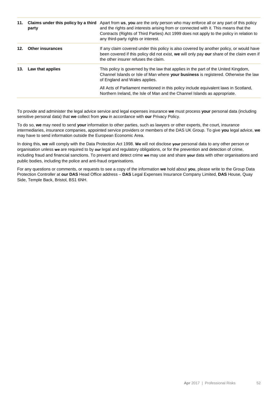| 11. | party                   | <b>Claims under this policy by a third</b> Apart from us, you are the only person who may enforce all or any part of this policy<br>and the rights and interests arising from or connected with it. This means that the<br>Contracts (Rights of Third Parties) Act 1999 does not apply to the policy in relation to<br>any third-party rights or interest. |
|-----|-------------------------|------------------------------------------------------------------------------------------------------------------------------------------------------------------------------------------------------------------------------------------------------------------------------------------------------------------------------------------------------------|
| 12. | <b>Other insurances</b> | If any claim covered under this policy is also covered by another policy, or would have<br>been covered if this policy did not exist, we will only pay our share of the claim even if<br>the other insurer refuses the claim.                                                                                                                              |
| 13. | Law that applies        | This policy is governed by the law that applies in the part of the United Kingdom,<br>Channel Islands or Isle of Man where your business is registered. Otherwise the law<br>of England and Wales applies.                                                                                                                                                 |
|     |                         | All Acts of Parliament mentioned in this policy include equivalent laws in Scotland,<br>Northern Ireland, the Isle of Man and the Channel Islands as appropriate.                                                                                                                                                                                          |

To provide and administer the legal advice service and legal expenses insurance **we** must process **your** personal data (including sensitive personal data) that **we** collect from **you** in accordance with **our** Privacy Policy.

To do so, **we** may need to send **your** information to other parties, such as lawyers or other experts, the court, insurance intermediaries, insurance companies, appointed service providers or members of the DAS UK Group. To give **you** legal advice, **we**  may have to send information outside the European Economic Area.

In doing this, **we** will comply with the Data Protection Act 1998. **We** will not disclose **your** personal data to any other person or organisation unless **we** are required to by **our** legal and regulatory obligations, or for the prevention and detection of crime, including fraud and financial sanctions. To prevent and detect crime **we** may use and share **your** data with other organisations and public bodies, including the police and anti-fraud organisations.

For any questions or comments, or requests to see a copy of the information **we** hold about **you**, please write to the Group Data Protection Controller at **our DAS** Head Office address – **DAS** Legal Expenses Insurance Company Limited, **DAS** House, Quay Side, Temple Back, Bristol, BS1 6NH.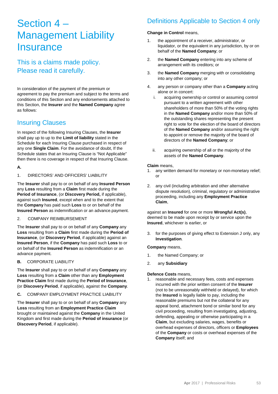# Section 4 – Management Liability **Insurance**

This is a claims made policy. Please read it carefully.

In consideration of the payment of the premium or agreement to pay the premium and subject to the terms and conditions of this Section and any endorsements attached to this Section, the **Insurer** and the **Named Company** agree as follows:

# Insuring Clauses

In respect of the following Insuring Clauses, the **Insurer** shall pay up to up to the **Limit of liability** stated in the Schedule for each Insuring Clause purchased in respect of any one **Single Claim**. For the avoidance of doubt, If the Schedule states that an Insuring Clause is "Not Applicable" then there is no coverage in respect of that Insuring Clause.

## **A.**

1. DIRECTORS' AND OFFICERS' LIABILITY

The **Insurer** shall pay to or on behalf of any **Insured Person** any **Loss** resulting from a **Claim** first made during the **Period of Insurance**, (or **Discovery Period,** if applicable), against such **Insured**, except when and to the extent that the **Company** has paid such **Loss** to or on behalf of the **Insured Person** as indemnification or an advance.payment.

#### 2. COMPANY REIMBURSEMENT

The **Insurer** shall pay to or on behalf of any **Company** any **Loss** resulting from a **Claim** first made during the **Period of Insurance**, (or **Discovery Period**, if applicable) against an **Insured Person**, if the **Company** has paid such **Loss** to or on behalf of the **Insured Person** as indemnification or an advance payment.

**B.** CORPORATE LIABILITY

The **Insurer** shall pay to or on behalf of any **Company** any **Loss** resulting from a **Claim** other than any **Employment Practice Claim** first made during the **Period of Insurance**, (or **Discovery Period**, if applicable), against the **Company**.

**C.** COMPANY EMPLOYMENT PRACTICE LIABILITY

The **Insurer** shall pay to or on behalf of any **Company** any **Loss** resulting from an **Employment Practice Claim** brought or maintained against the **Company** in the United Kingdom and first made during the **Period of insurance** (or **Discovery Period**, if applicable).

# Definitions Applicable to Section 4 only

#### **Change in Control** means,

- 1. the appointment of a receiver, administrator, or liquidator, or the equivalent in any jurisdiction, by or on behalf of the **Named Company**; or
- 2. the **Named Company** entering into any scheme of arrangement with its creditors; or
- 3. the **Named Company** merging with or consolidating into any other company; or
- 4. any person or company other than a **Company** acting alone or in concert:
	- i. acquiring ownership or control or assuming control pursuant to a written agreement with other shareholders of more than 50% of the voting rights in the **Named Company** and/or more than 50% of the outstanding shares representing the present right to vote for the election of the board of directors of the **Named Company** and/or assuming the right to appoint or remove the majority of the board of directors of the **Named Company**; or
	- ii. acquiring ownership of all or the majority of the assets of the **Named Company**.

#### **Claim** means,

- 1. any written demand for monetary or non-monetary relief; or
- 2. any civil (including arbitration and other alternative dispute resolution), criminal, regulatory or administrative proceeding, including any **Employment Practice Claim**,

against an **Insured** for one or more **Wrongful Act(s)**, deemed to be made upon receipt by or service upon the **Insured**, whichever is earlier, or

3. for the purposes of giving effect to Extension J only, any **Investigation**.

#### **Company** means,

- 1. the Named Company; or
- 2. any **Subsidiary**

#### **Defence Costs** means,

1. reasonable and necessary fees, costs and expenses incurred with the prior written consent of the **Insurer** (not to be unreasonably withheld or delayed), for which the **Insured** is legally liable to pay, including the reasonable premiums but not the collateral for any appeal bond, attachment bond or similar bond for any civil proceeding, resulting from investigating, adjusting, defending, appealing or otherwise participating in a **Claim**, but excluding salaries, wages, benefits or overhead expenses of directors, officers or **Employees** of the **Company** or costs or overhead expenses of the **Company** itself; and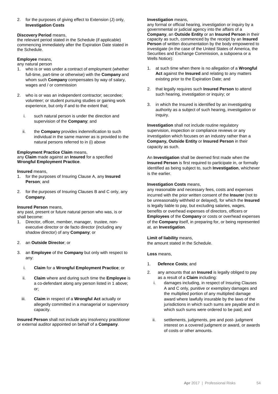2. for the purposes of giving effect to Extension (J) only, **Investigation Costs**

#### **Discovery Period** means,

the relevant period stated in the Schedule (if applicable) commencing immediately after the Expiration Date stated in the Schedule.

#### **Employee** means,

- any natural person
- 1. who is or was under a contract of employment (whether full-time, part-time or otherwise) with the **Company** and whom such **Company** compensates by way of salary, wages and / or commission
- 2. who is or was an independent contractor; secondee; volunteer; or student pursuing studies or gaining work experience, but only if and to the extent that;
	- i. such natural person is under the direction and supervision of the **Company**; and
	- ii. the **Company** provides indemnification to such individual in the same manner as is provided to the natural persons referred to in (i) above

#### **Employment Practice Claim** means, any **Claim** made against an **Insured** for a specified **Wrongful Employment Practice**.

#### **Insured** means,

- 1. for the purposes of Insuring Clause A, any **Insured Person**; and
- 2. for the purposes of Insuring Clauses B and C only, any **Company**.

#### **Insured Person** means,

any past, present or future natural person who was, is or shall become:

1. Director, officer, member, manager, trustee, nonexecutive director or de facto director (including any shadow director) of any **Company**; or

#### 2. an **Outside Director**; or

- 3. an **Employee** of the **Company** but only with respect to any:
	- i. **Claim** for a **Wrongful Employment Practice**; or
	- ii. **Claim** where and during such time the **Employee** is a co-defendant along any person listed in 1 above; or;
	- iii. **Claim** in respect of a **Wrongful Act** actually or allegedly committed in a managerial or supervisory capacity.

**Insured Person** shall not include any insolvency practitioner or external auditor appointed on behalf of a **Company**.

#### **Investigation** means,

any formal or official hearing, investigation or inquiry by a governmental or judicial agency into the affairs of a **Company**, an **Outside Entity** or an **Insured Person** in their capacity as such, commenced by the receipt by an **Insured Person** of written documentation by the body empowered to investigate (in the case of the United States of America, the Securities and Exchange Commission, a subpoena or a Wells Notice):

- 1. at such time when there is no allegation of a **Wrongful Act** against the **Insured** and relating to any matters existing prior to the Expiration Date; and
- 2. that legally requires such **Insured Person** to attend such hearing, investigation or inquiry; or
- 3. in which the Insured is identified by an investigating authority as a subject of such hearing, investigation or inquiry.

**Investigation** shall not include routine regulatory supervision, inspection or compliance reviews or any investigation which focuses on an industry rather than a **Company, Outside Entity** or **Insured Person** in their capacity as such.

An **Investigation** shall be deemed first made when the **Insured Person** is first required to participate in, or formally identified as being subject to, such **Investigation**, whichever is the earlier.

#### **Investigation Costs** means,

any reasonable and necessary fees, costs and expenses incurred with the prior written consent of the **Insurer** (not to be unreasonably withheld or delayed), for which the **Insured** is legally liable to pay, but excluding salaries, wages, benefits or overhead expenses of directors, officers or **Employees** of the **Company** or costs or overhead expenses of the **Company** itself, in preparing for, or being represented at, an **Investigation**.

#### **Limit of liability** means,

the amount stated in the Schedule.

**Loss** means,

- 1. **Defence Costs**; and
- 2. any amounts that an **Insured** is legally obliged to pay as a result of a **Claim** including:
	- i. damages including, in respect of Insuring Clauses A and C only, punitive or exemplary damages and the multiplied portion of any multiplied damage award where lawfully insurable by the laws of the jurisdictions in which such sums are payable and in which such sums were ordered to be paid; and
	- ii. settlements, judgments, pre and post- judgment interest on a covered judgment or award, or awards of costs or other amounts.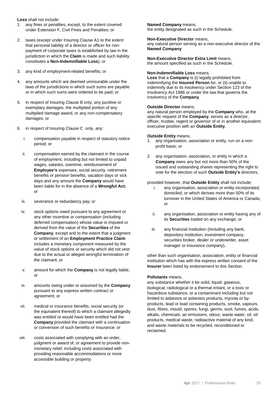**Loss** shall not include:

- 1. any fines or penalties, except, to the extent covered under Extension F, Civil Fines and Penalties; or
- 2. taxes (except under Insuring Clause A1 to the extent that personal liability of a director or officer for nonpayment of corporate taxes is established by law in the jurisdiction in which the **Claim** is made and such liability constitutes a **Non-Indemnifiable Loss**); or
- 3. any kind of employment-related benefits; or
- 4. any amounts which are deemed uninsurable under the laws of the jurisdictions in which such sums are payable or in which such sums were ordered to be paid; or
- 5. in respect of Insuring Clause B only, any punitive or exemplary damages, the multiplied portion of any multiplied damage award, or any non-compensatory damages; or
- 6. in respect of Insuring Clause C only, any:
	- i. compensation payable in respect of statutory notice period; or
	- ii. compensation earned by the claimant in the course of employment, including but not limited to unpaid wages, salaries, overtime, reimbursement of **Employee's** expenses, social security, retirement benefits or pension benefits, vacation days or sick days and any amount the **Company** would have been liable for in the absence of a **Wrongful Act;** or
	- iii. severance or redundancy pay; or
	- iv. stock options owed pursuant to any agreement or any other incentive or compensation (including deferred compensation) whose value is imputed or derived from the value of the **Securities** of the **Company**, except and to the extent that a judgment or settlement of an **Employment Practice Claim** includes a monetary component measured by the value of stock options or security which did not vest due to the actual or alleged wrongful termination of the claimant; or
	- v. amount for which the **Company** is not legally liable; or
	- vi. amounts owing under or assumed by the **Company** pursuant to any express written contract or agreement; or
	- vii. medical or insurance benefits, social security (or the equivalent thereof) to which a claimant allegedly was entitled or would have been entitled had the **Company** provided the claimant with a continuation or conversion of such benefits or Insurance; or
- viii. costs associated with complying with an order, judgment or award of, or agreement to provide nonmonetary relief, including costs associated with providing reasonable accommodations or more accessible building or property.

#### **Named Company** means,

the entity designated as such in the Schedule.

#### **Non-Executive Director** means,

any natural person serving as a non-executive director of the **Named Company**

**Non-Executive Director Extra Limit** means, the amount specified as such in the Schedule.

#### **Non-Indemnifiable Loss** means,

**Loss** that a **Company** is (i) legally prohibited from indemnifying the **Insured Person** for, or (ii) unable to indemnify due to its insolvency under Section 123 of the Insolvency Act 1986 or under the law that governs the insolvency of the **Company**.

#### **Outside Director** means,

any natural person employed by the **Company** who, at the specific request of the **Company**, serves as a director, officer, trustee, regent or governor of or in another equivalent executive position with an **Outside Entity**.

#### **Outside Entity** means,

- 1. any organisation, association or entity, run on a nonprofit basis; or
- 2. any organisation, association, or entity in which a **Company** owns any but not more than 50% of the issued and outstanding shares representing the right to vote for the election of such **Outside Entity's** directors,

#### provided however, that **Outside Entity** shall not include:

- i. any organisation, association or entity incorporated, domiciled, or which derives more than 50% of its turnover in the United States of America or Canada;  $\alpha$ r
- ii. any organisation, association or entity having any of its **Securities** traded on any exchange; or
- iii. any financial institution (including any bank, depository institution, investment company, securities broker, dealer or underwriter, asset manager or insurance company),

other than such organisation, association, entity or financial institution which has with the express written consent of the **Insurer** been listed by endorsement to this Section.

#### **Pollutants** means,

any substance whether it be solid, liquid, gaseous, biological, radiological or a thermal irritant, or a toxic or hazardous substance, or a contaminant including but not limited to asbestos or asbestos products, mycota or byproducts, lead or lead containing products, smoke, vapours, dust, fibres, mould, spores, fungi, germs, soot, fumes, acids, alkalis, chemicals, air emissions, odour, waste water, oil, oil products, medical waste, radioactive material of any kind, and waste materials to be recycled, reconditioned or reclaimed.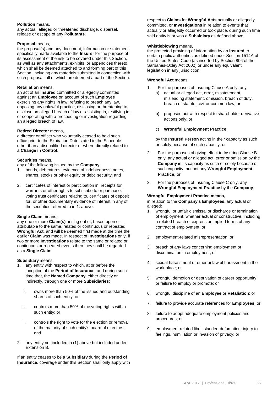#### **Pollution** means,

any actual, alleged or threatened discharge, dispersal, release or escape of any **Pollutants**.

#### **Proposal** means,

the proposal(s) and any document, information or statement specifically made available to the **Insurer** for the purpose of its assessment of the risk to be covered under this Section, as well as any attachments, exhibits, or appendices thereto, which shall be deemed attached to and forming part of this Section, including any materials submitted in connection with such proposal, all of which are deemed a part of the Section.

#### **Retaliation** means,

an act of an **Insured** committed or allegedly committed against an **Employee** on account of such **Employee** exercising any rights in law, refusing to breach any law, opposing any unlawful practice, disclosing or threatening to disclose an alleged breach of law or assisting in, testifying in, or cooperating with a proceeding or investigation regarding an alleged breach of law.

#### **Retired Director** means,

a director or officer who voluntarily ceased to hold such office prior to the Expiration Date stated in the Schedule other than a disqualified director or where directly related to a **Change in Control**.

#### **Securities** means,

any of the following issued by the **Company**:

- 1. bonds, debentures, evidence of indebtedness, notes, shares, stocks or other equity or debt security; and
- 2. certificates of interest or participation in, receipts for, warrants or other rights to subscribe to or purchase, voting trust certificates relating to, certificates of deposit for, or other documentary evidence of interest in any of the securities referred to in 1. above.

#### **Single Claim** means,

any one or more **Claim(s)** arising out of, based upon or attributable to the same, related or continuous or repeated **Wrongful Act**, and will be deemed first made at the time the earlier **Claim** was made. In respect of **Investigations** only, if two or more **Investigations** relate to the same or related or continuous or repeated events then they shall be regarded as a **Single Claim**.

#### **Subsidiary** means,

- 1. any entity with respect to which, at or before the inception of the **Period of Insurance**, and during such time that, the **Named Company**, either directly or indirectly, through one or more **Subsidiaries**;
	- i. owns more than 50% of the issued and outstanding shares of such entity; or
	- ii. controls more than 50% of the voting rights within such entity; or
	- iii. controls the right to vote for the election or removal of the majority of such entity's board of directors; and
- 2. any entity not included in (1) above but included under Extension B.

If an entity ceases to be a **Subsidiary** during the **Period of Insurance**, coverage under this Section shall only apply with respect to **Claims** for **Wrongful Acts** actually or allegedly committed, or **Investigations** in relation to events that actually or allegedly occurred or took place, during such time said entity is or was a **Subsidiary** as defined above.

#### **Whistleblowing** means,

the protected providing of information by an **Insured** to certain public authorities as defined under Section 1514A of the United States Code (as inserted by Section 806 of the Sarbanes-Oxley Act 2002) or under any equivalent legislation in any jurisdiction.

#### **Wrongful Act** means,

- 1. For the purposes of Insuring Clause A only, any:
	- a) actual or alleged act, error, misstatement, misleading statement, omission, breach of duty, breach of statute, civil or common law; or
	- b) proposed act with respect to shareholder derivative actions only; or
	- c) **Wrongful Employment Practice**,

by the **Insured Person** acting in their capacity as such or solely because of such capacity; or

- 2. For the purposes of giving effect to Insuring Clause B only, any actual or alleged act, error or omission by the **Company** in its capacity as such or solely because of such capacity, but not any **Wrongful Employment Practice;** or
- 3. For the purposes of Insuring Clause C only, any **Wrongful Employment Practice** by the **Company**.

#### **Wrongful Employment Practice means,**

in relation to the **Company's Employees**, any actual or alleged:

- 1. wrongful or unfair dismissal or discharge or termination of employment, whether actual or constructive, including a related breach of express or implied terms of any contract of employment; or
- 2. employment-related misrepresentation; or
- 3. breach of any laws concerning employment or discrimination in employment; or
- 4. sexual harassment or other unlawful harassment in the work place; or
- 5. wrongful demotion or deprivation of career opportunity or failure to employ or promote; or
- 6. wrongful discipline of an **Employee** or **Retaliation**; or
- 7. failure to provide accurate references for **Employees**; or
- 8. failure to adopt adequate employment policies and procedures; or
- 9. employment-related libel, slander, defamation, injury to feelings, humiliation or invasion of privacy; or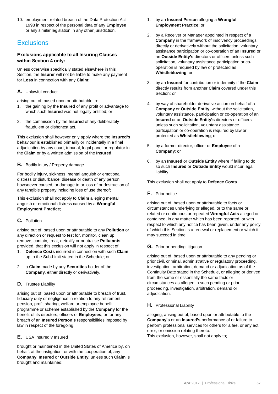10. employment-related breach of the Data Protection Act 1998 in respect of the personal data of any **Employee** or any similar legislation in any other jurisdiction.

# **Exclusions**

# **Exclusions applicable to all Insuring Clauses within Section 4 only:**

Unless otherwise specifically stated elsewhere in this Section, the **Insurer** will not be liable to make any payment for **Loss** in connection with any **Claim**:

# **A.** Unlawful conduct

arising out of, based upon or attributable to:

- 1. the gaining by the **Insured** of any profit or advantage to which such **Insured** was not legally entitled; or
- 2. the commission by the **Insured** of any deliberately fraudulent or dishonest act.

This exclusion shall however only apply where the **Insured's** behaviour is established primarily or incidentally in a final adjudication by any court, tribunal, legal panel or regulator in the **Claim** or by a written admission of the **Insured**.

# **B.** Bodily injury / Property damage

For bodily injury, sickness, mental anguish or emotional distress or disturbance, disease or death of any person howsoever caused, or damage to or loss of or destruction of any tangible property including loss of use thereof;

This exclusion shall not apply to **Claim** alleging mental anguish or emotional distress caused by a **Wrongful Employment Practice**;

# **C.** Pollution

arising out of, based upon or attributable to any **Pollution** or any direction or request to test for, monitor, clean up, remove, contain, treat, detoxify or neutralise **Pollutants**; provided, that this exclusion will not apply in respect of:

- 1. **Defence Costs** incurred in connection with such **Claim** up to the Sub-Limit stated in the Schedule; or
- 2. a Cl**aim** made by any **Securities** holder of the **Company**, either directly or derivatively.

## **D.** Trustee Liability

arising out of, based upon or attributable to breach of trust, fiduciary duty or negligence in relation to any retirement, pension, profit sharing, welfare or employee benefit programme or scheme established by the **Company** for the benefit of its directors, officers or **Employees**, or for any breach of an **Insured Person's** responsibilities imposed by law in respect of the foregoing.

# **E.** USA Insured v Insured

brought or maintained in the United States of America by, on behalf, at the instigation, or with the cooperation of, any **Company**, **Insured** or **Outside Entity**, unless such **Claim** is brought and maintained:

- 1. by an **Insured Person** alleging a **Wrongful Employment Practice**; or
- 2. by a Receiver or Manager appointed in respect of a **Company** in the framework of insolvency proceedings, directly or derivatively without the solicitation, voluntary assistance participation or co-operation of an **Insured** or an **Outside Entity's** directors or officers unless such solicitation, voluntary assistance participation or cooperation is required by law or protected as **Whistleblowing**; or
- 3. by an **Insured** for contribution or indemnity if the **Claim** directly results from another **Claim** covered under this Section; or
- 4. by way of shareholder derivative action on behalf of a **Company** or **Outside Entity**, without the solicitation, voluntary assistance, participation or co-operation of an **Insured** or an **Outside Entity's** directors or officers unless such solicitation, voluntary assistance participation or co-operation is required by law or protected as **Whistleblowing**; or
- 5. by a former director, officer or **Employee** of a **Company**; or
- 6. by an **Insured** or **Outside Entity** where if failing to do so such **Insured** or **Outside Entity** would incur legal liability.

This exclusion shall not apply to **Defence Costs**.

# **F.** Prior notice

arising out of, based upon or attributable to facts or circumstances underlying or alleged, or to the same or related or continuous or repeated **Wrongful Acts** alleged or contained, in any matter which has been reported, or with respect to which any notice has been given, under any policy of which this Section is a renewal or replacement or which it may succeed in time.

## **G.** Prior or pending litigation

arising out of, based upon or attributable to any pending or prior civil, criminal, administrative or regulatory proceeding, investigation, arbitration, demand or adjudication as of the Continuity Date stated in the Schedule, or alleging or derived from the same or essentially the same facts or circumstances as alleged in such pending or prior proceeding, investigation, arbitration, demand or adjudication.

## **H.** Professional Liability

alleging, arising out of, based upon or attributable to the **Company's** or an **Insured's** performance of or failure to perform professional services for others for a fee, or any act, error, or omission relating thereto.

This exclusion, however, shall not apply to;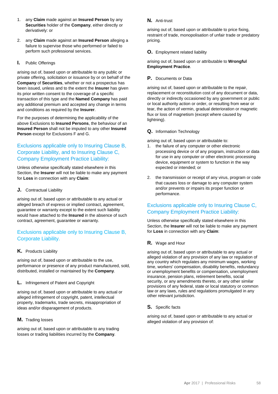- 1. any **Claim** made against an **Insured Person** by any **Securities** holder of the **Company**, either directly or derivatively: or
- 2. any **Claim** made against an **Insured Person** alleging a failure to supervise those who performed or failed to perform such professional services.

#### **I.** Public Offerings

arising out of, based upon or attributable to any public or private offering, solicitation or issuance by or on behalf of the **Company** of **Securities**, whether or not a prospectus has been issued, unless and to the extent the **Insurer** has given its prior written consent to the coverage of a specific transaction of this type and the **Named Company** has paid any additional premium and accepted any change in terms and conditions as required by the **Insurer**.

For the purposes of determining the applicability of the above Exclusions to **Insured Persons**, the behaviour of an **Insured Person** shall not be imputed to any other **Insured Person** except for Exclusions F and G.

# Exclusions applicable only to Insuring Clause B, Corporate Liability, and to Insuring Clause C, Company Employment Practice Liability:

Unless otherwise specifically stated elsewhere in this Section, the **Insurer** will not be liable to make any payment for **Loss** in connection with any **Claim**:

#### **J.** Contractual Liability

arising out of, based upon or attributable to any actual or alleged breach of express or implied contract, agreement, guarantee or warranty except to the extent such liability would have attached to the **Insured** in the absence of such contract, agreement, guarantee or warranty.

# Exclusions applicable only to Insuring Clause B, Corporate Liability.

#### **K.** Products Liability

arising out of, based upon or attributable to the use, performance or presence of any product manufactured, sold, distributed, installed or maintained by the **Company**.

#### **L.** Infringement of Patent and Copyright

arising out of, based upon or attributable to any actual or alleged infringement of copyright, patent, intellectual property, trademarks, trade secrets, misappropriation of ideas and/or disparagement of products.

## **M.** Trading losses

arising out of, based upon or attributable to any trading losses or trading liabilities incurred by the **Company**.

#### **N.** Anti-trust

arising out of, based upon or attributable to price fixing, restraint of trade, monopolisation of unfair trade or predatory pricing.

#### **O.** Employment related liability

arising out of, based upon or attributable to **Wrongful Employment Practice**.

## **P.** Documents or Data

arising out of, based upon or attributable to the repair, replacement or reconstitution cost of any document or data, directly or indirectly occasioned by any government or public or local authority action or order, or resulting from wear or tear, the action of vermin, gradual deterioration or magnetic flux or loss of magnetism (except where caused by lightning).

#### **Q.** Information Technology

arising out of, based upon or attributable to:

- 1. the failure of any computer or other electronic processing device or of any program, instruction or data for use in any computer or other electronic processing device, equipment or system to function in the way expected or intended; or
- 2. the transmission or receipt of any virus, program or code that causes loss or damage to any computer system and/or prevents or impairs its proper function or performance.

# Exclusions applicable only to Insuring Clause C, Company Employment Practice Liability:

Unless otherwise specifically stated elsewhere in this Section, the **Insurer** will not be liable to make any payment for **Loss** in connection with any **Claim**:

## **R.** Wage and Hour

arising out of, based upon or attributable to any actual or alleged violation of any provision of any law or regulation of any country which regulates any minimum wages, working time, workers' compensation, disability benefits, redundancy or unemployment benefits or compensation, unemployment insurance, pension plans, retirement benefits, social security, or any amendments thereto, or any other similar provisions of any federal, state or local statutory or common law or any laws, rules and regulations promulgated in any other relevant jurisdiction.

#### **S.** Specific facts

arising out of, based upon or attributable to any actual or alleged violation of any provision of: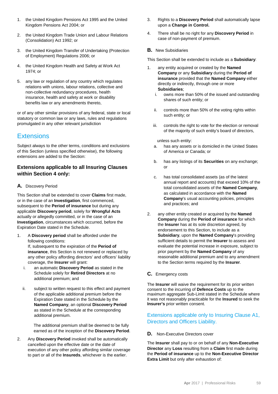- 1. the United Kingdom Pensions Act 1995 and the United Kingdom Pensions Act 2004; or
- 2. the United Kingdom Trade Union and Labour Relations (Consolidation) Act 1992; or
- 3. the United Kingdom Transfer of Undertaking (Protection of Employment) Regulations 2006; or
- 4. the United Kingdom Health and Safety at Work Act 1974; or
- 5. any law or regulation of any country which regulates relations with unions, labour relations, collective and non-collective redundancy procedures, health insurance, health and safety at work or disability benefits law or any amendments thereto,

or of any other similar provisions of any federal, state or local statutory or common law or any laws, rules and regulations promulgated in any other relevant jurisdiction

# **Extensions**

Subject always to the other terms, conditions and exclusions of this Section (unless specified otherwise), the following extensions are added to the Section:

# **Extensions applicable to all Insuring Clauses within Section 4 only:**

# **A.** Discovery Period

This Section shall be extended to cover **Claims** first made, or in the case of an **Investigation**, first commenced, subsequent to the **Period of insurance** but during any applicable **Discovery period**, solely for **Wrongful Acts** actually or allegedly committed, or in the case of an **Investigation**, circumstances which occurred, before the Expiration Date stated in the Schedule.

- 1. A **Discovery period** shall be afforded under the following conditions: If, subsequent to the expiration of the **Period of insurance**, this Section is not renewed or replaced by any other policy affording directors' and officers' liability coverage, the **Insurer** will grant:
	- i. an automatic **Discovery Period** as stated in the Schedule solely for **Retired Directors** at no additional premium; and
	- ii. subject to written request to this effect and payment of the applicable additional premium before the Expiration Date stated in the Schedule by the **Named Company**, an optional **Discovery Period** as stated in the Schedule at the corresponding additional premium.

The additional premium shall be deemed to be fully earned as of the inception of the **Discovery Period**.

2. Any **Discovery Period** invoked shall be automatically cancelled upon the effective date or the date of execution of any other policy affording similar coverage to part or all of the **Insureds**, whichever is the earlier.

- 3. Rights to a **Discovery Period** shall automatically lapse upon a **Change in Control.**
- 4. There shall be no right for any **Discovery Period** in case of non-payment of premium.

#### **B.** New Subsidiaries

This Section shall be extended to include as a **Subsidiary**:

- 1. any entity acquired or created by the **Named Company** or any **Subsidiary** during the **Period of insurance** provided that the **Named Company** either directly or indirectly, through one or more **Subsidiaries**;
	- i. owns more than 50% of the issued and outstanding shares of such entity; or
	- ii. controls more than 50% of the voting rights within such entity; or
	- iii. controls the right to vote for the election or removal of the majority of such entity's board of directors,

unless such entity:

- a. has any assets or is domiciled in the United States of America or Canada; or
- b. has any listings of its **Securities** on any exchange; or
- c. has total consolidated assets (as of the latest annual report and accounts) that exceed 10% of the total consolidated assets of the **Named Company**, as calculated in accordance with the **Named Company**'s usual accounting policies, principles and practices; and
- 2. any other entity created or acquired by the **Named Company** during the **Period of insurance** for which the **Insurer** has at its sole discretion agreed, by endorsement to this Section, to include as a **Subsidiary**, upon the **Named Company**'s providing sufficient details to permit the **Insurer** to assess and evaluate the potential increase in exposure, subject to prior payment by the **Named Company** of any reasonable additional premium and to any amendment to the Section terms required by the **Insurer**.
- **C.** Emergency costs

The **Insurer** will waive the requirement for its prior written consent to the incurring of **Defence Costs** up to the maximum aggregate Sub-Limit stated in the Schedule where it was not reasonably practicable for the **Insured** to seek the **Insurer's** prior written consent.

# Extensions applicable only to Insuring Clause A1, Directors and Officers Liability.

## **D.** Non-Executive Directors cover

The **Insurer** shall pay to or on behalf of any **Non-Executive Director** any **Loss** resulting from a **Claim** first made during the **Period of insurance** up to the **Non-Executive Director Extra Limit** but only after exhaustion of: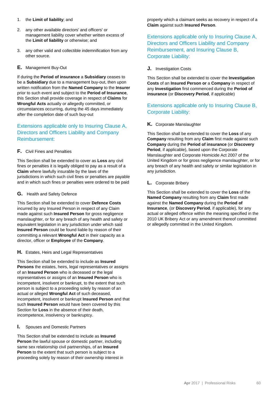- 1. the **Limit of liability**; and
- 2. any other available directors' and officers' or management liability cover whether written excess of the **Limit of liability** or otherwise; and
- 3. any other valid and collectible indemnification from any other source.
- **E.** Management Buy-Out

If during the **Period of insurance** a **Subsidiary** ceases to be a **Subsidiary** due to a management buy-out, then upon written notification from the **Named Company** to the **Insurer** prior to such event and subject to the **Period of Insurance**, this Section shall provide coverage in respect of **Claims** for **Wrongful Acts** actually or allegedly committed, or circumstances occurring, during the 45 days immediately after the completion date of such buy-out

# Extensions applicable only to Insuring Clause A, Directors and Officers Liability and Company Reimbursement:

#### **F.** Civil Fines and Penalties

This Section shall be extended to cover as **Loss** any civil fines or penalties it is legally obliged to pay as a result of a **Claim** where lawfully insurable by the laws of the jurisdictions in which such civil fines or penalties are payable and in which such fines or penalties were ordered to be paid

#### **G.** Health and Safety Defence

This Section shall be extended to cover **Defence Costs** incurred by any Insured Person in respect of any Claim made against such **Insured Person** for gross negligence manslaughter, or for any breach of any health and safety or equivalent legislation in any jurisdiction under which said **Insured Person** could be found liable by reason of their committing a relevant **Wrongful Act** in their capacity as a director, officer or **Employee** of the **Company**.

## **H.** Estates, Heirs and Legal Representatives

This Section shall be extended to include as **Insured Persons** the estates, heirs, legal representatives or assigns of an **Insured Person** who is deceased or the legal representatives or assigns of an **Insured Person** who is incompetent, insolvent or bankrupt, to the extent that such person is subject to a proceeding solely by reason of an actual or alleged **Wrongful Act** of such deceased, incompetent, insolvent or bankrupt **Insured Person** and that such **Insured Person** would have been covered by this Section for **Loss** in the absence of their death, incompetence, insolvency or bankruptcy.

#### **I.** Spouses and Domestic Partners

This Section shall be extended to include as **Insured Person** the lawful spouse or domestic partner, including same sex relationship civil partnerships, of an **Insured Person** to the extent that such person is subject to a proceeding solely by reason of their ownership interest in property which a claimant seeks as recovery in respect of a **Claim** against such **Insured Person**.

Extensions applicable only to Insuring Clause A, Directors and Officers Liability and Company Reimbursement, and Insuring Clause B, Corporate Liability:

#### **J.** Investigation Costs

This Section shall be extended to cover the **Investigation Costs** of an **Insured Person or** a **Company** in respect of any **Investigation** first commenced during the **Period of insurance** (or **Discovery Period**, if applicable)

# Extensions applicable only to Insuring Clause B, Corporate Liability:

## **K.** Corporate Manslaughter

This Section shall be extended to cover the **Loss** of any **Company** resulting from any **Claim** first made against such **Company** during the **Period of insurance** (or **Discovery Period**, if applicable), based upon the Corporate Manslaughter and Corporate Homicide Act 2007 of the United Kingdom or for gross negligence manslaughter, or for any breach of any health and safety or similar legislation in any jurisdiction.

#### **L.** Corporate Bribery

This Section shall be extended to cover the **Loss** of the **Named Company** resulting from any **Claim** first made against the **Named Company** during the **Period of Insurance**, (or **Discovery Period**, if applicable), for any actual or alleged offence within the meaning specified in the 2010 UK Bribery Act or any amendment thereof committed or allegedly committed in the United Kingdom.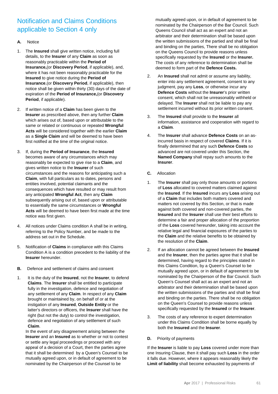# Notification and Claims Conditions applicable to Section 4 only

#### **A.** Notice

- 1. The **Insured** shall give written notice, including full details, to the **Insurer** of any **Claim** as soon as reasonably practicable within the **Period of Insurance,**(or **Discovery Period**, if applicable), and, where it has not been reasonably practicable for the **Insured** to give notice during the **Period of Insurance**,(or **Discovery Period**, if applicable), then notice shall be given within thirty (30) days of the date of expiration of the **Period of Insurance,**(or **Discovery Period**, if applicable).
- 2. If written notice of a **Claim** has been given to the **Insurer** as prescribed above, then any further **Claim** which arises out of, based upon or attributable to the same or related or continuous or repeated **Wrongful Acts** will be considered together with the earlier **Claim** as a **Single Claim** and will be deemed to have been first notified at the time of the original notice.
- 3. If, during the **Period of Insurance**, the **Insured** becomes aware of any circumstances which may reasonably be expected to give rise to a **Claim**, and gives written notice to the **Insurer** of such circumstances and the reasons for anticipating such a **Claim**, with full particulars as to dates, persons and entities involved, potential claimants and the consequences which have resulted or may result from any anticipated **Wrongful Act**, then any **Claim** subsequently arising out of, based upon or attributable to essentially the same circumstances or **Wrongful Acts** will be deemed to have been first made at the time notice was first given.
- 4. All notices under Claims condition A shall be in writing, referring to the Policy Number, and be made to the address set out in the Schedule.
- 5. Notification of **Claims** in compliance with this Claims Condition A is a condition precedent to the liability of the **Insurer** hereunder.
- **B.** Defence and settlement of claims and consent
- 1. It is the duty of the **Insured**, not the **Insurer**, to defend **Claims**. The **Insurer** shall be entitled to participate fully in the investigation, defence and negotiation of any settlement of any **Claim**. In respect of any **Claim** brought or maintained by, on behalf of or at the instigation of any **Insured**, **Outside Entity** or the latter's directors or officers, the **Insurer** shall have the right (but not the duty) to control the investigation, defence and negotiation of any settlement of such **Claim**.

In the event of any disagreement arising between the **Insurer** and an **Insured** as to whether or not to contest or settle any legal proceedings or proceed with any appeal of a decision of a Court, then the parties agree that it shall be determined by a Queen's Counsel to be mutually agreed upon, or in default of agreement to be nominated by the Chairperson of the Counsel to be

mutually agreed upon, or in default of agreement to be nominated by the Chairperson of the Bar Council. Such Queens Council shall act as an expert and not an arbitrator and their determination shall be based upon the written submissions of the partied and shall be final and binding on the parties, There shall be no obligation on the Queens Council to provide reasons unless specifically requested by the **Insured** or the **Insurer.** The costs of any reference to determination shall be deemed to form part of the **Defence Costs.**

- 2. An **Insured** shall not admit or assume any liability, enter into any settlement agreement, consent to any judgment, pay any **Loss**, or otherwise incur any **Defence Costs** without the **Insurer**'s prior written consent, which shall not be unreasonably withheld or delayed. The **Insurer** shall not be liable to pay any settlement incurred without its prior written consent.
- 3. The **Insured** shall provide to the **Insurer** all information, assistance and cooperation with regard to a **Claim**.
- 4. The **Insurer** shall advance **Defence Costs** on an asincurred basis in respect of covered **Claims**. If it is finally determined that any such **Defence Costs** so advanced are not covered under this Section, the **Named Company** shall repay such amounts to the **Insurer**.
- **C.** Allocation
- 1. The **Insurer** shall pay only those amounts or portions of **Loss** allocated to covered matters claimed against the **Insured**. If the **Insured** incurs any **Loss** arising out of a **Claim** that includes both matters covered and matters not covered by this Section, or that is made against both covered and non-covered parties, the **Insured** and the **Insurer** shall use their best efforts to determine a fair and proper allocation of the proportion of the **Loss** covered hereunder, taking into account the relative legal and financial exposures of the parties to the **Claim** and the relative benefits to be obtained by the resolution of the **Claim**.
- 2. If an allocation cannot be agreed between the **Insured** and the **Insurer**, then the parties agree that it shall be determined, having regard to the principles stated in this Claims Condition, by a Queen's Counsel to be mutually agreed upon, or in default of agreement to be nominated by the Chairperson of the Bar Council. Such Queen's Counsel shall act as an expert and not an arbitrator and their determination shall be based upon the written submissions of the parties and shall be final and binding on the parties. There shall be no obligation on the Queen's Counsel to provide reasons unless specifically requested by the **Insured** or the **Insurer**.
- 3. The costs of any reference to expert determination under this Claims Condition shall be borne equally by both the **Insured** and the **Insurer**.
- **D.** Priority of payments

If the **Insurer** is liable to pay **Loss** covered under more than one Insuring Clause, then it shall pay such **Loss** in the order it falls due. However, where it appears reasonably likely the **Limit of liability** shall become exhausted by payments of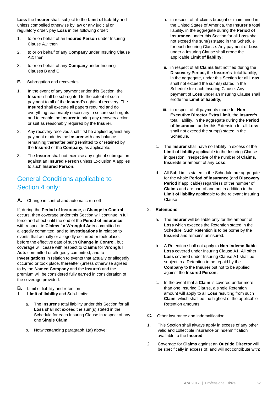**Loss** the **Insurer** shall, subject to the **Limit of liability** and unless compelled otherwise by law or any judicial or regulatory order, pay **Loss** in the following order:

- 1. to or on behalf of an **Insured Person** under Insuring Clause A1; then
- 2. to or on behalf of any **Company** under Insuring Clause A2; then
- 3. to or on behalf of any **Company** under Insuring Clauses B and C.
- **E.** Subrogation and recoveries
- 1. In the event of any payment under this Section, the **Insurer** shall be subrogated to the extent of such payment to all of the **Insured**'s rights of recovery. The **Insured** shall execute all papers required and do everything reasonably necessary to secure such rights and to enable the **Insurer** to bring any recovery action or suit as reasonably required by the **Insurer**.
- 2. Any recovery received shall first be applied against any payment made by the **Insurer** with any balance remaining thereafter being remitted to or retained by the **Insured** or the **Company**, as applicable.
- 3. The **Insurer** shall not exercise any right of subrogation against an **Insured Person** unless Exclusion A applies to such **Insured Person**.

# General Conditions applicable to Section 4 only:

**A.** Change in control and automatic run-off

If, during the **Period of Insurance**, a **Change in Control** occurs, then coverage under this Section will continue in full force and effect until the end of the **Period of insurance** with respect to **Claims** for **Wrongful Acts** committed or allegedly committed, and to **Investigations** in relation to events that actually or allegedly occurred or took place, before the effective date of such **Change in Control**, but coverage will cease with respect to **Claims** for **Wrongful Acts** committed or allegedly committed, and to **Investigations** in relation to events that actually or allegedly occurred or took place, thereafter (unless otherwise agreed to by the **Named Company** and the **Insurer**) and the premium will be considered fully earned in consideration of the coverage provided.

- **B.** Limit of liability and retention
- 1. **Limit of liability** and Sub-Limits:
	- a. The **Insurer**'s total liability under this Section for all **Loss** shall not exceed the sum(s) stated in the Schedule for each Insuring Clause in respect of any one **Single Claim**.
	- b. Notwithstanding paragraph 1(a) above:
- i. in respect of all claims brought or maintained in the United States of America, the **Insurer's** total liability, in the aggregate during the **Period of insurance,** under this Section for all **Loss** shall not exceed the sum(s) stated in the Schedule for each Insuring Clause. Any payment of **Loss** under a Insuring Clause shall erode the applicable **Limit of liability;**
- ii. in respect of all **Claims** first notified during the **Discovery Period,** the **Insurer's** total liability, in the aggregate, under this Section for all **Loss** shall not exceed the sum(s) stated in the Schedule for each Insuring Clause. Any payment of **Loss** under an Insuring Clause shall erode the **Limit of liability;**
- iii. in respect of all payments made for **Non-Executive Director Extra Limit**, the **Insurer's**  total liability, in the aggregate during the **Period of Insurance**, under this Extension for all **Loss** shall not exceed the sum(s) stated in the Schedule.
- c. The **Insurer** shall have no liability in excess of the **Limit of liability** applicable to the Insuring Clause in question, irrespective of the number of **Claims, Insureds** or amount of any **Loss**.
- d. All Sub-Limits stated in the Schedule are aggregate for the whole **Period of insurance** (and **Discovery Period** if applicable) regardless of the number of **Claims** and are part of and not in addition to the **Limit of liability** applicable to the relevant Insuring Clause
- 2. **Retentions**:
	- a. The **Insurer** will be liable only for the amount of **Loss** which exceeds the Retention stated in the Schedule. Such Retention is to be borne by the **Insured** and remains uninsured.
	- b. A Retention shall not apply to **Non-Indemnifiable Loss** covered under Insuring Clause A1. All other **Loss** covered under Insuring Clause A1 shall be subject to a Retention to be repaid by the **Company** to the **Insurer** but not to be applied against the **Insured Person.**
	- c. In the event that a **Claim** is covered under more than one Insuring Clause, a single Retention amount will apply to all **Loss** resulting from such **Claim**, which shall be the highest of the applicable Retention amounts.
- **C.** Other insurance and indemnification
- 1. This Section shall always apply in excess of any other valid and collectible insurance or indemnification available to the **Insured**.
- 2. Coverage for **Claims** against an **Outside Director** will be specifically in excess of, and will not contribute with: